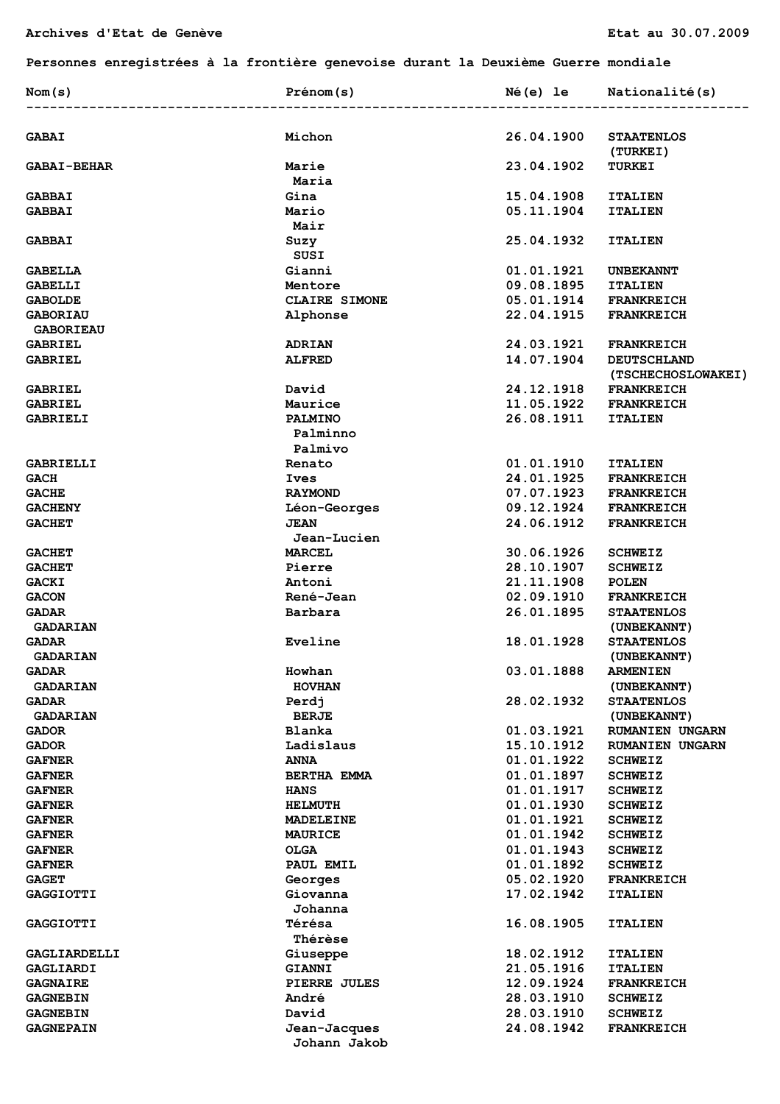## **Personnes enregistrées à la frontière genevoise durant la Deuxième Guerre mondiale**

| Nom(s)                              | Prénom(s)                    | Né(e) le                 | Nationalité(s)                           |
|-------------------------------------|------------------------------|--------------------------|------------------------------------------|
| <b>GABAI</b>                        | Michon                       | 26.04.1900               | <b>STAATENLOS</b>                        |
|                                     |                              |                          | (TURKEI)                                 |
| <b>GABAI-BEHAR</b>                  | Marie                        | 23.04.1902               | <b>TURKEI</b>                            |
|                                     | Maria                        |                          |                                          |
| <b>GABBAI</b>                       | Gina                         | 15.04.1908<br>05.11.1904 | <b>ITALIEN</b>                           |
| <b>GABBAI</b>                       | Mario<br>Mair                |                          | <b>ITALIEN</b>                           |
| <b>GABBAI</b>                       | Suzy<br>SUSI                 | 25.04.1932               | <b>ITALIEN</b>                           |
| <b>GABELLA</b>                      | Gianni                       | 01.01.1921               | <b>UNBEKANNT</b>                         |
| GABELLI                             | Mentore                      | 09.08.1895               | <b>ITALIEN</b>                           |
| <b>GABOLDE</b>                      | CLAIRE SIMONE                | 05.01.1914               | <b>FRANKREICH</b>                        |
| <b>GABORIAU</b><br><b>GABORIEAU</b> | Alphonse                     | 22.04.1915               | <b>FRANKREICH</b>                        |
| <b>GABRIEL</b>                      | <b>ADRIAN</b>                | 24.03.1921               | <b>FRANKREICH</b>                        |
| GABRIEL                             | <b>ALFRED</b>                | 14.07.1904               | <b>DEUTSCHLAND</b><br>(TSCHECHOSLOWAKEI) |
| <b>GABRIEL</b>                      | David                        | 24.12.1918               | <b>FRANKREICH</b>                        |
| <b>GABRIEL</b>                      | Maurice                      | 11.05.1922               | <b>FRANKREICH</b>                        |
| <b>GABRIELI</b>                     | <b>PALMINO</b>               | 26.08.1911               | <b>ITALIEN</b>                           |
|                                     | Palminno<br>Palmivo          |                          |                                          |
| GABRIELLI                           | Renato                       | 01.01.1910               | <b>ITALIEN</b>                           |
| GACH                                | Ives                         | 24.01.1925               | <b>FRANKREICH</b>                        |
| <b>GACHE</b>                        | <b>RAYMOND</b>               | 07.07.1923               | <b>FRANKREICH</b>                        |
| <b>GACHENY</b>                      | Léon-Georges                 | 09.12.1924               | <b>FRANKREICH</b>                        |
| <b>GACHET</b>                       | <b>JEAN</b><br>Jean-Lucien   | 24.06.1912               | <b>FRANKREICH</b>                        |
| <b>GACHET</b>                       | <b>MARCEL</b>                | 30.06.1926               | <b>SCHWEIZ</b>                           |
| <b>GACHET</b>                       | Pierre                       | 28.10.1907               | <b>SCHWEIZ</b>                           |
| GACKI                               | Antoni                       | 21.11.1908               | <b>POLEN</b>                             |
| <b>GACON</b>                        | René-Jean                    | 02.09.1910               | <b>FRANKREICH</b>                        |
| <b>GADAR</b>                        | Barbara                      | 26.01.1895               | <b>STAATENLOS</b>                        |
| <b>GADARIAN</b>                     |                              |                          | (UNBEKANNT)                              |
| <b>GADAR</b>                        | Eveline                      | 18.01.1928               | <b>STAATENLOS</b>                        |
| <b>GADARIAN</b>                     |                              |                          | (UNBEKANNT)                              |
| <b>GADAR</b>                        | Howhan                       | 03.01.1888               | <b>ARMENIEN</b>                          |
| <b>GADARIAN</b><br>GADAR            | <b>HOVHAN</b><br>Perdj       | 28.02.1932               | (UNBEKANNT)<br><b>STAATENLOS</b>         |
| <b>GADARIAN</b>                     | <b>BERJE</b>                 |                          | (UNBEKANNT)                              |
| <b>GADOR</b>                        | Blanka                       | 01.03.1921               | <b>RUMANIEN UNGARN</b>                   |
| <b>GADOR</b>                        | Ladislaus                    | 15.10.1912               | <b>RUMANIEN UNGARN</b>                   |
| <b>GAFNER</b>                       | <b>ANNA</b>                  | 01.01.1922               | <b>SCHWEIZ</b>                           |
| <b>GAFNER</b>                       | BERTHA EMMA                  | 01.01.1897               | <b>SCHWEIZ</b>                           |
| <b>GAFNER</b>                       | <b>HANS</b>                  | 01.01.1917               | <b>SCHWEIZ</b>                           |
| <b>GAFNER</b>                       | <b>HELMUTH</b>               | 01.01.1930               | <b>SCHWEIZ</b>                           |
| <b>GAFNER</b>                       | <b>MADELEINE</b>             | 01.01.1921               | <b>SCHWEIZ</b>                           |
| <b>GAFNER</b>                       | <b>MAURICE</b>               | 01.01.1942               | <b>SCHWEIZ</b>                           |
| <b>GAFNER</b>                       | <b>OLGA</b>                  | 01.01.1943               | <b>SCHWEIZ</b>                           |
| <b>GAFNER</b>                       | PAUL EMIL                    | 01.01.1892               | <b>SCHWEIZ</b>                           |
| <b>GAGET</b>                        | Georges                      | 05.02.1920               | <b>FRANKREICH</b>                        |
| <b>GAGGIOTTI</b>                    | Giovanna                     | 17.02.1942               | <b>ITALIEN</b>                           |
|                                     | Johanna                      |                          |                                          |
| <b>GAGGIOTTI</b>                    | Térésa<br><b>Thérèse</b>     | 16.08.1905               | <b>ITALIEN</b>                           |
| GAGLIARDELLI                        | Giuseppe                     | 18.02.1912               | <b>ITALIEN</b>                           |
| GAGLIARDI                           | <b>GIANNI</b>                | 21.05.1916               | <b>ITALIEN</b>                           |
| <b>GAGNAIRE</b>                     | PIERRE JULES                 | 12.09.1924               | <b>FRANKREICH</b>                        |
| <b>GAGNEBIN</b>                     | André                        | 28.03.1910               | <b>SCHWEIZ</b>                           |
| <b>GAGNEBIN</b>                     | David                        | 28.03.1910               | <b>SCHWEIZ</b>                           |
| <b>GAGNEPAIN</b>                    | Jean-Jacques<br>Johann Jakob | 24.08.1942               | <b>FRANKREICH</b>                        |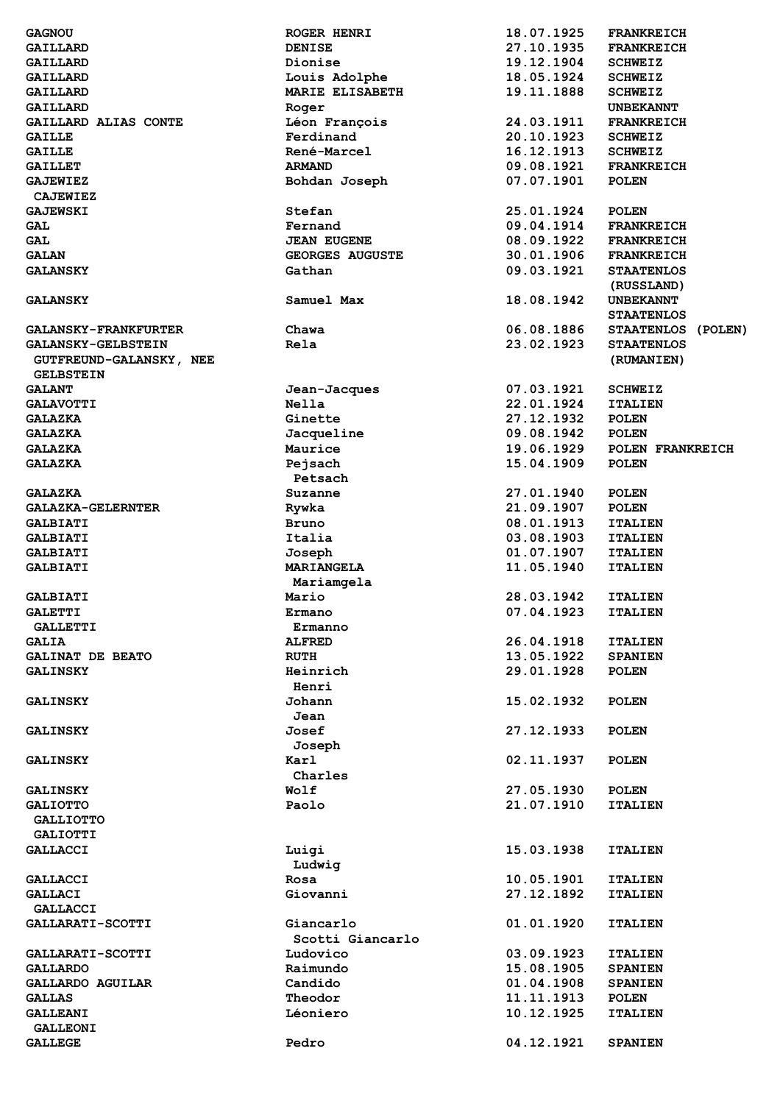| <b>GAGNOU</b>               | <b>ROGER HENRI</b>     | 18.07.1925 | <b>FRANKREICH</b>  |
|-----------------------------|------------------------|------------|--------------------|
| GAILLARD                    | <b>DENISE</b>          | 27.10.1935 | <b>FRANKREICH</b>  |
| GAILLARD                    | Dionise                | 19.12.1904 | <b>SCHWEIZ</b>     |
| GAILLARD                    | Louis Adolphe          | 18.05.1924 | <b>SCHWEIZ</b>     |
| GAILLARD                    | MARIE ELISABETH        | 19.11.1888 | <b>SCHWEIZ</b>     |
| GAILLARD                    | Roger                  |            | <b>UNBEKANNT</b>   |
| GAILLARD ALIAS CONTE        | Léon François          | 24.03.1911 | <b>FRANKREICH</b>  |
|                             | Ferdinand              |            |                    |
| <b>GAILLE</b>               |                        | 20.10.1923 | <b>SCHWEIZ</b>     |
| <b>GAILLE</b>               | René-Marcel            | 16.12.1913 | <b>SCHWEIZ</b>     |
| <b>GAILLET</b>              | <b>ARMAND</b>          | 09.08.1921 | <b>FRANKREICH</b>  |
| <b>GAJEWIEZ</b>             | Bohdan Joseph          | 07.07.1901 | <b>POLEN</b>       |
| <b>CAJEWIEZ</b>             |                        |            |                    |
| <b>GAJEWSKI</b>             | Stefan                 | 25.01.1924 | <b>POLEN</b>       |
| GAL                         | Fernand                | 09.04.1914 | <b>FRANKREICH</b>  |
| <b>GAL</b>                  | <b>JEAN EUGENE</b>     | 08.09.1922 | <b>FRANKREICH</b>  |
| <b>GALAN</b>                | <b>GEORGES AUGUSTE</b> | 30.01.1906 | <b>FRANKREICH</b>  |
| <b>GALANSKY</b>             | Gathan                 | 09.03.1921 | <b>STAATENLOS</b>  |
|                             |                        |            | (RUSSLAND)         |
| <b>GALANSKY</b>             | Samuel Max             | 18.08.1942 | <b>UNBEKANNT</b>   |
|                             |                        |            |                    |
|                             |                        |            | <b>STAATENLOS</b>  |
| <b>GALANSKY-FRANKFURTER</b> | Chawa                  | 06.08.1886 | STAATENLOS (POLEN) |
| <b>GALANSKY-GELBSTEIN</b>   | Rela                   | 23.02.1923 | <b>STAATENLOS</b>  |
| GUTFREUND-GALANSKY, NEE     |                        |            | (RUMANIEN)         |
| <b>GELBSTEIN</b>            |                        |            |                    |
| <b>GALANT</b>               | Jean-Jacques           | 07.03.1921 | <b>SCHWEIZ</b>     |
| <b>GALAVOTTI</b>            | Nella                  | 22.01.1924 | <b>ITALIEN</b>     |
| <b>GALAZKA</b>              | Ginette                | 27.12.1932 | <b>POLEN</b>       |
| <b>GALAZKA</b>              | Jacqueline             | 09.08.1942 | <b>POLEN</b>       |
| <b>GALAZKA</b>              | Maurice                | 19.06.1929 | POLEN FRANKREICH   |
| <b>GALAZKA</b>              | Pejsach                | 15.04.1909 | <b>POLEN</b>       |
|                             | Petsach                |            |                    |
|                             |                        | 27.01.1940 |                    |
| <b>GALAZKA</b>              | Suzanne                |            | <b>POLEN</b>       |
| <b>GALAZKA-GELERNTER</b>    | Rywka                  | 21.09.1907 | <b>POLEN</b>       |
| <b>GALBIATI</b>             | Bruno                  | 08.01.1913 | <b>ITALIEN</b>     |
| <b>GALBIATI</b>             | Italia                 | 03.08.1903 | <b>ITALIEN</b>     |
| <b>GALBIATI</b>             | Joseph                 | 01.07.1907 | <b>ITALIEN</b>     |
| <b>GALBIATI</b>             | <b>MARIANGELA</b>      | 11.05.1940 | <b>ITALIEN</b>     |
|                             | Mariamgela             |            |                    |
| <b>GALBIATI</b>             | Mario                  | 28.03.1942 | <b>ITALIEN</b>     |
| <b>GALETTI</b>              | Ermano                 | 07.04.1923 | <b>ITALIEN</b>     |
| <b>GALLETTI</b>             | Ermanno                |            |                    |
| <b>GALIA</b>                | <b>ALFRED</b>          | 26.04.1918 | <b>ITALIEN</b>     |
| GALINAT DE BEATO            | <b>RUTH</b>            | 13.05.1922 | <b>SPANIEN</b>     |
|                             | Heinrich               | 29.01.1928 | <b>POLEN</b>       |
| <b>GALINSKY</b>             |                        |            |                    |
|                             | Henri                  |            |                    |
| <b>GALINSKY</b>             | Johann                 | 15.02.1932 | <b>POLEN</b>       |
|                             | Jean                   |            |                    |
| <b>GALINSKY</b>             | Josef                  | 27.12.1933 | <b>POLEN</b>       |
|                             | Joseph                 |            |                    |
| <b>GALINSKY</b>             | Karl                   | 02.11.1937 | <b>POLEN</b>       |
|                             | Charles                |            |                    |
| <b>GALINSKY</b>             | Wolf                   | 27.05.1930 | <b>POLEN</b>       |
| <b>GALIOTTO</b>             | Paolo                  | 21.07.1910 | <b>ITALIEN</b>     |
| <b>GALLIOTTO</b>            |                        |            |                    |
| <b>GALIOTTI</b>             |                        |            |                    |
| <b>GALLACCI</b>             | Luigi                  | 15.03.1938 | <b>ITALIEN</b>     |
|                             |                        |            |                    |
|                             | Ludwig                 |            |                    |
| <b>GALLACCI</b>             | Rosa                   | 10.05.1901 | <b>ITALIEN</b>     |
| GALLACI                     | Giovanni               | 27.12.1892 | <b>ITALIEN</b>     |
| <b>GALLACCI</b>             |                        |            |                    |
| <b>GALLARATI-SCOTTI</b>     | Giancarlo              | 01.01.1920 | <b>ITALIEN</b>     |
|                             | Scotti Giancarlo       |            |                    |
| GALLARATI-SCOTTI            | Ludovico               | 03.09.1923 | <b>ITALIEN</b>     |
| <b>GALLARDO</b>             | Raimundo               | 15.08.1905 | <b>SPANIEN</b>     |
| GALLARDO AGUILAR            | Candido                | 01.04.1908 | <b>SPANIEN</b>     |
| <b>GALLAS</b>               | Theodor                | 11.11.1913 | <b>POLEN</b>       |
| <b>GALLEANI</b>             | Léoniero               | 10.12.1925 | <b>ITALIEN</b>     |
| <b>GALLEONI</b>             |                        |            |                    |
| <b>GALLEGE</b>              | Pedro                  | 04.12.1921 |                    |
|                             |                        |            | <b>SPANIEN</b>     |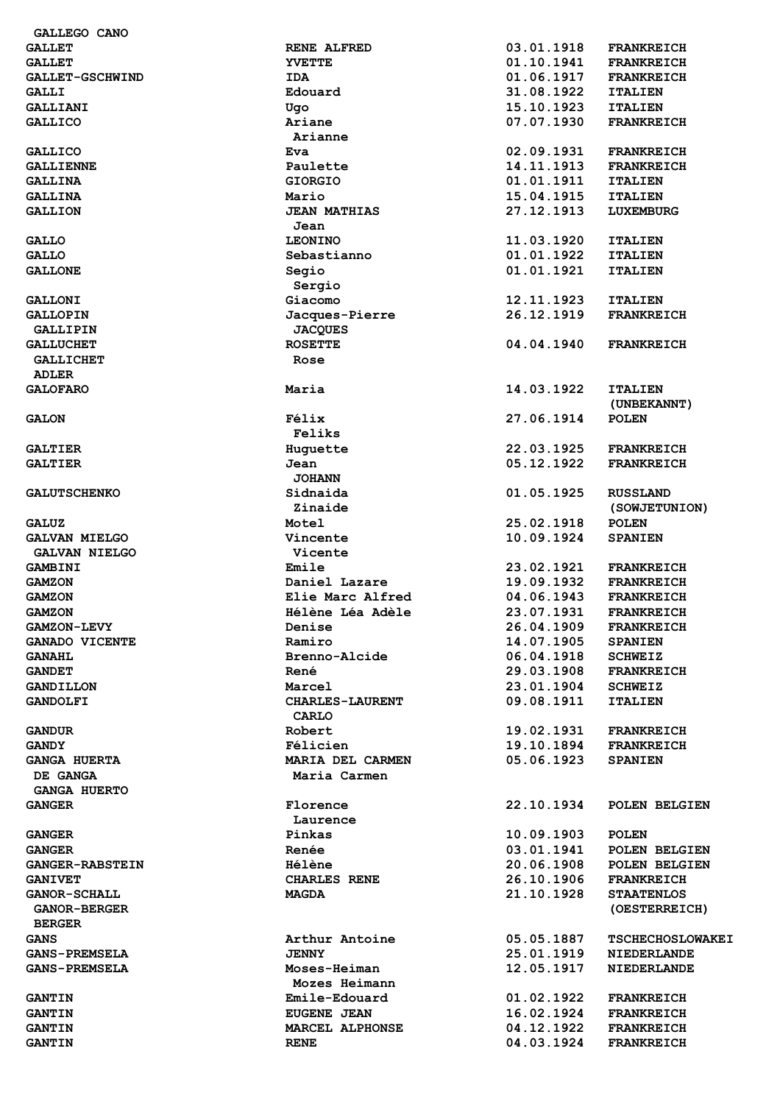| GALLEGO CANO           |                        |            |                         |
|------------------------|------------------------|------------|-------------------------|
| <b>GALLET</b>          | <b>RENE ALFRED</b>     | 03.01.1918 | <b>FRANKREICH</b>       |
| <b>GALLET</b>          | <b>YVETTE</b>          | 01.10.1941 | <b>FRANKREICH</b>       |
| GALLET-GSCHWIND        | <b>IDA</b>             | 01.06.1917 | <b>FRANKREICH</b>       |
| GALLI                  | Edouard                | 31.08.1922 | <b>ITALIEN</b>          |
| GALLIANI               | Ugo                    | 15.10.1923 | <b>ITALIEN</b>          |
| <b>GALLICO</b>         | Ariane                 | 07.07.1930 | <b>FRANKREICH</b>       |
|                        | Arianne                |            |                         |
| <b>GALLICO</b>         | Eva                    | 02.09.1931 | <b>FRANKREICH</b>       |
| <b>GALLIENNE</b>       | Paulette               | 14.11.1913 | <b>FRANKREICH</b>       |
|                        |                        |            |                         |
| <b>GALLINA</b>         | <b>GIORGIO</b>         | 01.01.1911 | <b>ITALIEN</b>          |
| <b>GALLINA</b>         | Mario                  | 15.04.1915 | <b>ITALIEN</b>          |
| <b>GALLION</b>         | <b>JEAN MATHIAS</b>    | 27.12.1913 | LUXEMBURG               |
|                        | Jean                   |            |                         |
| <b>GALLO</b>           | <b>LEONINO</b>         | 11.03.1920 | <b>ITALIEN</b>          |
| <b>GALLO</b>           | Sebastianno            | 01.01.1922 | <b>ITALIEN</b>          |
| <b>GALLONE</b>         | Segio                  | 01.01.1921 | <b>ITALIEN</b>          |
|                        | Sergio                 |            |                         |
| <b>GALLONI</b>         | Giacomo                | 12.11.1923 | <b>ITALIEN</b>          |
| <b>GALLOPIN</b>        | Jacques-Pierre         | 26.12.1919 | <b>FRANKREICH</b>       |
|                        |                        |            |                         |
| GALLIPIN               | <b>JACQUES</b>         |            |                         |
| <b>GALLUCHET</b>       | <b>ROSETTE</b>         | 04.04.1940 | <b>FRANKREICH</b>       |
| <b>GALLICHET</b>       | Rose                   |            |                         |
| <b>ADLER</b>           |                        |            |                         |
| <b>GALOFARO</b>        | Maria                  | 14.03.1922 | <b>ITALIEN</b>          |
|                        |                        |            | (UNBEKANNT)             |
| <b>GALON</b>           | Félix                  | 27.06.1914 | <b>POLEN</b>            |
|                        | Feliks                 |            |                         |
| <b>GALTIER</b>         | Huguette               | 22.03.1925 | <b>FRANKREICH</b>       |
| <b>GALTIER</b>         | Jean                   | 05.12.1922 | <b>FRANKREICH</b>       |
|                        | <b>JOHANN</b>          |            |                         |
|                        |                        |            |                         |
| <b>GALUTSCHENKO</b>    | Sidnaida               | 01.05.1925 | <b>RUSSLAND</b>         |
|                        | Zinaide                |            | (SOWJETUNION)           |
| <b>GALUZ</b>           | Motel                  | 25.02.1918 | <b>POLEN</b>            |
| <b>GALVAN MIELGO</b>   | Vincente               | 10.09.1924 | <b>SPANIEN</b>          |
| <b>GALVAN NIELGO</b>   | Vicente                |            |                         |
| GAMBINI                | Emile                  | 23.02.1921 | <b>FRANKREICH</b>       |
| <b>GAMZON</b>          | Daniel Lazare          | 19.09.1932 | <b>FRANKREICH</b>       |
| <b>GAMZON</b>          | Elie Marc Alfred       | 04.06.1943 | <b>FRANKREICH</b>       |
| <b>GAMZON</b>          | Hélène Léa Adèle       | 23.07.1931 | <b>FRANKREICH</b>       |
|                        |                        |            |                         |
| <b>GAMZON-LEVY</b>     | Denise                 | 26.04.1909 | <b>FRANKREICH</b>       |
| <b>GANADO VICENTE</b>  | Ramiro                 | 14.07.1905 | <b>SPANIEN</b>          |
| <b>GANAHL</b>          | Brenno-Alcide          | 06.04.1918 | <b>SCHWEIZ</b>          |
| <b>GANDET</b>          | René                   | 29.03.1908 | <b>FRANKREICH</b>       |
| <b>GANDILLON</b>       | Marcel                 | 23.01.1904 | <b>SCHWEIZ</b>          |
| <b>GANDOLFI</b>        | <b>CHARLES-LAURENT</b> | 09.08.1911 | <b>ITALIEN</b>          |
|                        | <b>CARLO</b>           |            |                         |
| <b>GANDUR</b>          | Robert                 | 19.02.1931 | <b>FRANKREICH</b>       |
| <b>GANDY</b>           | Félicien               | 19.10.1894 | <b>FRANKREICH</b>       |
| <b>GANGA HUERTA</b>    | MARIA DEL CARMEN       | 05.06.1923 | <b>SPANIEN</b>          |
| DE GANGA               | Maria Carmen           |            |                         |
|                        |                        |            |                         |
| <b>GANGA HUERTO</b>    |                        |            |                         |
| <b>GANGER</b>          | Florence               | 22.10.1934 | POLEN BELGIEN           |
|                        | Laurence               |            |                         |
| <b>GANGER</b>          | Pinkas                 | 10.09.1903 | <b>POLEN</b>            |
| <b>GANGER</b>          | Renée                  | 03.01.1941 | POLEN BELGIEN           |
| <b>GANGER-RABSTEIN</b> | <b>Hélène</b>          | 20.06.1908 | POLEN BELGIEN           |
| <b>GANIVET</b>         | <b>CHARLES RENE</b>    | 26.10.1906 | <b>FRANKREICH</b>       |
| <b>GANOR-SCHALL</b>    | <b>MAGDA</b>           | 21.10.1928 | <b>STAATENLOS</b>       |
| <b>GANOR-BERGER</b>    |                        |            | (OESTERREICH)           |
|                        |                        |            |                         |
| <b>BERGER</b>          |                        |            |                         |
| <b>GANS</b>            | Arthur Antoine         | 05.05.1887 | <b>TSCHECHOSLOWAKEI</b> |
| <b>GANS-PREMSELA</b>   | <b>JENNY</b>           | 25.01.1919 | <b>NIEDERLANDE</b>      |
| <b>GANS-PREMSELA</b>   | Moses-Heiman           | 12.05.1917 | <b>NIEDERLANDE</b>      |
|                        | Mozes Heimann          |            |                         |
| <b>GANTIN</b>          | Emile-Edouard          | 01.02.1922 | <b>FRANKREICH</b>       |
| <b>GANTIN</b>          | <b>EUGENE JEAN</b>     | 16.02.1924 | <b>FRANKREICH</b>       |
| <b>GANTIN</b>          | MARCEL ALPHONSE        | 04.12.1922 | <b>FRANKREICH</b>       |
| <b>GANTIN</b>          | <b>RENE</b>            | 04.03.1924 | <b>FRANKREICH</b>       |
|                        |                        |            |                         |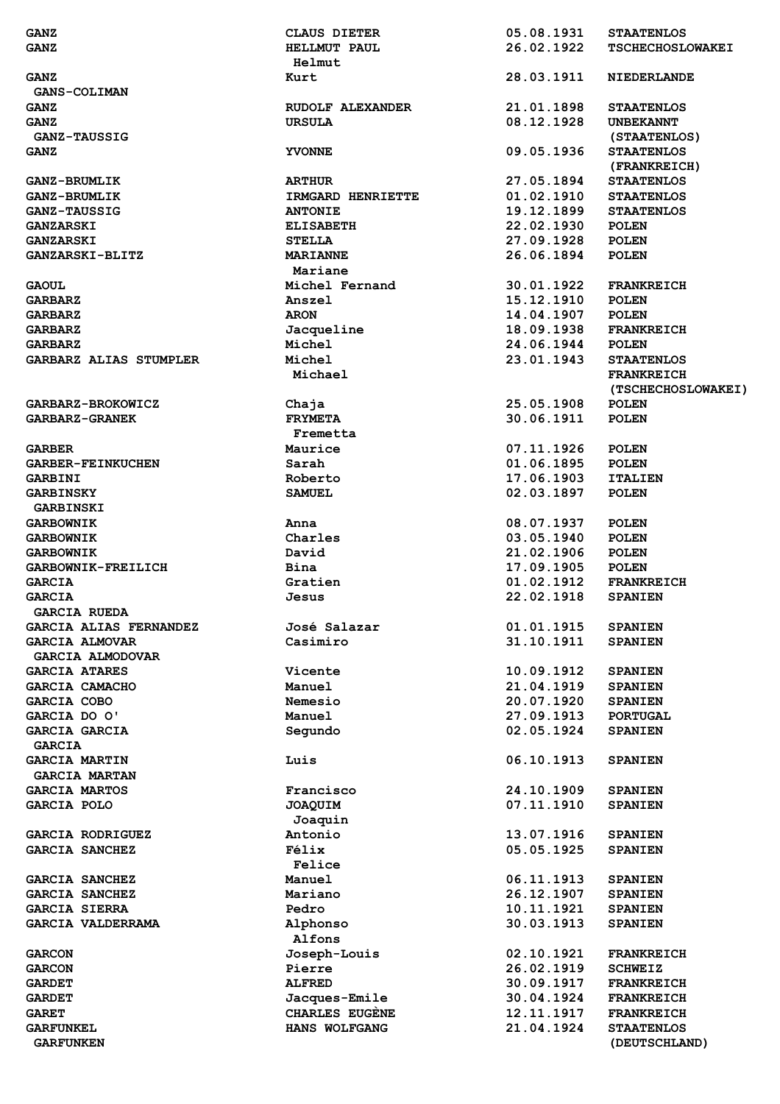| <b>GANZ</b>                   | <b>CLAUS DIETER</b> | 05.08.1931 | <b>STAATENLOS</b>       |
|-------------------------------|---------------------|------------|-------------------------|
| <b>GANZ</b>                   | <b>HELLMUT PAUL</b> | 26.02.1922 | <b>TSCHECHOSLOWAKEI</b> |
|                               | Helmut              |            |                         |
| <b>GANZ</b>                   | Kurt                | 28.03.1911 | <b>NIEDERLANDE</b>      |
| <b>GANS-COLIMAN</b>           |                     |            |                         |
| <b>GANZ</b>                   | RUDOLF ALEXANDER    | 21.01.1898 | <b>STAATENLOS</b>       |
| <b>GANZ</b>                   | <b>URSULA</b>       | 08.12.1928 | <b>UNBEKANNT</b>        |
| <b>GANZ-TAUSSIG</b>           |                     |            | (STAATENLOS)            |
| <b>GANZ</b>                   | <b>YVONNE</b>       | 09.05.1936 | <b>STAATENLOS</b>       |
|                               |                     |            | (FRANKREICH)            |
| <b>GANZ-BRUMLIK</b>           | <b>ARTHUR</b>       | 27.05.1894 | <b>STAATENLOS</b>       |
| <b>GANZ-BRUMLIK</b>           | IRMGARD HENRIETTE   | 01.02.1910 | <b>STAATENLOS</b>       |
| GANZ-TAUSSIG                  | <b>ANTONIE</b>      | 19.12.1899 | <b>STAATENLOS</b>       |
| <b>GANZARSKI</b>              | <b>ELISABETH</b>    | 22.02.1930 | <b>POLEN</b>            |
| <b>GANZARSKI</b>              | <b>STELLA</b>       | 27.09.1928 | <b>POLEN</b>            |
| <b>GANZARSKI-BLITZ</b>        | <b>MARIANNE</b>     | 26.06.1894 | <b>POLEN</b>            |
|                               | Mariane             |            |                         |
| <b>GAOUL</b>                  | Michel Fernand      | 30.01.1922 | <b>FRANKREICH</b>       |
| <b>GARBARZ</b>                | Anszel              | 15.12.1910 | <b>POLEN</b>            |
| <b>GARBARZ</b>                | <b>ARON</b>         | 14.04.1907 | POLEN                   |
| <b>GARBARZ</b>                | Jacqueline          | 18.09.1938 | <b>FRANKREICH</b>       |
| <b>GARBARZ</b>                | Michel              | 24.06.1944 | <b>POLEN</b>            |
| <b>GARBARZ ALIAS STUMPLER</b> | Michel              | 23.01.1943 | <b>STAATENLOS</b>       |
|                               |                     |            | <b>FRANKREICH</b>       |
|                               | Michael             |            |                         |
|                               |                     |            | (TSCHECHOSLOWAKEI)      |
| <b>GARBARZ-BROKOWICZ</b>      | Chaja               | 25.05.1908 | <b>POLEN</b>            |
| <b>GARBARZ-GRANEK</b>         | <b>FRYMETA</b>      | 30.06.1911 | <b>POLEN</b>            |
|                               | Fremetta            |            |                         |
| <b>GARBER</b>                 | Maurice             | 07.11.1926 | <b>POLEN</b>            |
| <b>GARBER-FEINKUCHEN</b>      | Sarah               | 01.06.1895 | <b>POLEN</b>            |
| GARBINI                       | Roberto             | 17.06.1903 | <b>ITALIEN</b>          |
| <b>GARBINSKY</b>              | <b>SAMUEL</b>       | 02.03.1897 | <b>POLEN</b>            |
| GARBINSKI                     |                     |            |                         |
| <b>GARBOWNIK</b>              | Anna                | 08.07.1937 | <b>POLEN</b>            |
| <b>GARBOWNIK</b>              | Charles             | 03.05.1940 | <b>POLEN</b>            |
| <b>GARBOWNIK</b>              | David               | 21.02.1906 | <b>POLEN</b>            |
| <b>GARBOWNIK-FREILICH</b>     | Bina                | 17.09.1905 | <b>POLEN</b>            |
| <b>GARCIA</b>                 | Gratien             | 01.02.1912 | <b>FRANKREICH</b>       |
| <b>GARCIA</b>                 | Jesus               | 22.02.1918 | <b>SPANIEN</b>          |
| <b>GARCIA RUEDA</b>           |                     |            |                         |
| <b>GARCIA ALIAS FERNANDEZ</b> | José Salazar        | 01.01.1915 | <b>SPANIEN</b>          |
| <b>GARCIA ALMOVAR</b>         | Casimiro            | 31.10.1911 | <b>SPANIEN</b>          |
| <b>GARCIA ALMODOVAR</b>       |                     |            |                         |
| <b>GARCIA ATARES</b>          | <b>Vicente</b>      | 10.09.1912 | <b>SPANIEN</b>          |
| <b>GARCIA CAMACHO</b>         | Manuel              | 21.04.1919 | <b>SPANIEN</b>          |
| <b>GARCIA COBO</b>            | Nemesio             | 20.07.1920 | <b>SPANIEN</b>          |
| GARCIA DO O'                  | Manuel              | 27.09.1913 | <b>PORTUGAL</b>         |
| GARCIA GARCIA                 | Segundo             | 02.05.1924 | <b>SPANIEN</b>          |
| <b>GARCIA</b>                 |                     |            |                         |
| <b>GARCIA MARTIN</b>          | Luis                | 06.10.1913 | <b>SPANIEN</b>          |
| <b>GARCIA MARTAN</b>          |                     |            |                         |
| <b>GARCIA MARTOS</b>          | Francisco           | 24.10.1909 | <b>SPANIEN</b>          |
| <b>GARCIA POLO</b>            | <b>JOAQUIM</b>      | 07.11.1910 | <b>SPANIEN</b>          |
|                               | Joaquin             |            |                         |
| <b>GARCIA RODRIGUEZ</b>       | Antonio             | 13.07.1916 | <b>SPANIEN</b>          |
| <b>GARCIA SANCHEZ</b>         | Félix               | 05.05.1925 | <b>SPANIEN</b>          |
|                               | Felice              |            |                         |
| <b>GARCIA SANCHEZ</b>         | Manuel              | 06.11.1913 | <b>SPANIEN</b>          |
| <b>GARCIA SANCHEZ</b>         | Mariano             | 26.12.1907 | <b>SPANIEN</b>          |
| <b>GARCIA SIERRA</b>          | Pedro               | 10.11.1921 | <b>SPANIEN</b>          |
| <b>GARCIA VALDERRAMA</b>      | Alphonso            | 30.03.1913 | <b>SPANIEN</b>          |
|                               | Alfons              |            |                         |
| <b>GARCON</b>                 | Joseph-Louis        | 02.10.1921 | <b>FRANKREICH</b>       |
| <b>GARCON</b>                 | Pierre              | 26.02.1919 | <b>SCHWEIZ</b>          |
| <b>GARDET</b>                 | <b>ALFRED</b>       | 30.09.1917 | <b>FRANKREICH</b>       |
| <b>GARDET</b>                 | Jacques-Emile       | 30.04.1924 | <b>FRANKREICH</b>       |
| <b>GARET</b>                  | CHARLES EUGENE      | 12.11.1917 | <b>FRANKREICH</b>       |
| <b>GARFUNKEL</b>              | HANS WOLFGANG       | 21.04.1924 | <b>STAATENLOS</b>       |
| <b>GARFUNKEN</b>              |                     |            | (DEUTSCHLAND)           |
|                               |                     |            |                         |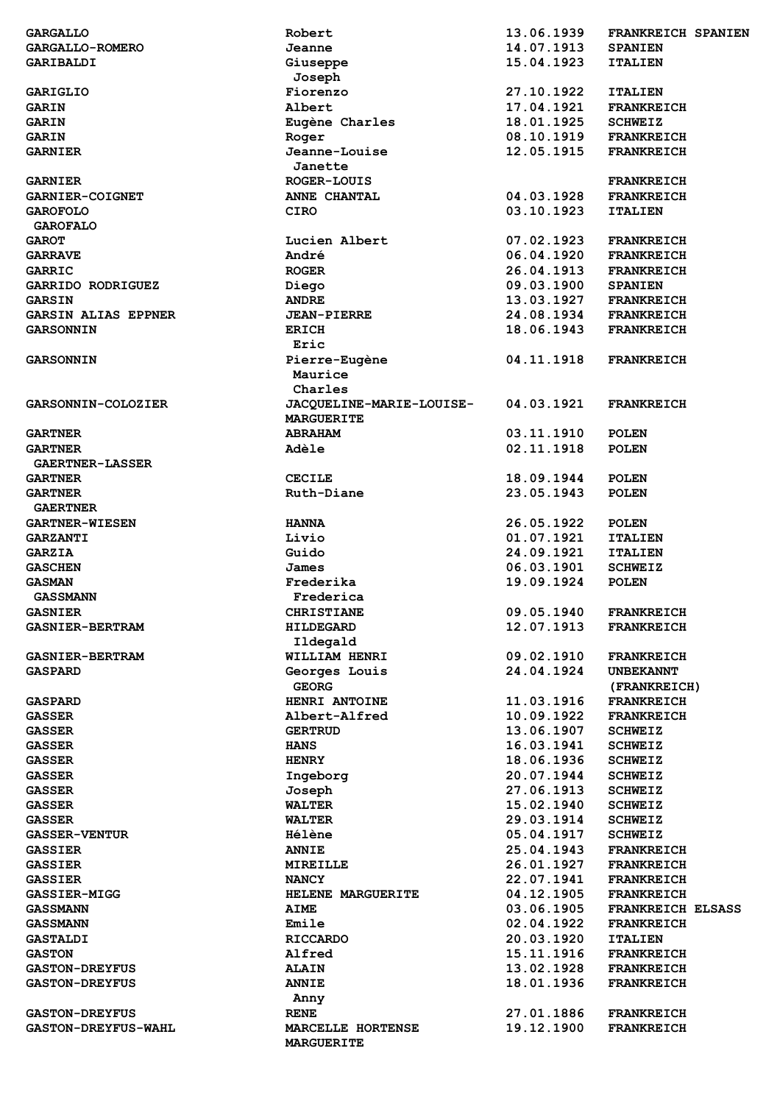| <b>GARGALLO</b>            | Robert                          | 13.06.1939 | FRANKREICH SPANIEN       |
|----------------------------|---------------------------------|------------|--------------------------|
| <b>GARGALLO-ROMERO</b>     | Jeanne                          | 14.07.1913 | <b>SPANIEN</b>           |
| GARIBALDI                  | Giuseppe                        | 15.04.1923 | <b>ITALIEN</b>           |
|                            | Joseph                          |            |                          |
| <b>GARIGLIO</b>            | Fiorenzo                        | 27.10.1922 | <b>ITALIEN</b>           |
| <b>GARIN</b>               | Albert                          | 17.04.1921 | <b>FRANKREICH</b>        |
| <b>GARIN</b>               | Eugène Charles                  | 18.01.1925 | <b>SCHWEIZ</b>           |
| <b>GARIN</b>               | Roger                           | 08.10.1919 | <b>FRANKREICH</b>        |
| <b>GARNIER</b>             | Jeanne-Louise                   | 12.05.1915 |                          |
|                            |                                 |            | <b>FRANKREICH</b>        |
|                            | Janette                         |            |                          |
| <b>GARNIER</b>             | <b>ROGER-LOUIS</b>              |            | <b>FRANKREICH</b>        |
| <b>GARNIER-COIGNET</b>     | ANNE CHANTAL                    | 04.03.1928 | <b>FRANKREICH</b>        |
| <b>GAROFOLO</b>            | <b>CIRO</b>                     | 03.10.1923 | <b>ITALIEN</b>           |
| <b>GAROFALO</b>            |                                 |            |                          |
| <b>GAROT</b>               | Lucien Albert                   | 07.02.1923 | <b>FRANKREICH</b>        |
| <b>GARRAVE</b>             | André                           | 06.04.1920 | <b>FRANKREICH</b>        |
| GARRIC                     | <b>ROGER</b>                    | 26.04.1913 | <b>FRANKREICH</b>        |
| GARRIDO RODRIGUEZ          | Diego                           | 09.03.1900 | <b>SPANIEN</b>           |
| <b>GARSIN</b>              | <b>ANDRE</b>                    | 13.03.1927 | <b>FRANKREICH</b>        |
| <b>GARSIN ALIAS EPPNER</b> | <b>JEAN-PIERRE</b>              | 24.08.1934 | <b>FRANKREICH</b>        |
| <b>GARSONNIN</b>           | <b>ERICH</b>                    | 18.06.1943 | <b>FRANKREICH</b>        |
|                            | Eric                            |            |                          |
| <b>GARSONNIN</b>           | Pierre-Eugène                   | 04.11.1918 | <b>FRANKREICH</b>        |
|                            | Maurice                         |            |                          |
|                            |                                 |            |                          |
|                            | Charles                         |            |                          |
| <b>GARSONNIN-COLOZIER</b>  | <b>JACQUELINE-MARIE-LOUISE-</b> | 04.03.1921 | <b>FRANKREICH</b>        |
|                            | <b>MARGUERITE</b>               |            |                          |
| <b>GARTNER</b>             | <b>ABRAHAM</b>                  | 03.11.1910 | <b>POLEN</b>             |
| <b>GARTNER</b>             | Adèle                           | 02.11.1918 | <b>POLEN</b>             |
| <b>GAERTNER-LASSER</b>     |                                 |            |                          |
| <b>GARTNER</b>             | <b>CECILE</b>                   | 18.09.1944 | <b>POLEN</b>             |
| <b>GARTNER</b>             | Ruth-Diane                      | 23.05.1943 | <b>POLEN</b>             |
| <b>GAERTNER</b>            |                                 |            |                          |
| <b>GARTNER-WIESEN</b>      | <b>HANNA</b>                    | 26.05.1922 | <b>POLEN</b>             |
| <b>GARZANTI</b>            | Livio                           | 01.07.1921 | <b>ITALIEN</b>           |
| <b>GARZIA</b>              | Guido                           | 24.09.1921 | <b>ITALIEN</b>           |
| <b>GASCHEN</b>             | James                           | 06.03.1901 | <b>SCHWEIZ</b>           |
| <b>GASMAN</b>              | Frederika                       | 19.09.1924 | <b>POLEN</b>             |
| <b>GASSMANN</b>            | Frederica                       |            |                          |
| <b>GASNIER</b>             | <b>CHRISTIANE</b>               | 09.05.1940 | <b>FRANKREICH</b>        |
| <b>GASNIER-BERTRAM</b>     |                                 | 12.07.1913 | <b>FRANKREICH</b>        |
|                            | <b>HILDEGARD</b>                |            |                          |
|                            | Ildegald                        |            |                          |
| <b>GASNIER-BERTRAM</b>     | WILLIAM HENRI                   | 09.02.1910 | <b>FRANKREICH</b>        |
| <b>GASPARD</b>             | Georges Louis                   | 24.04.1924 | <b>UNBEKANNT</b>         |
|                            | <b>GEORG</b>                    |            | (FRANKREICH)             |
| <b>GASPARD</b>             | HENRI ANTOINE                   | 11.03.1916 | <b>FRANKREICH</b>        |
| <b>GASSER</b>              | Albert-Alfred                   | 10.09.1922 | <b>FRANKREICH</b>        |
| <b>GASSER</b>              | <b>GERTRUD</b>                  | 13.06.1907 | <b>SCHWEIZ</b>           |
| <b>GASSER</b>              | <b>HANS</b>                     | 16.03.1941 | <b>SCHWEIZ</b>           |
| <b>GASSER</b>              | <b>HENRY</b>                    | 18.06.1936 | <b>SCHWEIZ</b>           |
| <b>GASSER</b>              | Ingeborg                        | 20.07.1944 | <b>SCHWEIZ</b>           |
| <b>GASSER</b>              | Joseph                          | 27.06.1913 | <b>SCHWEIZ</b>           |
| <b>GASSER</b>              | <b>WALTER</b>                   | 15.02.1940 | <b>SCHWEIZ</b>           |
| <b>GASSER</b>              | <b>WALTER</b>                   | 29.03.1914 | <b>SCHWEIZ</b>           |
| <b>GASSER-VENTUR</b>       | <b>Hélène</b>                   | 05.04.1917 | <b>SCHWEIZ</b>           |
| <b>GASSIER</b>             | <b>ANNIE</b>                    | 25.04.1943 | <b>FRANKREICH</b>        |
| <b>GASSIER</b>             | <b>MIREILLE</b>                 | 26.01.1927 | <b>FRANKREICH</b>        |
| <b>GASSIER</b>             | <b>NANCY</b>                    | 22.07.1941 | <b>FRANKREICH</b>        |
| <b>GASSIER-MIGG</b>        | HELENE MARGUERITE               | 04.12.1905 | <b>FRANKREICH</b>        |
|                            | <b>AIME</b>                     | 03.06.1905 |                          |
| <b>GASSMANN</b>            | Emile                           |            | <b>FRANKREICH ELSASS</b> |
| <b>GASSMANN</b>            |                                 | 02.04.1922 | <b>FRANKREICH</b>        |
| <b>GASTALDI</b>            | <b>RICCARDO</b>                 | 20.03.1920 | <b>ITALIEN</b>           |
| <b>GASTON</b>              | Alfred                          | 15.11.1916 | <b>FRANKREICH</b>        |
| <b>GASTON-DREYFUS</b>      | <b>ALAIN</b>                    | 13.02.1928 | <b>FRANKREICH</b>        |
| <b>GASTON-DREYFUS</b>      | <b>ANNIE</b>                    | 18.01.1936 | <b>FRANKREICH</b>        |
|                            | Anny                            |            |                          |
| <b>GASTON-DREYFUS</b>      | <b>RENE</b>                     | 27.01.1886 | <b>FRANKREICH</b>        |
| <b>GASTON-DREYFUS-WAHL</b> | MARCELLE HORTENSE               | 19.12.1900 | <b>FRANKREICH</b>        |
|                            |                                 |            |                          |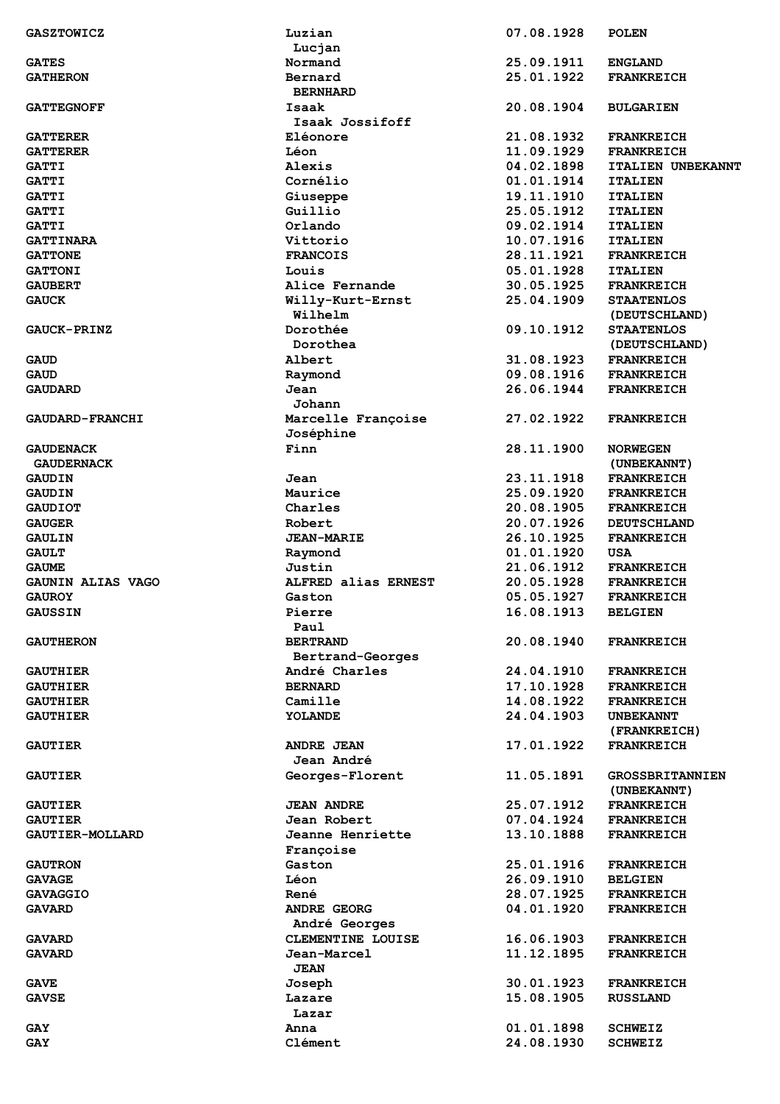| <b>GASZTOWICZ</b>        | Luzian              | 07.08.1928 | <b>POLEN</b>             |
|--------------------------|---------------------|------------|--------------------------|
|                          | Lucjan              |            |                          |
| <b>GATES</b>             | Normand             | 25.09.1911 | <b>ENGLAND</b>           |
| <b>GATHERON</b>          | Bernard             | 25.01.1922 | <b>FRANKREICH</b>        |
|                          | <b>BERNHARD</b>     |            |                          |
| <b>GATTEGNOFF</b>        | Isaak               | 20.08.1904 | <b>BULGARIEN</b>         |
|                          | Isaak Jossifoff     |            |                          |
|                          |                     |            |                          |
| <b>GATTERER</b>          | Eléonore            | 21.08.1932 | <b>FRANKREICH</b>        |
| <b>GATTERER</b>          | Léon                | 11.09.1929 | <b>FRANKREICH</b>        |
| <b>GATTI</b>             | Alexis              | 04.02.1898 | <b>ITALIEN UNBEKANNT</b> |
| <b>GATTI</b>             | Cornélio            | 01.01.1914 | <b>ITALIEN</b>           |
| <b>GATTI</b>             | Giuseppe            | 19.11.1910 | <b>ITALIEN</b>           |
| <b>GATTI</b>             | Guillio             | 25.05.1912 | <b>ITALIEN</b>           |
| <b>GATTI</b>             | Orlando             | 09.02.1914 | <b>ITALIEN</b>           |
| <b>GATTINARA</b>         | Vittorio            | 10.07.1916 | <b>ITALIEN</b>           |
| <b>GATTONE</b>           | <b>FRANCOIS</b>     | 28.11.1921 | <b>FRANKREICH</b>        |
|                          |                     |            |                          |
| <b>GATTONI</b>           | Louis               | 05.01.1928 | <b>ITALIEN</b>           |
| <b>GAUBERT</b>           | Alice Fernande      | 30.05.1925 | <b>FRANKREICH</b>        |
| <b>GAUCK</b>             | Willy-Kurt-Ernst    | 25.04.1909 | <b>STAATENLOS</b>        |
|                          | Wilhelm             |            | (DEUTSCHLAND)            |
| <b>GAUCK-PRINZ</b>       | Dorothée            | 09.10.1912 | <b>STAATENLOS</b>        |
|                          | Dorothea            |            | (DEUTSCHLAND)            |
| <b>GAUD</b>              | Albert              | 31.08.1923 | <b>FRANKREICH</b>        |
| <b>GAUD</b>              | Raymond             | 09.08.1916 | <b>FRANKREICH</b>        |
| <b>GAUDARD</b>           | Jean                | 26.06.1944 | <b>FRANKREICH</b>        |
|                          | Johann              |            |                          |
|                          |                     |            |                          |
| <b>GAUDARD-FRANCHI</b>   | Marcelle Françoise  | 27.02.1922 | <b>FRANKREICH</b>        |
|                          | Joséphine           |            |                          |
| <b>GAUDENACK</b>         | Finn                | 28.11.1900 | <b>NORWEGEN</b>          |
| <b>GAUDERNACK</b>        |                     |            | (UNBEKANNT)              |
| <b>GAUDIN</b>            | Jean                | 23.11.1918 | <b>FRANKREICH</b>        |
| <b>GAUDIN</b>            | Maurice             | 25.09.1920 | <b>FRANKREICH</b>        |
| <b>GAUDIOT</b>           | Charles             | 20.08.1905 | <b>FRANKREICH</b>        |
| <b>GAUGER</b>            | Robert              | 20.07.1926 | <b>DEUTSCHLAND</b>       |
| <b>GAULIN</b>            | <b>JEAN-MARIE</b>   | 26.10.1925 | <b>FRANKREICH</b>        |
| <b>GAULT</b>             |                     | 01.01.1920 | USA                      |
|                          | Raymond             |            |                          |
| <b>GAUME</b>             | Justin              | 21.06.1912 | <b>FRANKREICH</b>        |
| <b>GAUNIN ALIAS VAGO</b> | ALFRED alias ERNEST | 20.05.1928 | <b>FRANKREICH</b>        |
| <b>GAUROY</b>            | Gaston              | 05.05.1927 | <b>FRANKREICH</b>        |
| <b>GAUSSIN</b>           | Pierre              | 16.08.1913 | <b>BELGIEN</b>           |
|                          | Paul                |            |                          |
| <b>GAUTHERON</b>         | <b>BERTRAND</b>     | 20.08.1940 | <b>FRANKREICH</b>        |
|                          | Bertrand-Georges    |            |                          |
| <b>GAUTHIER</b>          | André Charles       | 24.04.1910 | <b>FRANKREICH</b>        |
| <b>GAUTHIER</b>          | <b>BERNARD</b>      | 17.10.1928 | <b>FRANKREICH</b>        |
| <b>GAUTHIER</b>          | Camille             | 14.08.1922 | <b>FRANKREICH</b>        |
|                          |                     |            |                          |
| <b>GAUTHIER</b>          | YOLANDE             | 24.04.1903 | <b>UNBEKANNT</b>         |
|                          |                     |            | (FRANKREICH)             |
| <b>GAUTIER</b>           | <b>ANDRE JEAN</b>   | 17.01.1922 | <b>FRANKREICH</b>        |
|                          | Jean André          |            |                          |
| <b>GAUTIER</b>           | Georges-Florent     | 11.05.1891 | <b>GROSSBRITANNIEN</b>   |
|                          |                     |            | (UNBEKANNT)              |
| <b>GAUTIER</b>           | <b>JEAN ANDRE</b>   | 25.07.1912 | <b>FRANKREICH</b>        |
| <b>GAUTIER</b>           | Jean Robert         | 07.04.1924 | <b>FRANKREICH</b>        |
| <b>GAUTIER-MOLLARD</b>   | Jeanne Henriette    | 13.10.1888 | <b>FRANKREICH</b>        |
|                          |                     |            |                          |
|                          | Françoise           |            |                          |
| <b>GAUTRON</b>           | Gaston              | 25.01.1916 | <b>FRANKREICH</b>        |
| <b>GAVAGE</b>            | Léon                | 26.09.1910 | <b>BELGIEN</b>           |
| <b>GAVAGGIO</b>          | René                | 28.07.1925 | <b>FRANKREICH</b>        |
| <b>GAVARD</b>            | <b>ANDRE GEORG</b>  | 04.01.1920 | <b>FRANKREICH</b>        |
|                          | André Georges       |            |                          |
| <b>GAVARD</b>            | CLEMENTINE LOUISE   | 16.06.1903 | <b>FRANKREICH</b>        |
| <b>GAVARD</b>            | Jean-Marcel         | 11.12.1895 | <b>FRANKREICH</b>        |
|                          | <b>JEAN</b>         |            |                          |
| <b>GAVE</b>              | Joseph              | 30.01.1923 | <b>FRANKREICH</b>        |
|                          |                     |            |                          |
| <b>GAVSE</b>             | Lazare              | 15.08.1905 | <b>RUSSLAND</b>          |
|                          | Lazar               |            |                          |
| <b>GAY</b>               | Anna                | 01.01.1898 | <b>SCHWEIZ</b>           |
| <b>GAY</b>               | Clément             | 24.08.1930 | <b>SCHWEIZ</b>           |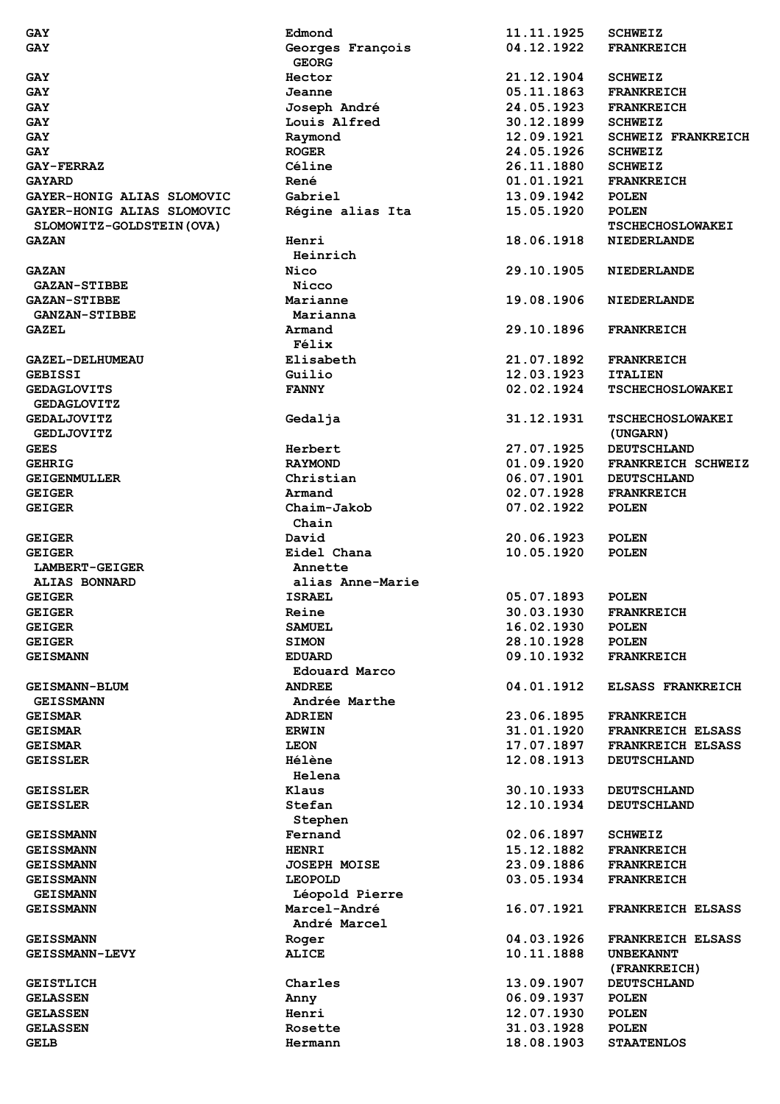| GAY                        | Edmond              | 11.11.1925 | <b>SCHWEIZ</b>            |
|----------------------------|---------------------|------------|---------------------------|
| <b>GAY</b>                 | Georges François    | 04.12.1922 | <b>FRANKREICH</b>         |
|                            | <b>GEORG</b>        |            |                           |
|                            | Hector              | 21.12.1904 |                           |
| <b>GAY</b>                 |                     |            | <b>SCHWEIZ</b>            |
| <b>GAY</b>                 | Jeanne              | 05.11.1863 | <b>FRANKREICH</b>         |
| GAY                        | Joseph André        | 24.05.1923 | <b>FRANKREICH</b>         |
| GAY                        | Louis Alfred        | 30.12.1899 | <b>SCHWEIZ</b>            |
| GAY                        | Raymond             | 12.09.1921 | <b>SCHWEIZ FRANKREICH</b> |
| <b>GAY</b>                 | <b>ROGER</b>        | 24.05.1926 | <b>SCHWEIZ</b>            |
| <b>GAY-FERRAZ</b>          | Céline              | 26.11.1880 | <b>SCHWEIZ</b>            |
| <b>GAYARD</b>              | René                | 01.01.1921 | <b>FRANKREICH</b>         |
|                            |                     |            |                           |
| GAYER-HONIG ALIAS SLOMOVIC | Gabriel             | 13.09.1942 | <b>POLEN</b>              |
| GAYER-HONIG ALIAS SLOMOVIC | Régine alias Ita    | 15.05.1920 | <b>POLEN</b>              |
| SLOMOWITZ-GOLDSTEIN (OVA)  |                     |            | <b>TSCHECHOSLOWAKEI</b>   |
| <b>GAZAN</b>               | Henri               | 18.06.1918 | <b>NIEDERLANDE</b>        |
|                            | Heinrich            |            |                           |
| <b>GAZAN</b>               | Nico                | 29.10.1905 | <b>NIEDERLANDE</b>        |
| <b>GAZAN-STIBBE</b>        | Nicco               |            |                           |
|                            |                     |            |                           |
| <b>GAZAN-STIBBE</b>        | Marianne            | 19.08.1906 | <b>NIEDERLANDE</b>        |
| <b>GANZAN-STIBBE</b>       | Marianna            |            |                           |
| <b>GAZEL</b>               | Armand              | 29.10.1896 | <b>FRANKREICH</b>         |
|                            | Félix               |            |                           |
| <b>GAZEL-DELHUMEAU</b>     | Elisabeth           | 21.07.1892 | <b>FRANKREICH</b>         |
| <b>GEBISSI</b>             | Guilio              | 12.03.1923 | <b>ITALIEN</b>            |
| <b>GEDAGLOVITS</b>         |                     | 02.02.1924 | <b>TSCHECHOSLOWAKEI</b>   |
|                            | <b>FANNY</b>        |            |                           |
| <b>GEDAGLOVITZ</b>         |                     |            |                           |
| <b>GEDALJOVITZ</b>         | Gedalja             | 31.12.1931 | <b>TSCHECHOSLOWAKEI</b>   |
| <b>GEDLJOVITZ</b>          |                     |            | (UNGARN)                  |
| <b>GEES</b>                | Herbert             | 27.07.1925 | <b>DEUTSCHLAND</b>        |
| <b>GEHRIG</b>              | <b>RAYMOND</b>      | 01.09.1920 | FRANKREICH SCHWEIZ        |
| <b>GEIGENMULLER</b>        | Christian           | 06.07.1901 | <b>DEUTSCHLAND</b>        |
|                            | Armand              | 02.07.1928 | <b>FRANKREICH</b>         |
| <b>GEIGER</b>              |                     |            |                           |
| <b>GEIGER</b>              | Chaim-Jakob         | 07.02.1922 | <b>POLEN</b>              |
|                            | Chain               |            |                           |
| <b>GEIGER</b>              | David               | 20.06.1923 | <b>POLEN</b>              |
| <b>GEIGER</b>              | Eidel Chana         | 10.05.1920 | <b>POLEN</b>              |
| LAMBERT-GEIGER             | Annette             |            |                           |
| <b>ALIAS BONNARD</b>       | alias Anne-Marie    |            |                           |
| <b>GEIGER</b>              | <b>ISRAEL</b>       | 05.07.1893 | <b>POLEN</b>              |
|                            | Reine               | 30.03.1930 |                           |
| <b>GEIGER</b>              |                     |            | <b>FRANKREICH</b>         |
| <b>GEIGER</b>              | <b>SAMUEL</b>       | 16.02.1930 | <b>POLEN</b>              |
| <b>GEIGER</b>              | <b>SIMON</b>        | 28.10.1928 | <b>POLEN</b>              |
| <b>GEISMANN</b>            | <b>EDUARD</b>       | 09.10.1932 | <b>FRANKREICH</b>         |
|                            | Edouard Marco       |            |                           |
| <b>GEISMANN-BLUM</b>       | <b>ANDREE</b>       | 04.01.1912 | <b>ELSASS FRANKREICH</b>  |
| <b>GEISSMANN</b>           | Andrée Marthe       |            |                           |
| <b>GEISMAR</b>             | <b>ADRIEN</b>       | 23.06.1895 | <b>FRANKREICH</b>         |
|                            |                     | 31.01.1920 | <b>FRANKREICH ELSASS</b>  |
| <b>GEISMAR</b>             | <b>ERWIN</b>        |            |                           |
| <b>GEISMAR</b>             | <b>LEON</b>         | 17.07.1897 | <b>FRANKREICH ELSASS</b>  |
| <b>GEISSLER</b>            | <b>Hélène</b>       | 12.08.1913 | <b>DEUTSCHLAND</b>        |
|                            | Helena              |            |                           |
| <b>GEISSLER</b>            | Klaus               | 30.10.1933 | <b>DEUTSCHLAND</b>        |
| <b>GEISSLER</b>            | Stefan              | 12.10.1934 | <b>DEUTSCHLAND</b>        |
|                            | Stephen             |            |                           |
| <b>GEISSMANN</b>           | Fernand             | 02.06.1897 | <b>SCHWEIZ</b>            |
| <b>GEISSMANN</b>           | <b>HENRI</b>        | 15.12.1882 | <b>FRANKREICH</b>         |
|                            |                     |            |                           |
| <b>GEISSMANN</b>           | <b>JOSEPH MOISE</b> | 23.09.1886 | <b>FRANKREICH</b>         |
| <b>GEISSMANN</b>           | LEOPOLD             | 03.05.1934 | <b>FRANKREICH</b>         |
| <b>GEISMANN</b>            | Léopold Pierre      |            |                           |
| <b>GEISSMANN</b>           | Marcel-André        | 16.07.1921 | <b>FRANKREICH ELSASS</b>  |
|                            | André Marcel        |            |                           |
| <b>GEISSMANN</b>           | Roger               | 04.03.1926 | <b>FRANKREICH ELSASS</b>  |
| <b>GEISSMANN-LEVY</b>      | <b>ALICE</b>        | 10.11.1888 | <b>UNBEKANNT</b>          |
|                            |                     |            | (FRANKREICH)              |
|                            |                     |            |                           |
| <b>GEISTLICH</b>           | Charles             | 13.09.1907 | <b>DEUTSCHLAND</b>        |
| <b>GELASSEN</b>            | Anny                | 06.09.1937 | <b>POLEN</b>              |
| <b>GELASSEN</b>            | Henri               | 12.07.1930 | <b>POLEN</b>              |
| <b>GELASSEN</b>            | Rosette             | 31.03.1928 | <b>POLEN</b>              |
| <b>GELB</b>                | Hermann             | 18.08.1903 | <b>STAATENLOS</b>         |
|                            |                     |            |                           |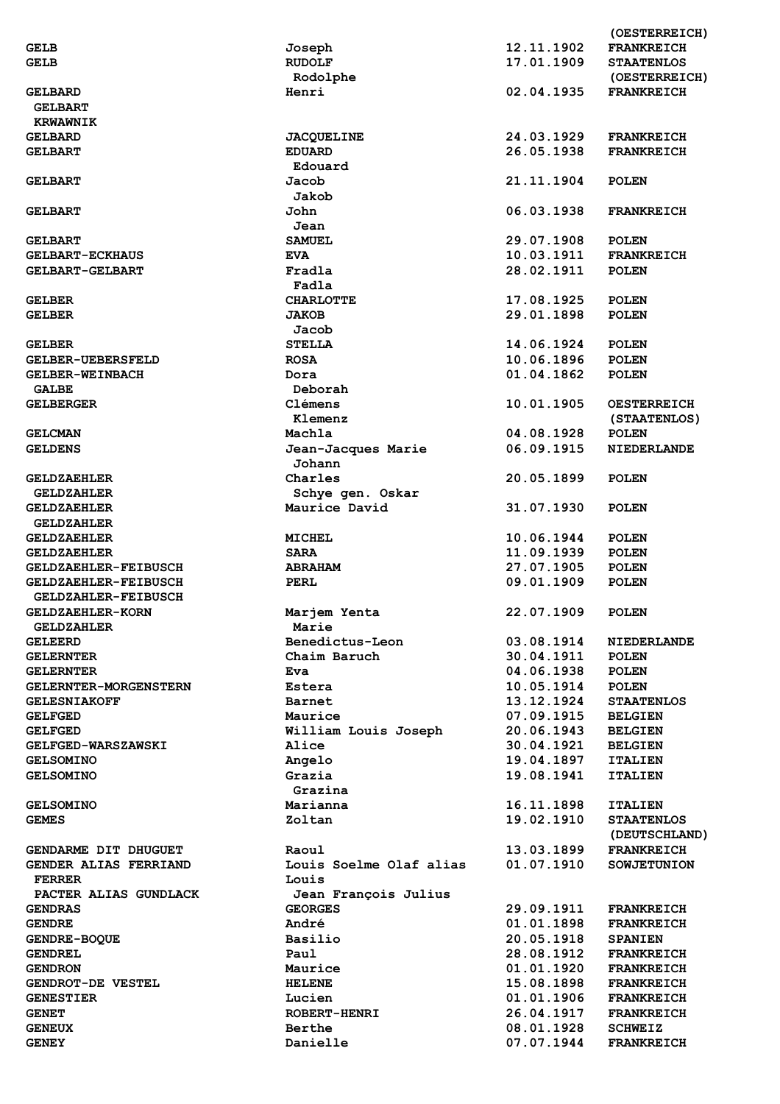|                              |                         |            | (OESTERREICH)      |
|------------------------------|-------------------------|------------|--------------------|
| <b>GELB</b>                  | Joseph                  | 12.11.1902 | <b>FRANKREICH</b>  |
| <b>GELB</b>                  | <b>RUDOLF</b>           | 17.01.1909 | <b>STAATENLOS</b>  |
|                              | Rodolphe                |            | (OESTERREICH)      |
|                              | Henri                   | 02.04.1935 | <b>FRANKREICH</b>  |
| <b>GELBARD</b>               |                         |            |                    |
| <b>GELBART</b>               |                         |            |                    |
| <b>KRWAWNIK</b>              |                         |            |                    |
| <b>GELBARD</b>               | <b>JACQUELINE</b>       | 24.03.1929 | <b>FRANKREICH</b>  |
| <b>GELBART</b>               | <b>EDUARD</b>           | 26.05.1938 | <b>FRANKREICH</b>  |
|                              | Edouard                 |            |                    |
| <b>GELBART</b>               | Jacob                   | 21.11.1904 | <b>POLEN</b>       |
|                              | Jakob                   |            |                    |
|                              | John                    | 06.03.1938 | <b>FRANKREICH</b>  |
| <b>GELBART</b>               |                         |            |                    |
|                              | Jean                    |            |                    |
| <b>GELBART</b>               | <b>SAMUEL</b>           | 29.07.1908 | <b>POLEN</b>       |
| <b>GELBART-ECKHAUS</b>       | <b>EVA</b>              | 10.03.1911 | <b>FRANKREICH</b>  |
| <b>GELBART-GELBART</b>       | Fradla                  | 28.02.1911 | <b>POLEN</b>       |
|                              | Fadla                   |            |                    |
| <b>GELBER</b>                | <b>CHARLOTTE</b>        | 17.08.1925 | <b>POLEN</b>       |
| <b>GELBER</b>                | <b>JAKOB</b>            | 29.01.1898 | <b>POLEN</b>       |
|                              |                         |            |                    |
|                              | Jacob                   |            |                    |
| <b>GELBER</b>                | <b>STELLA</b>           | 14.06.1924 | <b>POLEN</b>       |
| <b>GELBER-UEBERSFELD</b>     | <b>ROSA</b>             | 10.06.1896 | <b>POLEN</b>       |
| GELBER-WEINBACH              | Dora                    | 01.04.1862 | <b>POLEN</b>       |
| <b>GALBE</b>                 | Deborah                 |            |                    |
| <b>GELBERGER</b>             | Clémens                 | 10.01.1905 | <b>OESTERREICH</b> |
|                              | Klemenz                 |            | (STAATENLOS)       |
|                              |                         |            |                    |
| <b>GELCMAN</b>               | Machla                  | 04.08.1928 | <b>POLEN</b>       |
| <b>GELDENS</b>               | Jean-Jacques Marie      | 06.09.1915 | <b>NIEDERLANDE</b> |
|                              | Johann                  |            |                    |
| <b>GELDZAEHLER</b>           | Charles                 | 20.05.1899 | <b>POLEN</b>       |
| <b>GELDZAHLER</b>            | Schye gen. Oskar        |            |                    |
| <b>GELDZAEHLER</b>           | Maurice David           | 31.07.1930 | <b>POLEN</b>       |
| <b>GELDZAHLER</b>            |                         |            |                    |
|                              |                         |            |                    |
| <b>GELDZAEHLER</b>           | <b>MICHEL</b>           | 10.06.1944 | <b>POLEN</b>       |
| <b>GELDZAEHLER</b>           | <b>SARA</b>             | 11.09.1939 | <b>POLEN</b>       |
| <b>GELDZAEHLER-FEIBUSCH</b>  | <b>ABRAHAM</b>          | 27.07.1905 | <b>POLEN</b>       |
| <b>GELDZAEHLER-FEIBUSCH</b>  | PERL                    | 09.01.1909 | <b>POLEN</b>       |
| <b>GELDZAHLER-FEIBUSCH</b>   |                         |            |                    |
| <b>GELDZAEHLER-KORN</b>      | Marjem Yenta            | 22.07.1909 | <b>POLEN</b>       |
|                              | Marie                   |            |                    |
| <b>GELDZAHLER</b>            |                         |            |                    |
| <b>GELEERD</b>               | Benedictus-Leon         | 03.08.1914 | <b>NIEDERLANDE</b> |
| <b>GELERNTER</b>             | Chaim Baruch            | 30.04.1911 | <b>POLEN</b>       |
| <b>GELERNTER</b>             | Eva                     | 04.06.1938 | <b>POLEN</b>       |
| <b>GELERNTER-MORGENSTERN</b> | Estera                  | 10.05.1914 | <b>POLEN</b>       |
| <b>GELESNIAKOFF</b>          | <b>Barnet</b>           | 13.12.1924 | <b>STAATENLOS</b>  |
| <b>GELFGED</b>               | Maurice                 | 07.09.1915 | <b>BELGIEN</b>     |
|                              |                         | 20.06.1943 |                    |
| <b>GELFGED</b>               | William Louis Joseph    |            | <b>BELGIEN</b>     |
| <b>GELFGED-WARSZAWSKI</b>    | Alice                   | 30.04.1921 | <b>BELGIEN</b>     |
| <b>GELSOMINO</b>             | Angelo                  | 19.04.1897 | <b>ITALIEN</b>     |
| <b>GELSOMINO</b>             | Grazia                  | 19.08.1941 | <b>ITALIEN</b>     |
|                              | Grazina                 |            |                    |
| <b>GELSOMINO</b>             | Marianna                | 16.11.1898 | <b>ITALIEN</b>     |
| <b>GEMES</b>                 | Zoltan                  | 19.02.1910 | <b>STAATENLOS</b>  |
|                              |                         |            |                    |
|                              |                         |            | (DEUTSCHLAND)      |
| GENDARME DIT DHUGUET         | Raoul                   | 13.03.1899 | <b>FRANKREICH</b>  |
| GENDER ALIAS FERRIAND        | Louis Soelme Olaf alias | 01.07.1910 | <b>SOWJETUNION</b> |
| <b>FERRER</b>                | Louis                   |            |                    |
| PACTER ALIAS GUNDLACK        | Jean François Julius    |            |                    |
| <b>GENDRAS</b>               | <b>GEORGES</b>          | 29.09.1911 | <b>FRANKREICH</b>  |
| <b>GENDRE</b>                | André                   | 01.01.1898 | <b>FRANKREICH</b>  |
|                              |                         |            |                    |
| <b>GENDRE-BOQUE</b>          | Basilio                 | 20.05.1918 | <b>SPANIEN</b>     |
| <b>GENDREL</b>               | Paul                    | 28.08.1912 | <b>FRANKREICH</b>  |
| <b>GENDRON</b>               | Maurice                 | 01.01.1920 | <b>FRANKREICH</b>  |
| <b>GENDROT-DE VESTEL</b>     | <b>HELENE</b>           | 15.08.1898 | <b>FRANKREICH</b>  |
| <b>GENESTIER</b>             | Lucien                  | 01.01.1906 | <b>FRANKREICH</b>  |
| <b>GENET</b>                 | <b>ROBERT-HENRI</b>     | 26.04.1917 | <b>FRANKREICH</b>  |
|                              | Berthe                  | 08.01.1928 |                    |
| <b>GENEUX</b>                |                         |            | <b>SCHWEIZ</b>     |
| <b>GENEY</b>                 | Danielle                | 07.07.1944 | <b>FRANKREICH</b>  |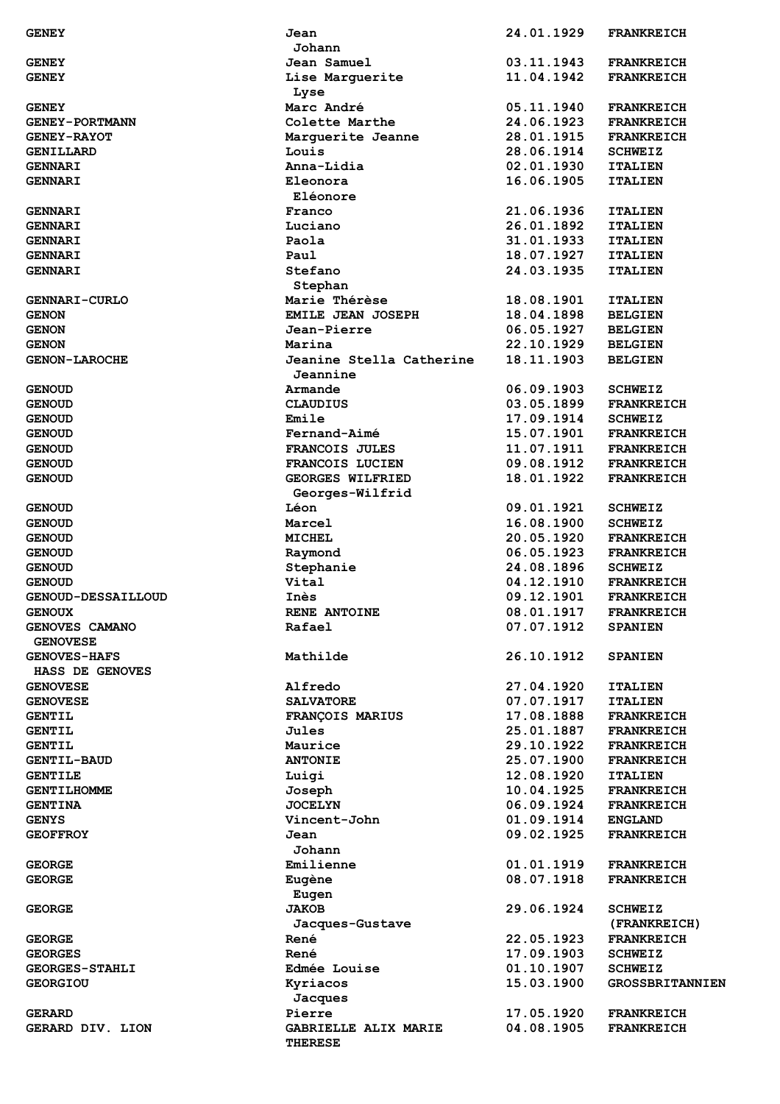| <b>GENEY</b>          | Jean                     | 24.01.1929 | <b>FRANKREICH</b>      |
|-----------------------|--------------------------|------------|------------------------|
|                       | Johann                   |            |                        |
| <b>GENEY</b>          | Jean Samuel              | 03.11.1943 | <b>FRANKREICH</b>      |
| <b>GENEY</b>          | Lise Marguerite          | 11.04.1942 | <b>FRANKREICH</b>      |
|                       | Lyse                     |            |                        |
| <b>GENEY</b>          | Marc André               | 05.11.1940 | <b>FRANKREICH</b>      |
| <b>GENEY-PORTMANN</b> | Colette Marthe           | 24.06.1923 | <b>FRANKREICH</b>      |
| <b>GENEY-RAYOT</b>    | Marguerite Jeanne        | 28.01.1915 | <b>FRANKREICH</b>      |
| GENILLARD             | Louis                    | 28.06.1914 | <b>SCHWEIZ</b>         |
| <b>GENNARI</b>        | Anna-Lidia               | 02.01.1930 | <b>ITALIEN</b>         |
|                       |                          |            |                        |
| <b>GENNARI</b>        | Eleonora                 | 16.06.1905 | <b>ITALIEN</b>         |
|                       | Eléonore                 |            |                        |
| <b>GENNARI</b>        | Franco                   | 21.06.1936 | <b>ITALIEN</b>         |
| <b>GENNARI</b>        | Luciano                  | 26.01.1892 | <b>ITALIEN</b>         |
| <b>GENNARI</b>        | Paola                    | 31.01.1933 | <b>ITALIEN</b>         |
| <b>GENNARI</b>        | Paul                     | 18.07.1927 | <b>ITALIEN</b>         |
| <b>GENNARI</b>        | Stefano                  | 24.03.1935 | <b>ITALIEN</b>         |
|                       | Stephan                  |            |                        |
| <b>GENNARI-CURLO</b>  | Marie Thérèse            | 18.08.1901 | <b>ITALIEN</b>         |
|                       | EMILE JEAN JOSEPH        | 18.04.1898 | <b>BELGIEN</b>         |
| <b>GENON</b>          |                          |            |                        |
| <b>GENON</b>          | Jean-Pierre              | 06.05.1927 | <b>BELGIEN</b>         |
| <b>GENON</b>          | Marina                   | 22.10.1929 | <b>BELGIEN</b>         |
| <b>GENON-LAROCHE</b>  | Jeanine Stella Catherine | 18.11.1903 | <b>BELGIEN</b>         |
|                       | Jeannine                 |            |                        |
| <b>GENOUD</b>         | Armande                  | 06.09.1903 | <b>SCHWEIZ</b>         |
| <b>GENOUD</b>         | <b>CLAUDIUS</b>          | 03.05.1899 | <b>FRANKREICH</b>      |
| <b>GENOUD</b>         | Emile                    | 17.09.1914 | <b>SCHWEIZ</b>         |
| <b>GENOUD</b>         | Fernand-Aimé             | 15.07.1901 | <b>FRANKREICH</b>      |
| <b>GENOUD</b>         | FRANCOIS JULES           | 11.07.1911 | <b>FRANKREICH</b>      |
|                       |                          | 09.08.1912 |                        |
| <b>GENOUD</b>         | FRANCOIS LUCIEN          |            | <b>FRANKREICH</b>      |
| <b>GENOUD</b>         | GEORGES WILFRIED         | 18.01.1922 | <b>FRANKREICH</b>      |
|                       | Georges-Wilfrid          |            |                        |
| <b>GENOUD</b>         | Léon                     | 09.01.1921 | <b>SCHWEIZ</b>         |
| <b>GENOUD</b>         | Marcel                   | 16.08.1900 | <b>SCHWEIZ</b>         |
| <b>GENOUD</b>         | <b>MICHEL</b>            | 20.05.1920 | <b>FRANKREICH</b>      |
| <b>GENOUD</b>         | Raymond                  | 06.05.1923 | <b>FRANKREICH</b>      |
| <b>GENOUD</b>         | Stephanie                | 24.08.1896 | <b>SCHWEIZ</b>         |
| <b>GENOUD</b>         | Vital                    | 04.12.1910 | <b>FRANKREICH</b>      |
| GENOUD-DESSAILLOUD    | Inès                     | 09.12.1901 | <b>FRANKREICH</b>      |
|                       |                          |            |                        |
| <b>GENOUX</b>         | RENE ANTOINE             | 08.01.1917 | <b>FRANKREICH</b>      |
| GENOVES CAMANO        | Rafael                   | 07.07.1912 | <b>SPANIEN</b>         |
| <b>GENOVESE</b>       |                          |            |                        |
| <b>GENOVES-HAFS</b>   | Mathilde                 | 26.10.1912 | <b>SPANIEN</b>         |
| HASS DE GENOVES       |                          |            |                        |
| <b>GENOVESE</b>       | Alfredo                  | 27.04.1920 | <b>ITALIEN</b>         |
| <b>GENOVESE</b>       | <b>SALVATORE</b>         | 07.07.1917 | <b>ITALIEN</b>         |
| <b>GENTIL</b>         | FRANÇOIS MARIUS          | 17.08.1888 | <b>FRANKREICH</b>      |
| <b>GENTIL</b>         | Jules                    | 25.01.1887 | <b>FRANKREICH</b>      |
| <b>GENTIL</b>         | Maurice                  | 29.10.1922 | <b>FRANKREICH</b>      |
|                       |                          |            |                        |
| <b>GENTIL-BAUD</b>    | <b>ANTONIE</b>           | 25.07.1900 | <b>FRANKREICH</b>      |
| <b>GENTILE</b>        | Luigi                    | 12.08.1920 | <b>ITALIEN</b>         |
| <b>GENTILHOMME</b>    | Joseph                   | 10.04.1925 | <b>FRANKREICH</b>      |
| <b>GENTINA</b>        | <b>JOCELYN</b>           | 06.09.1924 | <b>FRANKREICH</b>      |
| <b>GENYS</b>          | Vincent-John             | 01.09.1914 | <b>ENGLAND</b>         |
| <b>GEOFFROY</b>       | Jean                     | 09.02.1925 | <b>FRANKREICH</b>      |
|                       | Johann                   |            |                        |
| <b>GEORGE</b>         | Emilienne                | 01.01.1919 | <b>FRANKREICH</b>      |
| <b>GEORGE</b>         | Eugène                   | 08.07.1918 | <b>FRANKREICH</b>      |
|                       |                          |            |                        |
|                       | Eugen                    |            |                        |
| <b>GEORGE</b>         | <b>JAKOB</b>             | 29.06.1924 | <b>SCHWEIZ</b>         |
|                       | Jacques-Gustave          |            | (FRANKREICH)           |
| <b>GEORGE</b>         | René                     | 22.05.1923 | <b>FRANKREICH</b>      |
| <b>GEORGES</b>        | René                     | 17.09.1903 | <b>SCHWEIZ</b>         |
| <b>GEORGES-STAHLI</b> | Edmée Louise             | 01.10.1907 | <b>SCHWEIZ</b>         |
| <b>GEORGIOU</b>       | Kyriacos                 | 15.03.1900 | <b>GROSSBRITANNIEN</b> |
|                       | Jacques                  |            |                        |
| <b>GERARD</b>         | Pierre                   | 17.05.1920 | <b>FRANKREICH</b>      |
| GERARD DIV. LION      | GABRIELLE ALIX MARIE     | 04.08.1905 | <b>FRANKREICH</b>      |
|                       | <b>THERESE</b>           |            |                        |
|                       |                          |            |                        |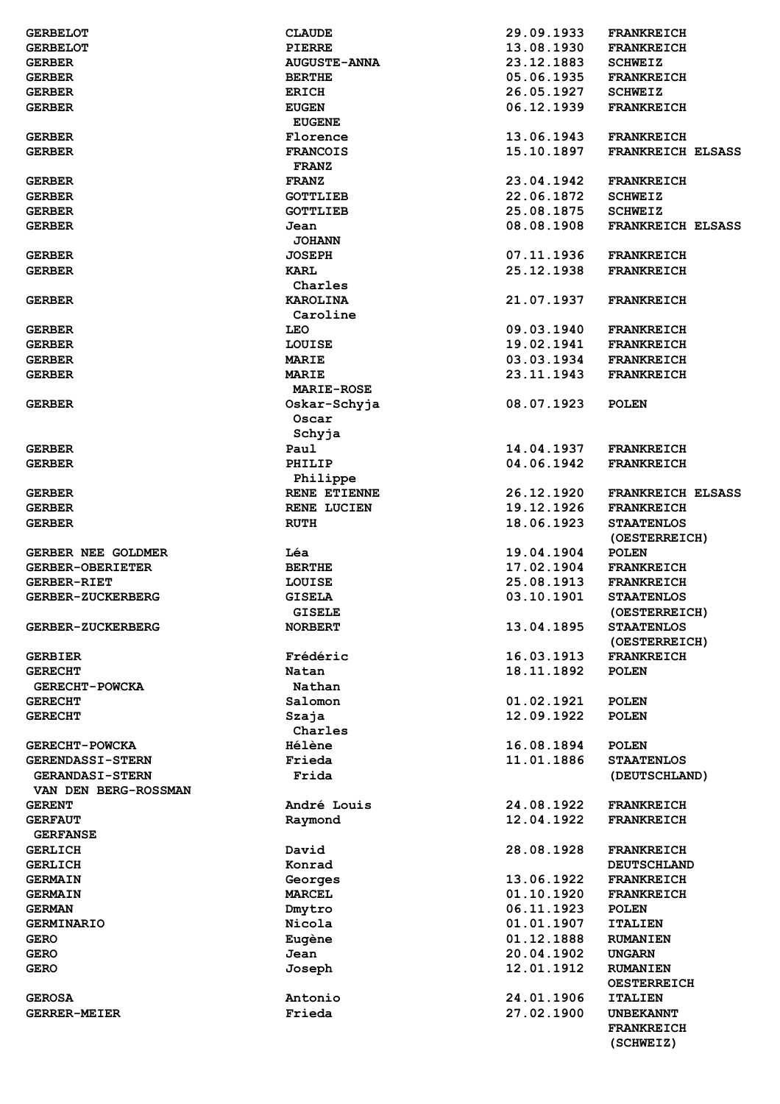| <b>GERBELOT</b>          | <b>CLAUDE</b>       | 29.09.1933 | <b>FRANKREICH</b>        |
|--------------------------|---------------------|------------|--------------------------|
| <b>GERBELOT</b>          | PIERRE              | 13.08.1930 | <b>FRANKREICH</b>        |
| <b>GERBER</b>            | <b>AUGUSTE-ANNA</b> | 23.12.1883 | <b>SCHWEIZ</b>           |
|                          |                     | 05.06.1935 |                          |
| <b>GERBER</b>            | <b>BERTHE</b>       |            | <b>FRANKREICH</b>        |
| <b>GERBER</b>            | <b>ERICH</b>        | 26.05.1927 | <b>SCHWEIZ</b>           |
| <b>GERBER</b>            | <b>EUGEN</b>        | 06.12.1939 | <b>FRANKREICH</b>        |
|                          | <b>EUGENE</b>       |            |                          |
| <b>GERBER</b>            | Florence            | 13.06.1943 | <b>FRANKREICH</b>        |
| <b>GERBER</b>            | <b>FRANCOIS</b>     | 15.10.1897 | <b>FRANKREICH ELSASS</b> |
|                          | <b>FRANZ</b>        |            |                          |
|                          |                     |            |                          |
| <b>GERBER</b>            | <b>FRANZ</b>        | 23.04.1942 | <b>FRANKREICH</b>        |
| <b>GERBER</b>            | <b>GOTTLIEB</b>     | 22.06.1872 | <b>SCHWEIZ</b>           |
| <b>GERBER</b>            | <b>GOTTLIEB</b>     | 25.08.1875 | <b>SCHWEIZ</b>           |
| <b>GERBER</b>            | Jean                | 08.08.1908 | <b>FRANKREICH ELSASS</b> |
|                          | <b>JOHANN</b>       |            |                          |
| <b>GERBER</b>            | <b>JOSEPH</b>       | 07.11.1936 | <b>FRANKREICH</b>        |
| <b>GERBER</b>            | KARL                | 25.12.1938 | <b>FRANKREICH</b>        |
|                          |                     |            |                          |
|                          | Charles             |            |                          |
| <b>GERBER</b>            | KAROLINA            | 21.07.1937 | <b>FRANKREICH</b>        |
|                          | Caroline            |            |                          |
| <b>GERBER</b>            | <b>LEO</b>          | 09.03.1940 | <b>FRANKREICH</b>        |
| <b>GERBER</b>            | LOUISE              | 19.02.1941 | <b>FRANKREICH</b>        |
| <b>GERBER</b>            | <b>MARIE</b>        | 03.03.1934 | <b>FRANKREICH</b>        |
|                          | MARIE               | 23.11.1943 | <b>FRANKREICH</b>        |
| <b>GERBER</b>            |                     |            |                          |
|                          | <b>MARIE-ROSE</b>   |            |                          |
| <b>GERBER</b>            | Oskar-Schyja        | 08.07.1923 | <b>POLEN</b>             |
|                          | Oscar               |            |                          |
|                          | Schyja              |            |                          |
| <b>GERBER</b>            | Paul                | 14.04.1937 | <b>FRANKREICH</b>        |
| <b>GERBER</b>            | PHILIP              | 04.06.1942 | <b>FRANKREICH</b>        |
|                          | Philippe            |            |                          |
| <b>GERBER</b>            | RENE ETIENNE        | 26.12.1920 | <b>FRANKREICH ELSASS</b> |
| <b>GERBER</b>            | <b>RENE LUCIEN</b>  | 19.12.1926 | <b>FRANKREICH</b>        |
|                          |                     |            |                          |
| <b>GERBER</b>            | <b>RUTH</b>         | 18.06.1923 | <b>STAATENLOS</b>        |
|                          |                     |            |                          |
|                          |                     |            | (OESTERREICH)            |
| GERBER NEE GOLDMER       | Léa                 | 19.04.1904 | <b>POLEN</b>             |
| <b>GERBER-OBERIETER</b>  | <b>BERTHE</b>       | 17.02.1904 | <b>FRANKREICH</b>        |
| <b>GERBER-RIET</b>       |                     |            |                          |
|                          | LOUISE              | 25.08.1913 | <b>FRANKREICH</b>        |
| <b>GERBER-ZUCKERBERG</b> | <b>GISELA</b>       | 03.10.1901 | <b>STAATENLOS</b>        |
|                          | <b>GISELE</b>       |            | (OESTERREICH)            |
| GERBER-ZUCKERBERG        | <b>NORBERT</b>      | 13.04.1895 | <b>STAATENLOS</b>        |
|                          |                     |            | (OESTERREICH)            |
| <b>GERBIER</b>           | Frédéric            | 16.03.1913 | <b>FRANKREICH</b>        |
| <b>GERECHT</b>           | Natan               | 18.11.1892 | <b>POLEN</b>             |
|                          |                     |            |                          |
| <b>GERECHT-POWCKA</b>    | Nathan              |            |                          |
| <b>GERECHT</b>           | Salomon             | 01.02.1921 | <b>POLEN</b>             |
| <b>GERECHT</b>           | Szaja               | 12.09.1922 | <b>POLEN</b>             |
|                          | Charles             |            |                          |
| <b>GERECHT-POWCKA</b>    | <b>Hélène</b>       | 16.08.1894 | <b>POLEN</b>             |
| <b>GERENDASSI-STERN</b>  | Frieda              | 11.01.1886 | <b>STAATENLOS</b>        |
| <b>GERANDASI-STERN</b>   | Frida               |            | (DEUTSCHLAND)            |
| VAN DEN BERG-ROSSMAN     |                     |            |                          |
| <b>GERENT</b>            | André Louis         | 24.08.1922 | <b>FRANKREICH</b>        |
|                          |                     |            |                          |
| <b>GERFAUT</b>           | Raymond             | 12.04.1922 | <b>FRANKREICH</b>        |
| <b>GERFANSE</b>          |                     |            |                          |
| <b>GERLICH</b>           | David               | 28.08.1928 | <b>FRANKREICH</b>        |
| <b>GERLICH</b>           | Konrad              |            | <b>DEUTSCHLAND</b>       |
| <b>GERMAIN</b>           | Georges             | 13.06.1922 | <b>FRANKREICH</b>        |
| <b>GERMAIN</b>           | <b>MARCEL</b>       | 01.10.1920 | <b>FRANKREICH</b>        |
| <b>GERMAN</b>            | Dmytro              | 06.11.1923 | <b>POLEN</b>             |
| <b>GERMINARIO</b>        |                     | 01.01.1907 | <b>ITALIEN</b>           |
|                          | Nicola              |            |                          |
| <b>GERO</b>              | Eugène              | 01.12.1888 | <b>RUMANIEN</b>          |
| <b>GERO</b>              | Jean                | 20.04.1902 | UNGARN                   |
| <b>GERO</b>              | Joseph              | 12.01.1912 | <b>RUMANIEN</b>          |
|                          |                     |            | <b>OESTERREICH</b>       |
| <b>GEROSA</b>            | Antonio             | 24.01.1906 | <b>ITALIEN</b>           |
| <b>GERRER-MEIER</b>      | Frieda              | 27.02.1900 | <b>UNBEKANNT</b>         |
|                          |                     |            | <b>FRANKREICH</b>        |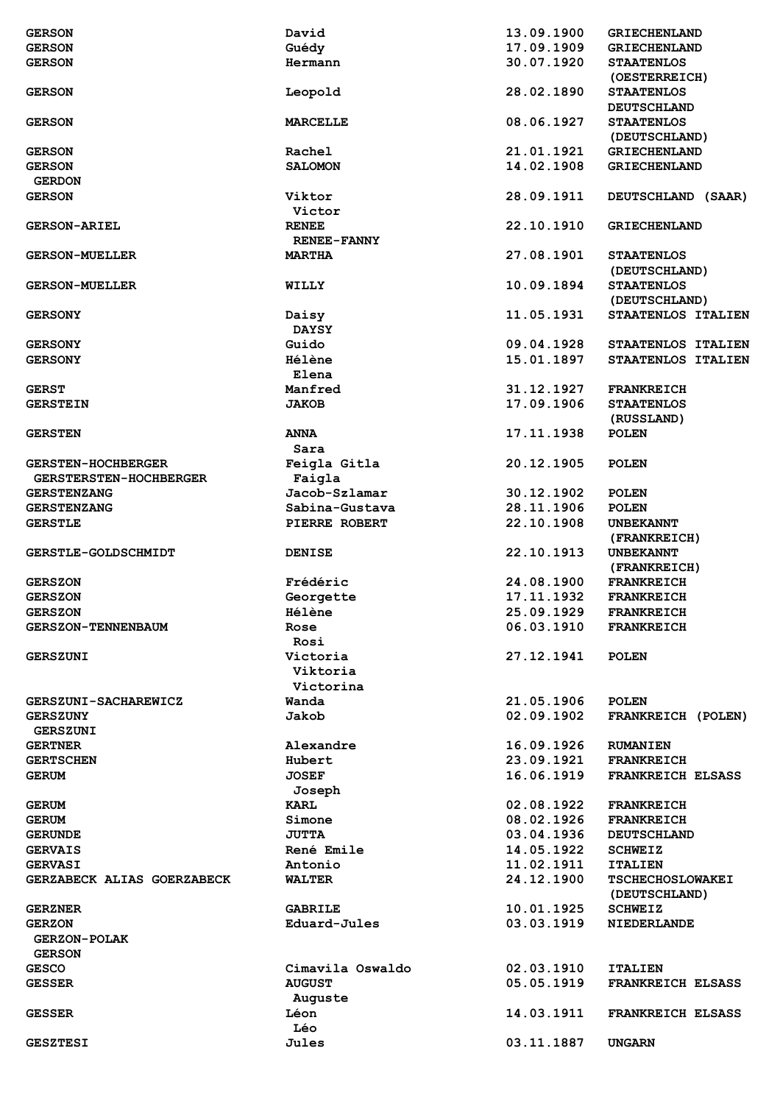|                               |                    | 13.09.1900 |                          |
|-------------------------------|--------------------|------------|--------------------------|
| <b>GERSON</b>                 | David              |            | <b>GRIECHENLAND</b>      |
| <b>GERSON</b>                 | Guédy              | 17.09.1909 | <b>GRIECHENLAND</b>      |
| <b>GERSON</b>                 | Hermann            | 30.07.1920 | <b>STAATENLOS</b>        |
|                               |                    |            | (OESTERREICH)            |
|                               | Leopold            | 28.02.1890 | <b>STAATENLOS</b>        |
| <b>GERSON</b>                 |                    |            |                          |
|                               |                    |            | <b>DEUTSCHLAND</b>       |
| <b>GERSON</b>                 | <b>MARCELLE</b>    | 08.06.1927 | <b>STAATENLOS</b>        |
|                               |                    |            | (DEUTSCHLAND)            |
| <b>GERSON</b>                 | Rachel             | 21.01.1921 | <b>GRIECHENLAND</b>      |
|                               |                    |            |                          |
| <b>GERSON</b>                 | <b>SALOMON</b>     | 14.02.1908 | <b>GRIECHENLAND</b>      |
| <b>GERDON</b>                 |                    |            |                          |
| <b>GERSON</b>                 | Viktor             | 28.09.1911 | DEUTSCHLAND (SAAR)       |
|                               | Victor             |            |                          |
| <b>GERSON-ARIEL</b>           | <b>RENEE</b>       | 22.10.1910 | <b>GRIECHENLAND</b>      |
|                               |                    |            |                          |
|                               | <b>RENEE-FANNY</b> |            |                          |
| <b>GERSON-MUELLER</b>         | <b>MARTHA</b>      | 27.08.1901 | <b>STAATENLOS</b>        |
|                               |                    |            | (DEUTSCHLAND)            |
| <b>GERSON-MUELLER</b>         | WILLY              | 10.09.1894 | <b>STAATENLOS</b>        |
|                               |                    |            | (DEUTSCHLAND)            |
|                               |                    |            |                          |
| <b>GERSONY</b>                | Daisy              | 11.05.1931 | STAATENLOS ITALIEN       |
|                               | <b>DAYSY</b>       |            |                          |
| <b>GERSONY</b>                | Guido              | 09.04.1928 | STAATENLOS ITALIEN       |
| <b>GERSONY</b>                | <b>Hélène</b>      | 15.01.1897 | STAATENLOS ITALIEN       |
|                               |                    |            |                          |
|                               | Elena              |            |                          |
| <b>GERST</b>                  | Manfred            | 31.12.1927 | <b>FRANKREICH</b>        |
| <b>GERSTEIN</b>               | <b>JAKOB</b>       | 17.09.1906 | <b>STAATENLOS</b>        |
|                               |                    |            | (RUSSLAND)               |
|                               | <b>ANNA</b>        | 17.11.1938 | <b>POLEN</b>             |
| <b>GERSTEN</b>                |                    |            |                          |
|                               | Sara               |            |                          |
| <b>GERSTEN-HOCHBERGER</b>     | Feigla Gitla       | 20.12.1905 | <b>POLEN</b>             |
| <b>GERSTERSTEN-HOCHBERGER</b> | Faigla             |            |                          |
| <b>GERSTENZANG</b>            | Jacob-Szlamar      | 30.12.1902 | <b>POLEN</b>             |
|                               |                    |            |                          |
| <b>GERSTENZANG</b>            | Sabina-Gustava     | 28.11.1906 | <b>POLEN</b>             |
| <b>GERSTLE</b>                | PIERRE ROBERT      | 22.10.1908 | <b>UNBEKANNT</b>         |
|                               |                    |            | (FRANKREICH)             |
| <b>GERSTLE-GOLDSCHMIDT</b>    | <b>DENISE</b>      | 22.10.1913 | <b>UNBEKANNT</b>         |
|                               |                    |            | (FRANKREICH)             |
|                               |                    |            |                          |
| <b>GERSZON</b>                | Frédéric           | 24.08.1900 | <b>FRANKREICH</b>        |
| <b>GERSZON</b>                | Georgette          | 17.11.1932 | <b>FRANKREICH</b>        |
| <b>GERSZON</b>                | Hélène             | 25.09.1929 | <b>FRANKREICH</b>        |
| <b>GERSZON-TENNENBAUM</b>     | Rose               | 06.03.1910 | <b>FRANKREICH</b>        |
|                               |                    |            |                          |
|                               | Rosi               |            |                          |
| <b>GERSZUNI</b>               | Victoria           | 27.12.1941 | <b>POLEN</b>             |
|                               | Viktoria           |            |                          |
|                               | Victorina          |            |                          |
| <b>GERSZUNI-SACHAREWICZ</b>   | Wanda              | 21.05.1906 | <b>POLEN</b>             |
|                               |                    |            |                          |
| <b>GERSZUNY</b>               | Jakob              | 02.09.1902 | FRANKREICH (POLEN)       |
| <b>GERSZUNI</b>               |                    |            |                          |
| <b>GERTNER</b>                | Alexandre          | 16.09.1926 | <b>RUMANIEN</b>          |
| <b>GERTSCHEN</b>              | Hubert             | 23.09.1921 | <b>FRANKREICH</b>        |
| <b>GERUM</b>                  | <b>JOSEF</b>       | 16.06.1919 | <b>FRANKREICH ELSASS</b> |
|                               |                    |            |                          |
|                               | Joseph             |            |                          |
| <b>GERUM</b>                  | <b>KARL</b>        | 02.08.1922 | <b>FRANKREICH</b>        |
| <b>GERUM</b>                  | Simone             | 08.02.1926 | <b>FRANKREICH</b>        |
| <b>GERUNDE</b>                | <b>JUTTA</b>       | 03.04.1936 | <b>DEUTSCHLAND</b>       |
|                               | René Emile         |            |                          |
| <b>GERVAIS</b>                |                    | 14.05.1922 | <b>SCHWEIZ</b>           |
| <b>GERVASI</b>                | Antonio            | 11.02.1911 | <b>ITALIEN</b>           |
| GERZABECK ALIAS GOERZABECK    | <b>WALTER</b>      | 24.12.1900 | <b>TSCHECHOSLOWAKEI</b>  |
|                               |                    |            | (DEUTSCHLAND)            |
| <b>GERZNER</b>                | <b>GABRILE</b>     | 10.01.1925 | <b>SCHWEIZ</b>           |
|                               |                    |            |                          |
| <b>GERZON</b>                 | Eduard-Jules       | 03.03.1919 | <b>NIEDERLANDE</b>       |
| <b>GERZON-POLAK</b>           |                    |            |                          |
| <b>GERSON</b>                 |                    |            |                          |
| <b>GESCO</b>                  | Cimavila Oswaldo   | 02.03.1910 | <b>ITALIEN</b>           |
|                               | <b>AUGUST</b>      | 05.05.1919 | <b>FRANKREICH ELSASS</b> |
| <b>GESSER</b>                 |                    |            |                          |
|                               | Auguste            |            |                          |
| <b>GESSER</b>                 | Léon               | 14.03.1911 | <b>FRANKREICH ELSASS</b> |
|                               | Léo                |            |                          |
| <b>GESZTESI</b>               | Jules              | 03.11.1887 | <b>UNGARN</b>            |
|                               |                    |            |                          |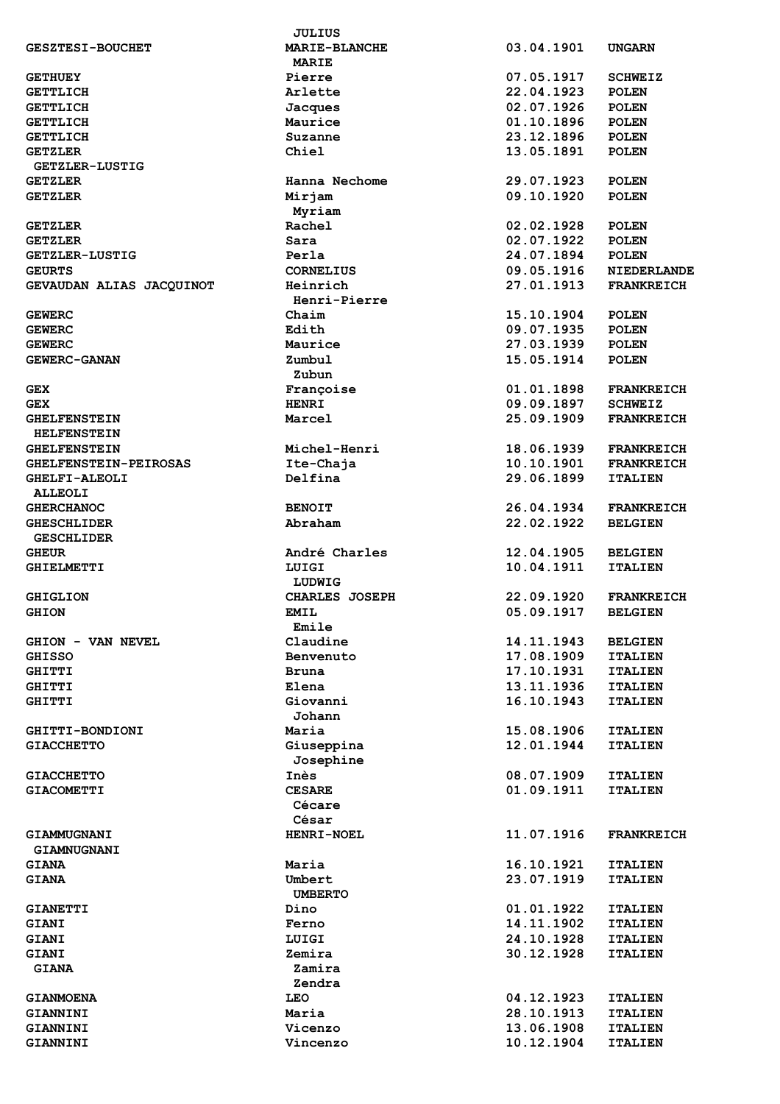|                              | JULIUS               |            |                    |
|------------------------------|----------------------|------------|--------------------|
| <b>GESZTESI-BOUCHET</b>      | <b>MARIE-BLANCHE</b> | 03.04.1901 | <b>UNGARN</b>      |
|                              | <b>MARIE</b>         |            |                    |
| <b>GETHUEY</b>               | Pierre               | 07.05.1917 | <b>SCHWEIZ</b>     |
|                              |                      |            |                    |
| <b>GETTLICH</b>              | Arlette              | 22.04.1923 | <b>POLEN</b>       |
| <b>GETTLICH</b>              | Jacques              | 02.07.1926 | <b>POLEN</b>       |
| <b>GETTLICH</b>              | Maurice              | 01.10.1896 | <b>POLEN</b>       |
| <b>GETTLICH</b>              | Suzanne              | 23.12.1896 | <b>POLEN</b>       |
| <b>GETZLER</b>               | Chiel                | 13.05.1891 | <b>POLEN</b>       |
| <b>GETZLER-LUSTIG</b>        |                      |            |                    |
| <b>GETZLER</b>               | Hanna Nechome        | 29.07.1923 | <b>POLEN</b>       |
|                              |                      |            |                    |
| <b>GETZLER</b>               | Mirjam               | 09.10.1920 | <b>POLEN</b>       |
|                              | Myriam               |            |                    |
| <b>GETZLER</b>               | Rachel               | 02.02.1928 | <b>POLEN</b>       |
| <b>GETZLER</b>               | Sara                 | 02.07.1922 | <b>POLEN</b>       |
| <b>GETZLER-LUSTIG</b>        | Perla                | 24.07.1894 | <b>POLEN</b>       |
| <b>GEURTS</b>                | <b>CORNELIUS</b>     | 09.05.1916 | <b>NIEDERLANDE</b> |
|                              |                      |            |                    |
| GEVAUDAN ALIAS JACQUINOT     | Heinrich             | 27.01.1913 | <b>FRANKREICH</b>  |
|                              | Henri-Pierre         |            |                    |
| <b>GEWERC</b>                | Chaim                | 15.10.1904 | <b>POLEN</b>       |
| <b>GEWERC</b>                | Edith                | 09.07.1935 | <b>POLEN</b>       |
| <b>GEWERC</b>                | Maurice              | 27.03.1939 | <b>POLEN</b>       |
| <b>GEWERC-GANAN</b>          | Zumbul               | 15.05.1914 | <b>POLEN</b>       |
|                              |                      |            |                    |
|                              | Zubun                |            |                    |
| GEX                          | Françoise            | 01.01.1898 | <b>FRANKREICH</b>  |
| <b>GEX</b>                   | <b>HENRI</b>         | 09.09.1897 | <b>SCHWEIZ</b>     |
| <b>GHELFENSTEIN</b>          | Marcel               | 25.09.1909 | <b>FRANKREICH</b>  |
| <b>HELFENSTEIN</b>           |                      |            |                    |
|                              |                      | 18.06.1939 |                    |
| <b>GHELFENSTEIN</b>          | Michel-Henri         |            | <b>FRANKREICH</b>  |
| <b>GHELFENSTEIN-PEIROSAS</b> | Ite-Chaja            | 10.10.1901 | <b>FRANKREICH</b>  |
| <b>GHELFI-ALEOLI</b>         | Delfina              | 29.06.1899 | <b>ITALIEN</b>     |
| <b>ALLEOLI</b>               |                      |            |                    |
| <b>GHERCHANOC</b>            | <b>BENOIT</b>        | 26.04.1934 | <b>FRANKREICH</b>  |
| <b>GHESCHLIDER</b>           | Abraham              | 22.02.1922 | <b>BELGIEN</b>     |
|                              |                      |            |                    |
| <b>GESCHLIDER</b>            |                      |            |                    |
| <b>GHEUR</b>                 | André Charles        | 12.04.1905 | <b>BELGIEN</b>     |
| <b>GHIELMETTI</b>            | LUIGI                | 10.04.1911 | <b>ITALIEN</b>     |
|                              | LUDWIG               |            |                    |
| <b>GHIGLION</b>              | CHARLES JOSEPH       | 22.09.1920 | <b>FRANKREICH</b>  |
| <b>GHION</b>                 | <b>EMIL</b>          | 05.09.1917 | <b>BELGIEN</b>     |
|                              |                      |            |                    |
|                              | Emile                |            |                    |
| GHION - VAN NEVEL            | Claudine             | 14.11.1943 | <b>BELGIEN</b>     |
| <b>GHISSO</b>                | Benvenuto            | 17.08.1909 | <b>ITALIEN</b>     |
| <b>GHITTI</b>                | Bruna                | 17.10.1931 | <b>ITALIEN</b>     |
| <b>GHITTI</b>                | Elena                | 13.11.1936 | <b>ITALIEN</b>     |
|                              | Giovanni             | 16.10.1943 |                    |
| <b>GHITTI</b>                |                      |            | <b>ITALIEN</b>     |
|                              | Johann               |            |                    |
| GHITTI-BONDIONI              | Maria                | 15.08.1906 | <b>ITALIEN</b>     |
| <b>GIACCHETTO</b>            | Giuseppina           | 12.01.1944 | <b>ITALIEN</b>     |
|                              | Josephine            |            |                    |
| <b>GIACCHETTO</b>            | Inès                 | 08.07.1909 | <b>ITALIEN</b>     |
| <b>GIACOMETTI</b>            | <b>CESARE</b>        | 01.09.1911 | <b>ITALIEN</b>     |
|                              |                      |            |                    |
|                              | Cécare               |            |                    |
|                              | César                |            |                    |
| GIAMMUGNANI                  | <b>HENRI-NOEL</b>    | 11.07.1916 | <b>FRANKREICH</b>  |
| GIAMNUGNANI                  |                      |            |                    |
| <b>GIANA</b>                 | Maria                | 16.10.1921 | <b>ITALIEN</b>     |
|                              |                      |            |                    |
| <b>GIANA</b>                 | Umbert               | 23.07.1919 | <b>ITALIEN</b>     |
|                              | <b>UMBERTO</b>       |            |                    |
| <b>GIANETTI</b>              | Dino                 | 01.01.1922 | <b>ITALIEN</b>     |
| <b>GIANI</b>                 | Ferno                | 14.11.1902 | <b>ITALIEN</b>     |
| <b>GIANI</b>                 | LUIGI                | 24.10.1928 | <b>ITALIEN</b>     |
|                              |                      |            |                    |
| <b>GIANI</b>                 | Zemira               | 30.12.1928 | <b>ITALIEN</b>     |
| <b>GIANA</b>                 | Zamira               |            |                    |
|                              | Zendra               |            |                    |
| <b>GIANMOENA</b>             | <b>LEO</b>           | 04.12.1923 | <b>ITALIEN</b>     |
| GIANNINI                     | Maria                | 28.10.1913 | <b>ITALIEN</b>     |
| GIANNINI                     | Vicenzo              | 13.06.1908 | <b>ITALIEN</b>     |
|                              |                      |            |                    |
| GIANNINI                     | Vincenzo             | 10.12.1904 | <b>ITALIEN</b>     |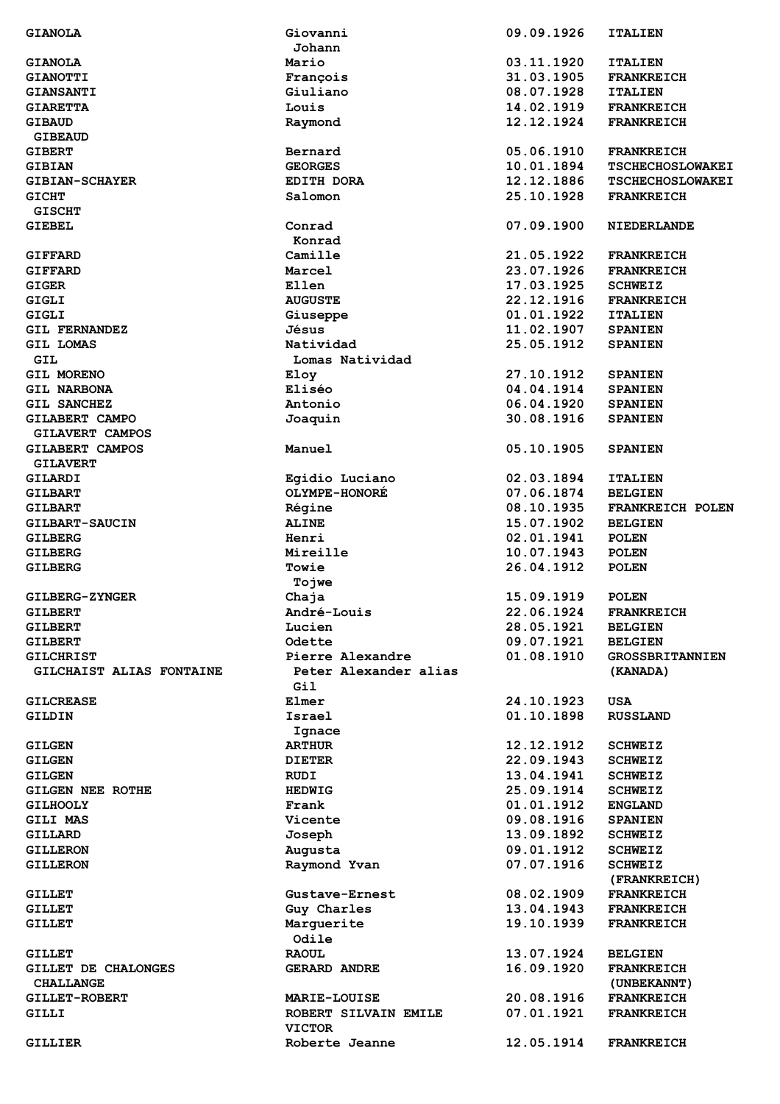| <b>GIANOLA</b>           | Giovanni                        | 09.09.1926 | <b>ITALIEN</b>          |
|--------------------------|---------------------------------|------------|-------------------------|
|                          | Johann                          |            |                         |
| <b>GIANOLA</b>           | Mario                           | 03.11.1920 | <b>ITALIEN</b>          |
| <b>GIANOTTI</b>          | François                        | 31.03.1905 | <b>FRANKREICH</b>       |
| <b>GIANSANTI</b>         | Giuliano                        | 08.07.1928 | <b>ITALIEN</b>          |
| <b>GIARETTA</b>          | Louis                           | 14.02.1919 | <b>FRANKREICH</b>       |
| <b>GIBAUD</b>            | Raymond                         | 12.12.1924 | <b>FRANKREICH</b>       |
|                          |                                 |            |                         |
| <b>GIBEAUD</b>           |                                 |            |                         |
| <b>GIBERT</b>            | Bernard                         | 05.06.1910 | <b>FRANKREICH</b>       |
| <b>GIBIAN</b>            | <b>GEORGES</b>                  | 10.01.1894 | <b>TSCHECHOSLOWAKEI</b> |
| <b>GIBIAN-SCHAYER</b>    | <b>EDITH DORA</b>               | 12.12.1886 | <b>TSCHECHOSLOWAKEI</b> |
| <b>GICHT</b>             | Salomon                         | 25.10.1928 | <b>FRANKREICH</b>       |
| <b>GISCHT</b>            |                                 |            |                         |
| GIEBEL                   | Conrad                          | 07.09.1900 | <b>NIEDERLANDE</b>      |
|                          | Konrad                          |            |                         |
|                          | Camille                         | 21.05.1922 |                         |
| <b>GIFFARD</b>           |                                 |            | <b>FRANKREICH</b>       |
| <b>GIFFARD</b>           | Marcel                          | 23.07.1926 | <b>FRANKREICH</b>       |
| <b>GIGER</b>             | Ellen                           | 17.03.1925 | <b>SCHWEIZ</b>          |
| <b>GIGLI</b>             | <b>AUGUSTE</b>                  | 22.12.1916 | <b>FRANKREICH</b>       |
| <b>GIGLI</b>             | Giuseppe                        | 01.01.1922 | <b>ITALIEN</b>          |
| <b>GIL FERNANDEZ</b>     | Jésus                           | 11.02.1907 | <b>SPANIEN</b>          |
| <b>GIL LOMAS</b>         | Natividad                       | 25.05.1912 | <b>SPANIEN</b>          |
| GIL                      | Lomas Natividad                 |            |                         |
| GIL MORENO               | Eloy                            | 27.10.1912 | <b>SPANIEN</b>          |
|                          | Eliséo                          |            |                         |
| <b>GIL NARBONA</b>       |                                 | 04.04.1914 | <b>SPANIEN</b>          |
| GIL SANCHEZ              | Antonio                         | 06.04.1920 | <b>SPANIEN</b>          |
| GILABERT CAMPO           | Joaquin                         | 30.08.1916 | <b>SPANIEN</b>          |
| GILAVERT CAMPOS          |                                 |            |                         |
| GILABERT CAMPOS          | Manuel                          | 05.10.1905 | <b>SPANIEN</b>          |
| <b>GILAVERT</b>          |                                 |            |                         |
| GILARDI                  | Egidio Luciano                  | 02.03.1894 | <b>ITALIEN</b>          |
| <b>GILBART</b>           | <b>OLYMPE-HONORÉ</b>            | 07.06.1874 | <b>BELGIEN</b>          |
|                          |                                 | 08.10.1935 |                         |
| <b>GILBART</b>           | Régine                          |            | FRANKREICH POLEN        |
| GILBART-SAUCIN           | <b>ALINE</b>                    | 15.07.1902 | <b>BELGIEN</b>          |
| <b>GILBERG</b>           | Henri                           | 02.01.1941 | <b>POLEN</b>            |
| <b>GILBERG</b>           | Mireille                        | 10.07.1943 | <b>POLEN</b>            |
| <b>GILBERG</b>           | Towie                           | 26.04.1912 | <b>POLEN</b>            |
|                          | Tojwe                           |            |                         |
| <b>GILBERG-ZYNGER</b>    | Chaja                           | 15.09.1919 | <b>POLEN</b>            |
| <b>GILBERT</b>           | André-Louis                     | 22.06.1924 | FRANKREICH              |
|                          | Lucien                          | 28.05.1921 |                         |
| GILBERT                  |                                 |            | <b>BELGIEN</b>          |
| GILBERT                  | Odette                          | 09.07.1921 | <b>BELGIEN</b>          |
| <b>GILCHRIST</b>         | Pierre Alexandre                | 01.08.1910 | <b>GROSSBRITANNIEN</b>  |
| GILCHAIST ALIAS FONTAINE | Peter Alexander alias           |            | (KANADA)                |
|                          | Gil                             |            |                         |
| <b>GILCREASE</b>         | Elmer                           | 24.10.1923 | <b>USA</b>              |
| GILDIN                   | Israel                          | 01.10.1898 | <b>RUSSLAND</b>         |
|                          | Ignace                          |            |                         |
| <b>GILGEN</b>            | <b>ARTHUR</b>                   | 12.12.1912 | <b>SCHWEIZ</b>          |
| <b>GILGEN</b>            | <b>DIETER</b>                   | 22.09.1943 | <b>SCHWEIZ</b>          |
|                          |                                 |            |                         |
| <b>GILGEN</b>            | RUDI                            | 13.04.1941 | <b>SCHWEIZ</b>          |
| <b>GILGEN NEE ROTHE</b>  | <b>HEDWIG</b>                   | 25.09.1914 | <b>SCHWEIZ</b>          |
| <b>GILHOOLY</b>          | Frank                           | 01.01.1912 | <b>ENGLAND</b>          |
| <b>GILI MAS</b>          | Vicente                         | 09.08.1916 | <b>SPANIEN</b>          |
| GILLARD                  | Joseph                          | 13.09.1892 | <b>SCHWEIZ</b>          |
| <b>GILLERON</b>          | Augusta                         | 09.01.1912 | <b>SCHWEIZ</b>          |
| <b>GILLERON</b>          |                                 | 07.07.1916 | <b>SCHWEIZ</b>          |
|                          |                                 |            |                         |
|                          | Raymond Yvan                    |            |                         |
| <b>GILLET</b>            |                                 |            | (FRANKREICH)            |
|                          | Gustave-Ernest                  | 08.02.1909 | <b>FRANKREICH</b>       |
| <b>GILLET</b>            | Guy Charles                     | 13.04.1943 | <b>FRANKREICH</b>       |
| <b>GILLET</b>            | Marguerite                      | 19.10.1939 | <b>FRANKREICH</b>       |
|                          | Odile                           |            |                         |
| <b>GILLET</b>            | <b>RAOUL</b>                    | 13.07.1924 | <b>BELGIEN</b>          |
| GILLET DE CHALONGES      | <b>GERARD ANDRE</b>             |            | <b>FRANKREICH</b>       |
|                          |                                 | 16.09.1920 |                         |
| <b>CHALLANGE</b>         |                                 |            | (UNBEKANNT)             |
| <b>GILLET-ROBERT</b>     | <b>MARIE-LOUISE</b>             | 20.08.1916 | <b>FRANKREICH</b>       |
| GILLI                    | ROBERT SILVAIN EMILE            | 07.01.1921 | <b>FRANKREICH</b>       |
| GILLIER                  | <b>VICTOR</b><br>Roberte Jeanne | 12.05.1914 | <b>FRANKREICH</b>       |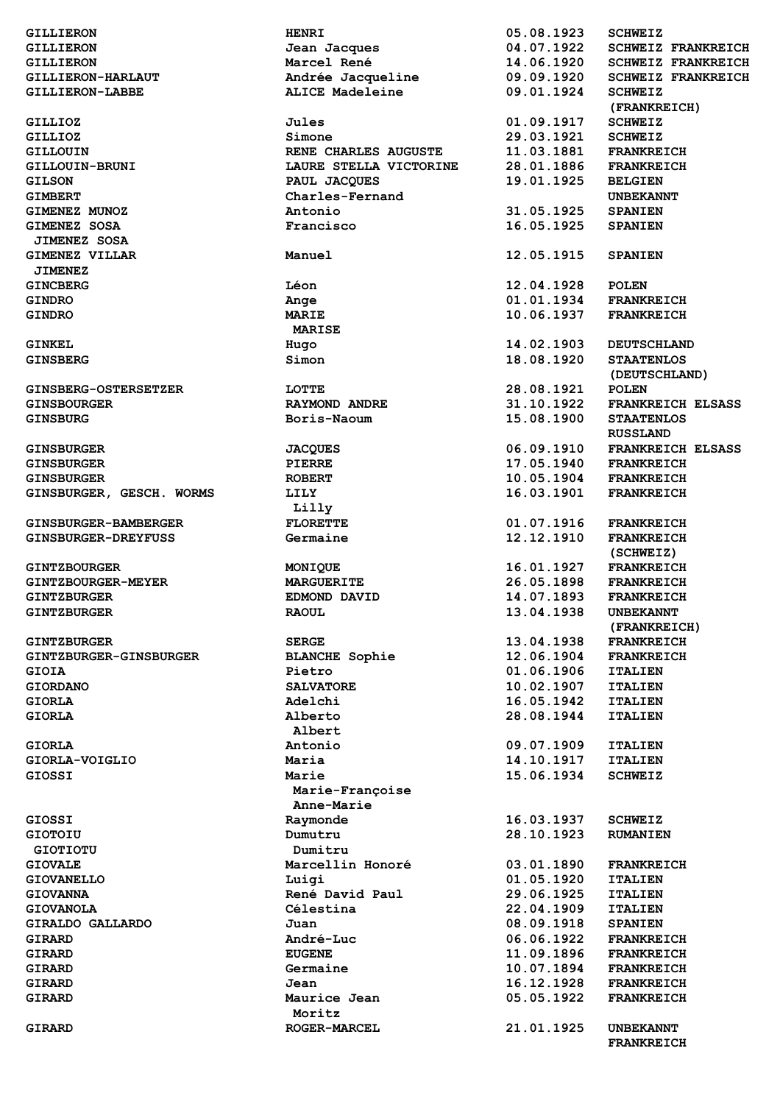| <b>GILLIERON</b>            | <b>HENRI</b>           | 05.08.1923 | <b>SCHWEIZ</b>            |
|-----------------------------|------------------------|------------|---------------------------|
| <b>GILLIERON</b>            | Jean Jacques           | 04.07.1922 | SCHWEIZ FRANKREICH        |
| <b>GILLIERON</b>            | Marcel René            | 14.06.1920 | <b>SCHWEIZ FRANKREICH</b> |
| <b>GILLIERON-HARLAUT</b>    | Andrée Jacqueline      | 09.09.1920 | <b>SCHWEIZ FRANKREICH</b> |
| GILLIERON-LABBE             | <b>ALICE Madeleine</b> | 09.01.1924 | <b>SCHWEIZ</b>            |
|                             |                        |            | (FRANKREICH)              |
| GILLIOZ                     | Jules                  | 01.09.1917 | <b>SCHWEIZ</b>            |
| GILLIOZ                     | Simone                 | 29.03.1921 | <b>SCHWEIZ</b>            |
| <b>GILLOUIN</b>             | RENE CHARLES AUGUSTE   | 11.03.1881 | <b>FRANKREICH</b>         |
| GILLOUIN-BRUNI              | LAURE STELLA VICTORINE | 28.01.1886 | <b>FRANKREICH</b>         |
| <b>GILSON</b>               | PAUL JACQUES           | 19.01.1925 | <b>BELGIEN</b>            |
| <b>GIMBERT</b>              | Charles-Fernand        |            | <b>UNBEKANNT</b>          |
|                             |                        |            |                           |
| GIMENEZ MUNOZ               | Antonio                | 31.05.1925 | <b>SPANIEN</b>            |
| GIMENEZ SOSA                | Francisco              | 16.05.1925 | <b>SPANIEN</b>            |
| <b>JIMENEZ SOSA</b>         |                        |            |                           |
| GIMENEZ VILLAR              | Manuel                 | 12.05.1915 | <b>SPANIEN</b>            |
| <b>JIMENEZ</b>              |                        |            |                           |
| <b>GINCBERG</b>             | Léon                   | 12.04.1928 | <b>POLEN</b>              |
| <b>GINDRO</b>               | Ange                   | 01.01.1934 | <b>FRANKREICH</b>         |
| <b>GINDRO</b>               | <b>MARIE</b>           | 10.06.1937 | <b>FRANKREICH</b>         |
|                             | <b>MARISE</b>          |            |                           |
| <b>GINKEL</b>               |                        | 14.02.1903 | <b>DEUTSCHLAND</b>        |
|                             | Hugo                   |            |                           |
| <b>GINSBERG</b>             | Simon                  | 18.08.1920 | <b>STAATENLOS</b>         |
|                             |                        |            | (DEUTSCHLAND)             |
| GINSBERG-OSTERSETZER        | LOTTE                  | 28.08.1921 | <b>POLEN</b>              |
| <b>GINSBOURGER</b>          | <b>RAYMOND ANDRE</b>   | 31.10.1922 | <b>FRANKREICH ELSASS</b>  |
| <b>GINSBURG</b>             | Boris-Naoum            | 15.08.1900 | <b>STAATENLOS</b>         |
|                             |                        |            | <b>RUSSLAND</b>           |
| <b>GINSBURGER</b>           | <b>JACQUES</b>         | 06.09.1910 | <b>FRANKREICH ELSASS</b>  |
| <b>GINSBURGER</b>           | PIERRE                 | 17.05.1940 | <b>FRANKREICH</b>         |
| <b>GINSBURGER</b>           | <b>ROBERT</b>          | 10.05.1904 | <b>FRANKREICH</b>         |
| GINSBURGER, GESCH. WORMS    | <b>LILY</b>            | 16.03.1901 | <b>FRANKREICH</b>         |
|                             |                        |            |                           |
|                             | Lilly                  |            |                           |
| <b>GINSBURGER-BAMBERGER</b> | <b>FLORETTE</b>        | 01.07.1916 | <b>FRANKREICH</b>         |
| GINSBURGER-DREYFUSS         | Germaine               | 12.12.1910 | <b>FRANKREICH</b>         |
|                             |                        |            | (SCHWEIZ)                 |
| <b>GINTZBOURGER</b>         | MONIQUE                | 16.01.1927 | <b>FRANKREICH</b>         |
| <b>GINTZBOURGER-MEYER</b>   | <b>MARGUERITE</b>      | 26.05.1898 | <b>FRANKREICH</b>         |
| <b>GINTZBURGER</b>          | EDMOND DAVID           | 14.07.1893 | <b>FRANKREICH</b>         |
| <b>GINTZBURGER</b>          | <b>RAOUL</b>           | 13.04.1938 | <b>UNBEKANNT</b>          |
|                             |                        |            | (FRANKREICH)              |
| <b>GINTZBURGER</b>          | <b>SERGE</b>           | 13.04.1938 | <b>FRANKREICH</b>         |
| GINTZBURGER-GINSBURGER      | <b>BLANCHE Sophie</b>  | 12.06.1904 | <b>FRANKREICH</b>         |
|                             |                        |            |                           |
| <b>GIOIA</b>                | Pietro                 | 01.06.1906 | <b>ITALIEN</b>            |
| <b>GIORDANO</b>             | <b>SALVATORE</b>       | 10.02.1907 | <b>ITALIEN</b>            |
| <b>GIORLA</b>               | Adelchi                | 16.05.1942 | <b>ITALIEN</b>            |
| <b>GIORLA</b>               | Alberto                | 28.08.1944 | <b>ITALIEN</b>            |
|                             | Albert                 |            |                           |
| <b>GIORLA</b>               | Antonio                | 09.07.1909 | <b>ITALIEN</b>            |
| GIORLA-VOIGLIO              | Maria                  | 14.10.1917 | <b>ITALIEN</b>            |
| <b>GIOSSI</b>               | Marie                  | 15.06.1934 | <b>SCHWEIZ</b>            |
|                             | Marie-Françoise        |            |                           |
|                             | Anne-Marie             |            |                           |
| GIOSSI                      |                        | 16.03.1937 | <b>SCHWEIZ</b>            |
|                             | Raymonde               |            |                           |
| <b>GIOTOIU</b>              | Dumutru                | 28.10.1923 | <b>RUMANIEN</b>           |
| <b>GIOTIOTU</b>             | Dumitru                |            |                           |
| <b>GIOVALE</b>              | Marcellin Honoré       | 03.01.1890 | <b>FRANKREICH</b>         |
| <b>GIOVANELLO</b>           | Luigi                  | 01.05.1920 | <b>ITALIEN</b>            |
| <b>GIOVANNA</b>             | René David Paul        | 29.06.1925 | <b>ITALIEN</b>            |
| <b>GIOVANOLA</b>            | Célestina              | 22.04.1909 | <b>ITALIEN</b>            |
| GIRALDO GALLARDO            | Juan                   | 08.09.1918 | <b>SPANIEN</b>            |
| GIRARD                      | <b>André-Luc</b>       | 06.06.1922 | <b>FRANKREICH</b>         |
| <b>GIRARD</b>               | <b>EUGENE</b>          | 11.09.1896 | <b>FRANKREICH</b>         |
| GIRARD                      | Germaine               | 10.07.1894 | <b>FRANKREICH</b>         |
| <b>GIRARD</b>               | Jean                   | 16.12.1928 |                           |
|                             |                        |            | <b>FRANKREICH</b>         |
| GIRARD                      | Maurice Jean           | 05.05.1922 | <b>FRANKREICH</b>         |
|                             | Moritz                 |            |                           |
| GIRARD                      | <b>ROGER-MARCEL</b>    | 21.01.1925 | <b>UNBEKANNT</b>          |
|                             |                        |            | <b>FRANKREICH</b>         |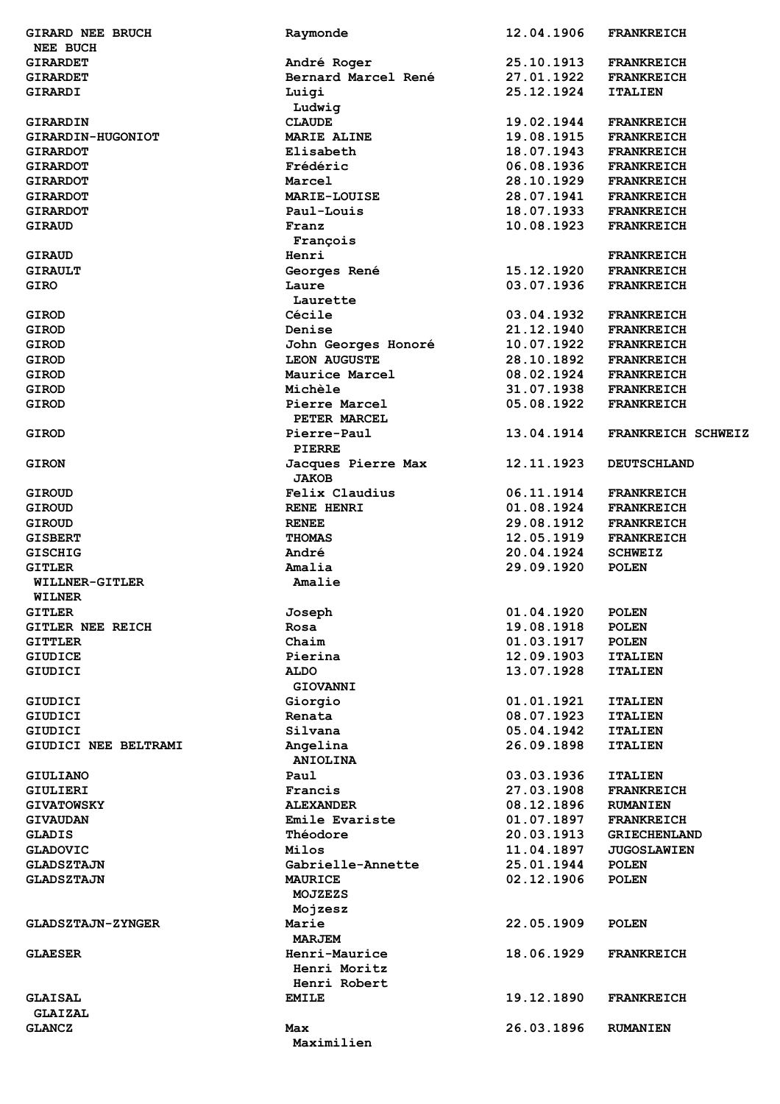| <b>GIRARD NEE BRUCH</b>  | Raymonde            | 12.04.1906 | <b>FRANKREICH</b>   |
|--------------------------|---------------------|------------|---------------------|
| <b>NEE BUCH</b>          |                     |            |                     |
| <b>GIRARDET</b>          | André Roger         | 25.10.1913 | <b>FRANKREICH</b>   |
| <b>GIRARDET</b>          | Bernard Marcel René | 27.01.1922 | <b>FRANKREICH</b>   |
| GIRARDI                  | Luigi               | 25.12.1924 | <b>ITALIEN</b>      |
|                          | Ludwig              |            |                     |
| GIRARDIN                 | <b>CLAUDE</b>       | 19.02.1944 | <b>FRANKREICH</b>   |
| GIRARDIN-HUGONIOT        | <b>MARIE ALINE</b>  | 19.08.1915 | <b>FRANKREICH</b>   |
|                          |                     |            |                     |
| <b>GIRARDOT</b>          | Elisabeth           | 18.07.1943 | <b>FRANKREICH</b>   |
| <b>GIRARDOT</b>          | Frédéric            | 06.08.1936 | <b>FRANKREICH</b>   |
| <b>GIRARDOT</b>          | Marcel              | 28.10.1929 | <b>FRANKREICH</b>   |
| <b>GIRARDOT</b>          | <b>MARIE-LOUISE</b> | 28.07.1941 | <b>FRANKREICH</b>   |
| <b>GIRARDOT</b>          | Paul-Louis          | 18.07.1933 | <b>FRANKREICH</b>   |
| <b>GIRAUD</b>            | Franz               | 10.08.1923 | <b>FRANKREICH</b>   |
|                          | François            |            |                     |
| <b>GIRAUD</b>            | Henri               |            | <b>FRANKREICH</b>   |
| <b>GIRAULT</b>           | Georges René        | 15.12.1920 | <b>FRANKREICH</b>   |
|                          |                     |            |                     |
| <b>GIRO</b>              | Laure               | 03.07.1936 | <b>FRANKREICH</b>   |
|                          | Laurette            |            |                     |
| <b>GIROD</b>             | Cécile              | 03.04.1932 | <b>FRANKREICH</b>   |
| <b>GIROD</b>             | Denise              | 21.12.1940 | <b>FRANKREICH</b>   |
| <b>GIROD</b>             | John Georges Honoré | 10.07.1922 | <b>FRANKREICH</b>   |
| GIROD                    | <b>LEON AUGUSTE</b> | 28.10.1892 | <b>FRANKREICH</b>   |
| GIROD                    | Maurice Marcel      | 08.02.1924 | <b>FRANKREICH</b>   |
| <b>GIROD</b>             | Michèle             | 31.07.1938 | <b>FRANKREICH</b>   |
|                          |                     |            |                     |
| <b>GIROD</b>             | Pierre Marcel       | 05.08.1922 | <b>FRANKREICH</b>   |
|                          | PETER MARCEL        |            |                     |
| <b>GIROD</b>             | Pierre-Paul         | 13.04.1914 | FRANKREICH SCHWEIZ  |
|                          | <b>PIERRE</b>       |            |                     |
| <b>GIRON</b>             | Jacques Pierre Max  | 12.11.1923 | <b>DEUTSCHLAND</b>  |
|                          | <b>JAKOB</b>        |            |                     |
| <b>GIROUD</b>            | Felix Claudius      | 06.11.1914 | <b>FRANKREICH</b>   |
|                          |                     |            |                     |
| <b>GIROUD</b>            | RENE HENRI          | 01.08.1924 | <b>FRANKREICH</b>   |
| <b>GIROUD</b>            | <b>RENEE</b>        | 29.08.1912 | <b>FRANKREICH</b>   |
| <b>GISBERT</b>           | <b>THOMAS</b>       | 12.05.1919 | <b>FRANKREICH</b>   |
| <b>GISCHIG</b>           | André               | 20.04.1924 | <b>SCHWEIZ</b>      |
| <b>GITLER</b>            | Amalia              | 29.09.1920 | <b>POLEN</b>        |
| WILLNER-GITLER           | Amalie              |            |                     |
| WILNER                   |                     |            |                     |
| <b>GITLER</b>            |                     |            | <b>POLEN</b>        |
|                          | Joseph              | 01.04.1920 |                     |
| GITLER NEE REICH         | Rosa                | 19.08.1918 | <b>POLEN</b>        |
| <b>GITTLER</b>           | Chaim               | 01.03.1917 | <b>POLEN</b>        |
| <b>GIUDICE</b>           | Pierina             | 12.09.1903 | <b>ITALIEN</b>      |
| GIUDICI                  | <b>ALDO</b>         | 13.07.1928 | <b>ITALIEN</b>      |
|                          | GIOVANNI            |            |                     |
| GIUDICI                  | Giorgio             | 01.01.1921 | <b>ITALIEN</b>      |
| GIUDICI                  | Renata              | 08.07.1923 | <b>ITALIEN</b>      |
|                          |                     |            |                     |
| <b>GIUDICI</b>           | Silvana             | 05.04.1942 | <b>ITALIEN</b>      |
| GIUDICI NEE BELTRAMI     | Angelina            | 26.09.1898 | <b>ITALIEN</b>      |
|                          | ANIOLINA            |            |                     |
| GIULIANO                 | Paul                | 03.03.1936 | <b>ITALIEN</b>      |
| GIULIERI                 | Francis             | 27.03.1908 | <b>FRANKREICH</b>   |
| <b>GIVATOWSKY</b>        | <b>ALEXANDER</b>    | 08.12.1896 | <b>RUMANIEN</b>     |
| <b>GIVAUDAN</b>          | Emile Evariste      | 01.07.1897 | <b>FRANKREICH</b>   |
|                          | Théodore            | 20.03.1913 |                     |
| GLADIS                   |                     |            | <b>GRIECHENLAND</b> |
| <b>GLADOVIC</b>          | Milos               | 11.04.1897 | <b>JUGOSLAWIEN</b>  |
| <b>GLADSZTAJN</b>        | Gabrielle-Annette   | 25.01.1944 | <b>POLEN</b>        |
| <b>GLADSZTAJN</b>        | <b>MAURICE</b>      | 02.12.1906 | <b>POLEN</b>        |
|                          | <b>MOJZEZS</b>      |            |                     |
|                          | Mojzesz             |            |                     |
| <b>GLADSZTAJN-ZYNGER</b> | Marie               | 22.05.1909 | <b>POLEN</b>        |
|                          | <b>MARJEM</b>       |            |                     |
|                          |                     |            |                     |
| <b>GLAESER</b>           | Henri-Maurice       | 18.06.1929 | <b>FRANKREICH</b>   |
|                          | Henri Moritz        |            |                     |
|                          | Henri Robert        |            |                     |
| GLAISAL                  | <b>EMILE</b>        | 19.12.1890 | <b>FRANKREICH</b>   |
| GLAIZAL                  |                     |            |                     |
| <b>GLANCZ</b>            | Max                 | 26.03.1896 | <b>RUMANIEN</b>     |
|                          | Maximilien          |            |                     |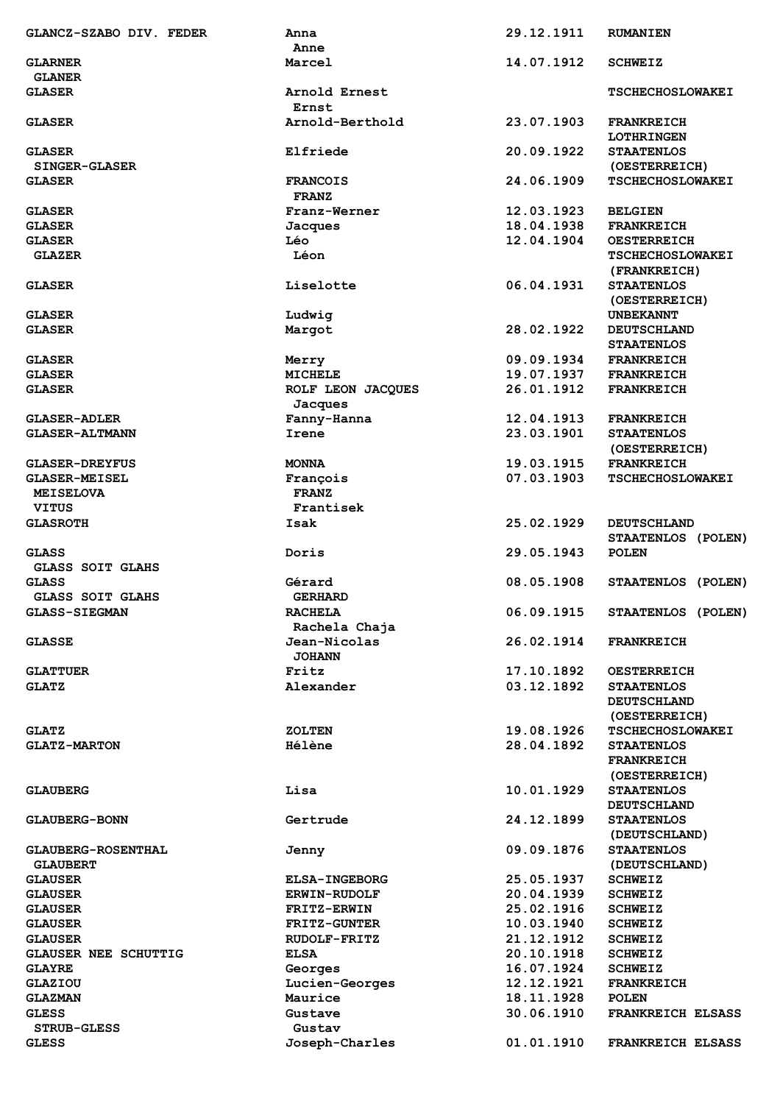| GLANCZ-SZABO DIV. FEDER                  | Anna                            | 29.12.1911 | <b>RUMANIEN</b>                                          |
|------------------------------------------|---------------------------------|------------|----------------------------------------------------------|
|                                          | Anne                            |            |                                                          |
| <b>GLARNER</b><br><b>GLANER</b>          | Marcel                          | 14.07.1912 | <b>SCHWEIZ</b>                                           |
| <b>GLASER</b>                            | Arnold Ernest                   |            | <b>TSCHECHOSLOWAKEI</b>                                  |
|                                          | Ernst                           |            |                                                          |
| <b>GLASER</b>                            | Arnold-Berthold                 | 23.07.1903 | <b>FRANKREICH</b><br><b>LOTHRINGEN</b>                   |
| <b>GLASER</b>                            | Elfriede                        | 20.09.1922 | <b>STAATENLOS</b>                                        |
| <b>SINGER-GLASER</b>                     |                                 |            | (OESTERREICH)                                            |
| <b>GLASER</b>                            | <b>FRANCOIS</b><br><b>FRANZ</b> | 24.06.1909 | <b>TSCHECHOSLOWAKEI</b>                                  |
| <b>GLASER</b>                            | Franz-Werner                    | 12.03.1923 | <b>BELGIEN</b>                                           |
| <b>GLASER</b>                            | Jacques                         | 18.04.1938 | <b>FRANKREICH</b>                                        |
| <b>GLASER</b>                            | Léo                             | 12.04.1904 | <b>OESTERREICH</b>                                       |
| <b>GLAZER</b>                            | Léon                            |            | <b>TSCHECHOSLOWAKEI</b>                                  |
|                                          |                                 |            | (FRANKREICH)                                             |
| <b>GLASER</b>                            | Liselotte                       | 06.04.1931 | <b>STAATENLOS</b><br>(OESTERREICH)                       |
| <b>GLASER</b>                            | Ludwig                          |            | <b>UNBEKANNT</b>                                         |
| <b>GLASER</b>                            | Margot                          | 28.02.1922 | <b>DEUTSCHLAND</b>                                       |
|                                          |                                 |            | <b>STAATENLOS</b>                                        |
| <b>GLASER</b>                            | Merry                           | 09.09.1934 | <b>FRANKREICH</b>                                        |
| <b>GLASER</b>                            | <b>MICHELE</b>                  | 19.07.1937 | <b>FRANKREICH</b>                                        |
| <b>GLASER</b>                            | ROLF LEON JACQUES               | 26.01.1912 | <b>FRANKREICH</b>                                        |
|                                          | Jacques                         |            |                                                          |
| <b>GLASER-ADLER</b>                      | Fanny-Hanna                     | 12.04.1913 | <b>FRANKREICH</b>                                        |
| <b>GLASER-ALTMANN</b>                    | Irene                           | 23.03.1901 | <b>STAATENLOS</b><br>(OESTERREICH)                       |
| <b>GLASER-DREYFUS</b>                    | <b>MONNA</b>                    | 19.03.1915 | <b>FRANKREICH</b>                                        |
|                                          |                                 | 07.03.1903 |                                                          |
| <b>GLASER-MEISEL</b><br><b>MEISELOVA</b> | François<br><b>FRANZ</b>        |            | <b>TSCHECHOSLOWAKEI</b>                                  |
| <b>VITUS</b>                             | Frantisek                       |            |                                                          |
| <b>GLASROTH</b>                          | Isak                            | 25.02.1929 | <b>DEUTSCHLAND</b>                                       |
|                                          |                                 |            | STAATENLOS (POLEN)                                       |
| <b>GLASS</b><br><b>GLASS SOIT GLAHS</b>  | Doris                           | 29.05.1943 | <b>POLEN</b>                                             |
| <b>GLASS</b>                             | Gérard                          | 08.05.1908 | STAATENLOS (POLEN)                                       |
| <b>GLASS SOIT GLAHS</b>                  | <b>GERHARD</b>                  |            |                                                          |
| GLASS-SIEGMAN                            | <b>RACHELA</b><br>Rachela Chaja | 06.09.1915 | STAATENLOS (POLEN)                                       |
| <b>GLASSE</b>                            | Jean-Nicolas                    | 26.02.1914 | <b>FRANKREICH</b>                                        |
|                                          | <b>JOHANN</b>                   |            |                                                          |
| <b>GLATTUER</b>                          | Fritz                           | 17.10.1892 | <b>OESTERREICH</b>                                       |
| <b>GLATZ</b>                             | Alexander                       | 03.12.1892 | <b>STAATENLOS</b><br><b>DEUTSCHLAND</b><br>(OESTERREICH) |
| <b>GLATZ</b>                             | <b>ZOLTEN</b>                   | 19.08.1926 | <b>TSCHECHOSLOWAKEI</b>                                  |
| <b>GLATZ-MARTON</b>                      | <b>Hélène</b>                   | 28.04.1892 | <b>STAATENLOS</b>                                        |
|                                          |                                 |            | <b>FRANKREICH</b>                                        |
| <b>GLAUBERG</b>                          | Lisa                            | 10.01.1929 | (OESTERREICH)<br><b>STAATENLOS</b>                       |
| <b>GLAUBERG-BONN</b>                     | Gertrude                        | 24.12.1899 | <b>DEUTSCHLAND</b><br><b>STAATENLOS</b>                  |
| <b>GLAUBERG-ROSENTHAL</b>                | Jenny                           | 09.09.1876 | (DEUTSCHLAND)<br><b>STAATENLOS</b>                       |
| <b>GLAUBERT</b>                          |                                 | 25.05.1937 | (DEUTSCHLAND)                                            |
| <b>GLAUSER</b>                           | <b>ELSA-INGEBORG</b>            |            | <b>SCHWEIZ</b>                                           |
| <b>GLAUSER</b>                           | <b>ERWIN-RUDOLF</b>             | 20.04.1939 | <b>SCHWEIZ</b>                                           |
| <b>GLAUSER</b>                           | <b>FRITZ-ERWIN</b>              | 25.02.1916 | <b>SCHWEIZ</b>                                           |
| <b>GLAUSER</b>                           | <b>FRITZ-GUNTER</b>             | 10.03.1940 | <b>SCHWEIZ</b>                                           |
| <b>GLAUSER</b>                           | <b>RUDOLF-FRITZ</b>             | 21.12.1912 | <b>SCHWEIZ</b>                                           |
| <b>GLAUSER NEE SCHUTTIG</b>              | <b>ELSA</b>                     | 20.10.1918 | <b>SCHWEIZ</b>                                           |
| <b>GLAYRE</b>                            | Georges                         | 16.07.1924 | <b>SCHWEIZ</b>                                           |
| <b>GLAZIOU</b>                           | Lucien-Georges                  | 12.12.1921 | <b>FRANKREICH</b>                                        |
| <b>GLAZMAN</b>                           | Maurice                         | 18.11.1928 | <b>POLEN</b>                                             |
| <b>GLESS</b>                             | Gustave                         | 30.06.1910 | <b>FRANKREICH ELSASS</b>                                 |
| <b>STRUB-GLESS</b>                       | Gustav                          |            |                                                          |
| <b>GLESS</b>                             | Joseph-Charles                  | 01.01.1910 | FRANKREICH ELSASS                                        |
|                                          |                                 |            |                                                          |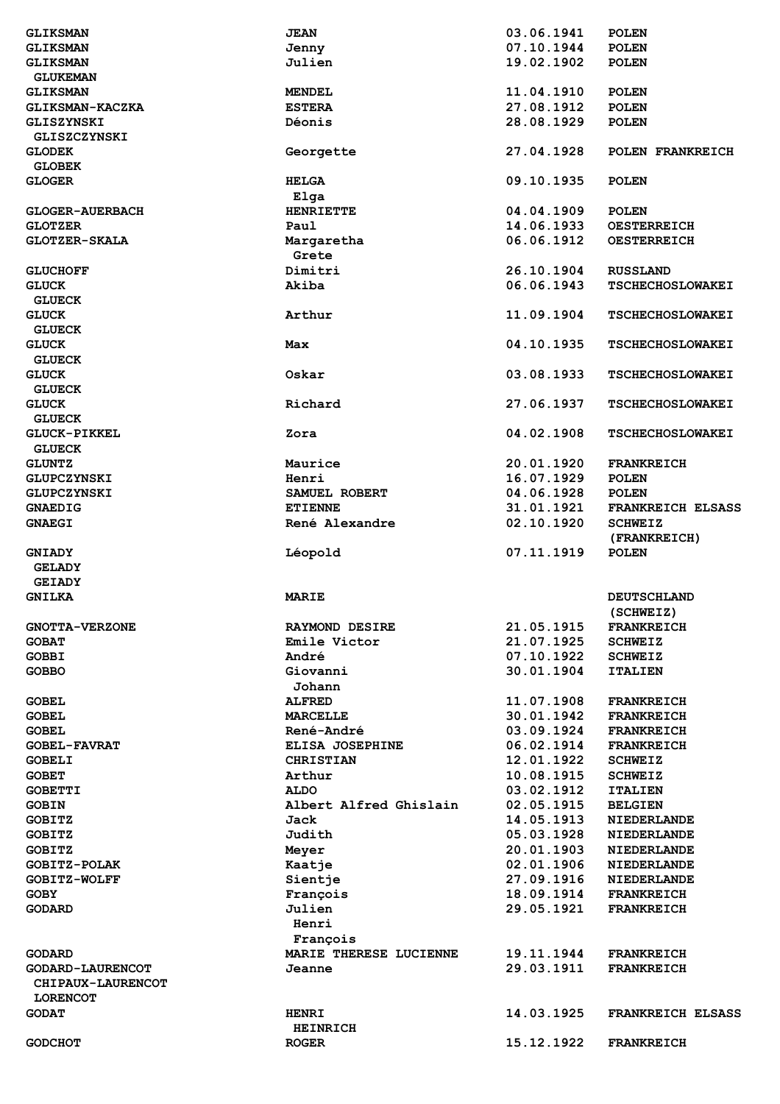| <b>GLIKSMAN</b>         | <b>JEAN</b>            | 03.06.1941 | <b>POLEN</b>             |
|-------------------------|------------------------|------------|--------------------------|
| <b>GLIKSMAN</b>         | Jenny                  | 07.10.1944 | <b>POLEN</b>             |
| <b>GLIKSMAN</b>         | Julien                 | 19.02.1902 | <b>POLEN</b>             |
| <b>GLUKEMAN</b>         |                        |            |                          |
| <b>GLIKSMAN</b>         | <b>MENDEL</b>          | 11.04.1910 | <b>POLEN</b>             |
| GLIKSMAN-KACZKA         | <b>ESTERA</b>          | 27.08.1912 | <b>POLEN</b>             |
|                         |                        |            |                          |
| GLISZYNSKI              | Déonis                 | 28.08.1929 | <b>POLEN</b>             |
| GLISZCZYNSKI            |                        |            |                          |
| <b>GLODEK</b>           | Georgette              | 27.04.1928 | POLEN FRANKREICH         |
| <b>GLOBEK</b>           |                        |            |                          |
| <b>GLOGER</b>           | <b>HELGA</b>           | 09.10.1935 | <b>POLEN</b>             |
|                         | Elga                   |            |                          |
| <b>GLOGER-AUERBACH</b>  | <b>HENRIETTE</b>       | 04.04.1909 | <b>POLEN</b>             |
| <b>GLOTZER</b>          | Paul                   | 14.06.1933 | <b>OESTERREICH</b>       |
|                         |                        |            |                          |
| <b>GLOTZER-SKALA</b>    | Margaretha             | 06.06.1912 | <b>OESTERREICH</b>       |
|                         | Grete                  |            |                          |
| <b>GLUCHOFF</b>         | Dimitri                | 26.10.1904 | <b>RUSSLAND</b>          |
| <b>GLUCK</b>            | Akiba                  | 06.06.1943 | <b>TSCHECHOSLOWAKEI</b>  |
| <b>GLUECK</b>           |                        |            |                          |
| <b>GLUCK</b>            | Arthur                 | 11.09.1904 | <b>TSCHECHOSLOWAKEI</b>  |
| <b>GLUECK</b>           |                        |            |                          |
| <b>GLUCK</b>            | Max                    | 04.10.1935 | <b>TSCHECHOSLOWAKEI</b>  |
|                         |                        |            |                          |
| <b>GLUECK</b>           |                        |            |                          |
| <b>GLUCK</b>            | Oskar                  | 03.08.1933 | <b>TSCHECHOSLOWAKEI</b>  |
| <b>GLUECK</b>           |                        |            |                          |
| <b>GLUCK</b>            | Richard                | 27.06.1937 | <b>TSCHECHOSLOWAKEI</b>  |
| <b>GLUECK</b>           |                        |            |                          |
| <b>GLUCK-PIKKEL</b>     | Zora                   | 04.02.1908 | <b>TSCHECHOSLOWAKEI</b>  |
| <b>GLUECK</b>           |                        |            |                          |
| <b>GLUNTZ</b>           | Maurice                | 20.01.1920 | <b>FRANKREICH</b>        |
|                         |                        |            |                          |
| GLUPCZYNSKI             | Henri                  | 16.07.1929 | <b>POLEN</b>             |
| GLUPCZYNSKI             | SAMUEL ROBERT          | 04.06.1928 | <b>POLEN</b>             |
| <b>GNAEDIG</b>          | <b>ETIENNE</b>         | 31.01.1921 | FRANKREICH ELSASS        |
|                         | René Alexandre         |            |                          |
| <b>GNAEGI</b>           |                        | 02.10.1920 | <b>SCHWEIZ</b>           |
|                         |                        |            | (FRANKREICH)             |
| <b>GNIADY</b>           |                        | 07.11.1919 | <b>POLEN</b>             |
|                         | Léopold                |            |                          |
| <b>GELADY</b>           |                        |            |                          |
| <b>GEIADY</b>           |                        |            |                          |
| <b>GNILKA</b>           | <b>MARIE</b>           |            | <b>DEUTSCHLAND</b>       |
|                         |                        |            | (SCHWEIZ)                |
| <b>GNOTTA-VERZONE</b>   | <b>RAYMOND DESIRE</b>  | 21.05.1915 | <b>FRANKREICH</b>        |
| <b>GOBAT</b>            | Emile Victor           | 21.07.1925 | <b>SCHWEIZ</b>           |
| <b>GOBBI</b>            | André                  | 07.10.1922 | <b>SCHWEIZ</b>           |
| <b>GOBBO</b>            | Giovanni               | 30.01.1904 | <b>ITALIEN</b>           |
|                         |                        |            |                          |
|                         | Johann                 |            |                          |
| <b>GOBEL</b>            | <b>ALFRED</b>          | 11.07.1908 | <b>FRANKREICH</b>        |
| <b>GOBEL</b>            | MARCELLE               | 30.01.1942 | <b>FRANKREICH</b>        |
| <b>GOBEL</b>            | <b>René-André</b>      | 03.09.1924 | <b>FRANKREICH</b>        |
| <b>GOBEL-FAVRAT</b>     | ELISA JOSEPHINE        | 06.02.1914 | <b>FRANKREICH</b>        |
| <b>GOBELI</b>           | <b>CHRISTIAN</b>       | 12.01.1922 | <b>SCHWEIZ</b>           |
| <b>GOBET</b>            | Arthur                 | 10.08.1915 | <b>SCHWEIZ</b>           |
| <b>GOBETTI</b>          | <b>ALDO</b>            | 03.02.1912 | <b>ITALIEN</b>           |
|                         |                        |            |                          |
| <b>GOBIN</b>            | Albert Alfred Ghislain | 02.05.1915 | <b>BELGIEN</b>           |
| <b>GOBITZ</b>           | Jack                   | 14.05.1913 | <b>NIEDERLANDE</b>       |
| <b>GOBITZ</b>           | Judith                 | 05.03.1928 | <b>NIEDERLANDE</b>       |
| <b>GOBITZ</b>           | Meyer                  | 20.01.1903 | <b>NIEDERLANDE</b>       |
| GOBITZ-POLAK            | Kaatje                 | 02.01.1906 | <b>NIEDERLANDE</b>       |
| GOBITZ-WOLFF            | Sientje                | 27.09.1916 | <b>NIEDERLANDE</b>       |
| <b>GOBY</b>             | François               | 18.09.1914 | <b>FRANKREICH</b>        |
| <b>GODARD</b>           | Julien                 | 29.05.1921 | <b>FRANKREICH</b>        |
|                         | Henri                  |            |                          |
|                         |                        |            |                          |
|                         | François               |            |                          |
| <b>GODARD</b>           | MARIE THERESE LUCIENNE | 19.11.1944 | <b>FRANKREICH</b>        |
| <b>GODARD-LAURENCOT</b> | Jeanne                 | 29.03.1911 | <b>FRANKREICH</b>        |
| CHIPAUX-LAURENCOT       |                        |            |                          |
| <b>LORENCOT</b>         |                        |            |                          |
| <b>GODAT</b>            | <b>HENRI</b>           | 14.03.1925 | <b>FRANKREICH ELSASS</b> |
|                         | <b>HEINRICH</b>        |            |                          |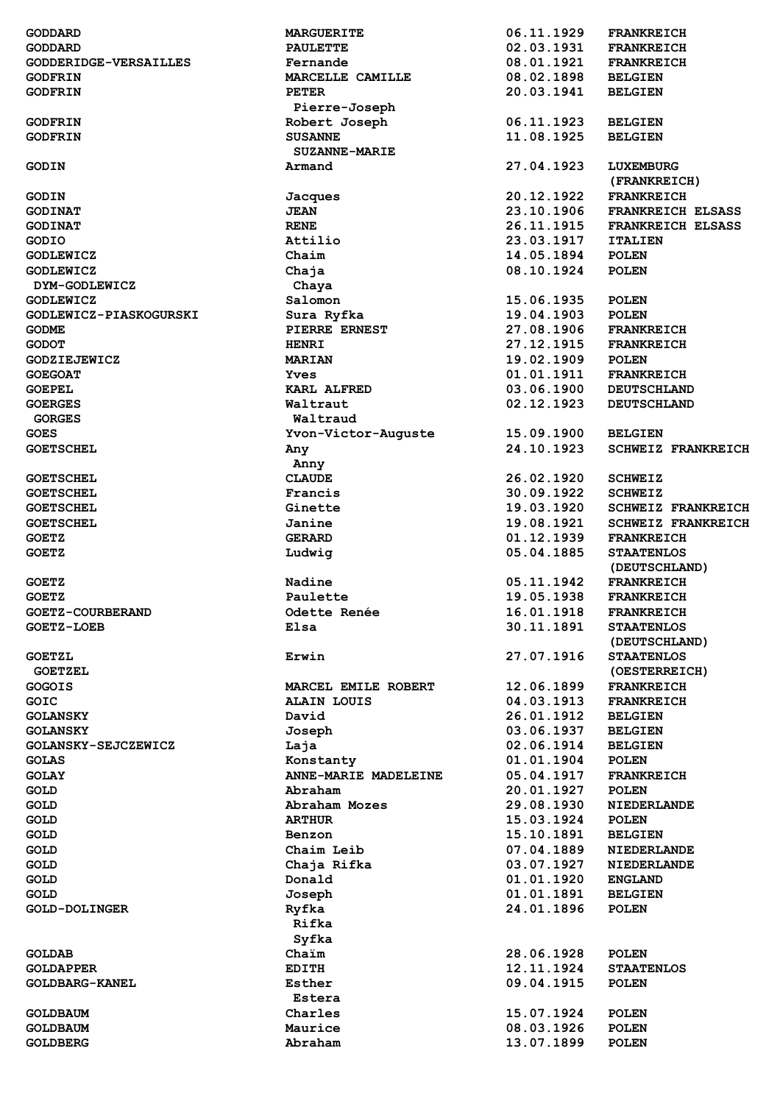| <b>GODDARD</b>                     | <b>MARGUERITE</b>    | 06.11.1929               | <b>FRANKREICH</b>            |
|------------------------------------|----------------------|--------------------------|------------------------------|
| <b>GODDARD</b>                     | <b>PAULETTE</b>      | 02.03.1931               | <b>FRANKREICH</b>            |
| GODDERIDGE-VERSAILLES              | Fernande             | 08.01.1921               | <b>FRANKREICH</b>            |
| <b>GODFRIN</b>                     | MARCELLE CAMILLE     | 08.02.1898               | <b>BELGIEN</b>               |
| <b>GODFRIN</b>                     | <b>PETER</b>         | 20.03.1941               | <b>BELGIEN</b>               |
|                                    | Pierre-Joseph        |                          |                              |
| <b>GODFRIN</b>                     | Robert Joseph        | 06.11.1923               | <b>BELGIEN</b>               |
| <b>GODFRIN</b>                     | <b>SUSANNE</b>       | 11.08.1925               | <b>BELGIEN</b>               |
|                                    | <b>SUZANNE-MARIE</b> |                          |                              |
| <b>GODIN</b>                       | Armand               | 27.04.1923               | LUXEMBURG                    |
|                                    |                      |                          | (FRANKREICH)                 |
| <b>GODIN</b>                       | Jacques              | 20.12.1922               | <b>FRANKREICH</b>            |
| <b>GODINAT</b>                     | <b>JEAN</b>          | 23.10.1906               | FRANKREICH ELSASS            |
| <b>GODINAT</b>                     | <b>RENE</b>          | 26.11.1915               | <b>FRANKREICH ELSASS</b>     |
| GODIO                              | Attilio              | 23.03.1917               | <b>ITALIEN</b>               |
| <b>GODLEWICZ</b>                   | Chaim                | 14.05.1894               | <b>POLEN</b>                 |
| <b>GODLEWICZ</b>                   | Chaja                | 08.10.1924               | <b>POLEN</b>                 |
| DYM-GODLEWICZ                      | Chaya                |                          |                              |
| <b>GODLEWICZ</b>                   | Salomon              | 15.06.1935               | <b>POLEN</b>                 |
| GODLEWICZ-PIASKOGURSKI             | Sura Ryfka           | 19.04.1903               | POLEN                        |
| <b>GODME</b>                       | PIERRE ERNEST        | 27.08.1906               | <b>FRANKREICH</b>            |
| <b>GODOT</b>                       | <b>HENRI</b>         | 27.12.1915               | <b>FRANKREICH</b>            |
| <b>GODZIEJEWICZ</b>                | <b>MARIAN</b>        | 19.02.1909               | <b>POLEN</b>                 |
| <b>GOEGOAT</b>                     | <b>Yves</b>          | 01.01.1911               | <b>FRANKREICH</b>            |
| <b>GOEPEL</b>                      | <b>KARL ALFRED</b>   | 03.06.1900               | <b>DEUTSCHLAND</b>           |
| <b>GOERGES</b>                     | Waltraut             | 02.12.1923               | <b>DEUTSCHLAND</b>           |
| <b>GORGES</b>                      | Waltraud             |                          |                              |
| <b>GOES</b>                        | Yvon-Victor-Auguste  | 15.09.1900               | <b>BELGIEN</b>               |
| <b>GOETSCHEL</b>                   | Any                  | 24.10.1923               | <b>SCHWEIZ FRANKREICH</b>    |
|                                    | Anny                 |                          |                              |
| <b>GOETSCHEL</b>                   | <b>CLAUDE</b>        | 26.02.1920               | <b>SCHWEIZ</b>               |
| <b>GOETSCHEL</b>                   | Francis              | 30.09.1922               | <b>SCHWEIZ</b>               |
| <b>GOETSCHEL</b>                   | Ginette              | 19.03.1920               | <b>SCHWEIZ FRANKREICH</b>    |
| <b>GOETSCHEL</b>                   | Janine               | 19.08.1921               | <b>SCHWEIZ FRANKREICH</b>    |
| <b>GOETZ</b>                       | <b>GERARD</b>        | 01.12.1939               | <b>FRANKREICH</b>            |
| <b>GOETZ</b>                       | Ludwig               | 05.04.1885               | <b>STAATENLOS</b>            |
|                                    |                      |                          | (DEUTSCHLAND)                |
| <b>GOETZ</b>                       | Nadine               | 05.11.1942               | <b>FRANKREICH</b>            |
| <b>GOETZ</b>                       |                      |                          |                              |
|                                    |                      |                          |                              |
|                                    | Paulette             | 19.05.1938               | <b>FRANKREICH</b>            |
| GOETZ-COURBERAND                   | Odette Renée         | 16.01.1918               | <b>FRANKREICH</b>            |
| <b>GOETZ-LOEB</b>                  | Elsa                 | 30.11.1891               | <b>STAATENLOS</b>            |
|                                    |                      |                          | (DEUTSCHLAND)                |
| <b>GOETZL</b>                      | Erwin                | 27.07.1916               | <b>STAATENLOS</b>            |
| <b>GOETZEL</b>                     |                      |                          | (OESTERREICH)                |
| <b>GOGOIS</b>                      | MARCEL EMILE ROBERT  | 12.06.1899               | <b>FRANKREICH</b>            |
| GOIC                               | <b>ALAIN LOUIS</b>   | 04.03.1913               | <b>FRANKREICH</b>            |
| <b>GOLANSKY</b>                    | David                | 26.01.1912               | <b>BELGIEN</b>               |
| <b>GOLANSKY</b>                    | Joseph               | 03.06.1937               | <b>BELGIEN</b>               |
| GOLANSKY-SEJCZEWICZ                | Laja                 | 02.06.1914               | <b>BELGIEN</b>               |
| <b>GOLAS</b>                       | Konstanty            | 01.01.1904               | <b>POLEN</b>                 |
| <b>GOLAY</b>                       | ANNE-MARIE MADELEINE | 05.04.1917               | <b>FRANKREICH</b>            |
| <b>GOLD</b>                        | Abraham              | 20.01.1927               | <b>POLEN</b>                 |
| <b>GOLD</b>                        | Abraham Mozes        | 29.08.1930               | <b>NIEDERLANDE</b>           |
| <b>GOLD</b>                        | <b>ARTHUR</b>        | 15.03.1924               | <b>POLEN</b>                 |
| <b>GOLD</b>                        | Benzon               | 15.10.1891               | <b>BELGIEN</b>               |
| <b>GOLD</b>                        | Chaim Leib           | 07.04.1889               | <b>NIEDERLANDE</b>           |
| <b>GOLD</b>                        | Chaja Rifka          | 03.07.1927               | <b>NIEDERLANDE</b>           |
| <b>GOLD</b>                        | Donald               | 01.01.1920               | <b>ENGLAND</b>               |
| <b>GOLD</b>                        | Joseph               | 01.01.1891               | <b>BELGIEN</b>               |
| <b>GOLD-DOLINGER</b>               | Ryfka                | 24.01.1896               | <b>POLEN</b>                 |
|                                    | Rifka                |                          |                              |
|                                    | Syfka                |                          |                              |
| <b>GOLDAB</b>                      | Chaim                | 28.06.1928               | <b>POLEN</b>                 |
| <b>GOLDAPPER</b>                   | <b>EDITH</b>         | 12.11.1924               | <b>STAATENLOS</b>            |
| <b>GOLDBARG-KANEL</b>              | Esther               | 09.04.1915               | <b>POLEN</b>                 |
|                                    | Estera               |                          |                              |
| <b>GOLDBAUM</b>                    | Charles              | 15.07.1924               | <b>POLEN</b>                 |
| <b>GOLDBAUM</b><br><b>GOLDBERG</b> | Maurice<br>Abraham   | 08.03.1926<br>13.07.1899 | <b>POLEN</b><br><b>POLEN</b> |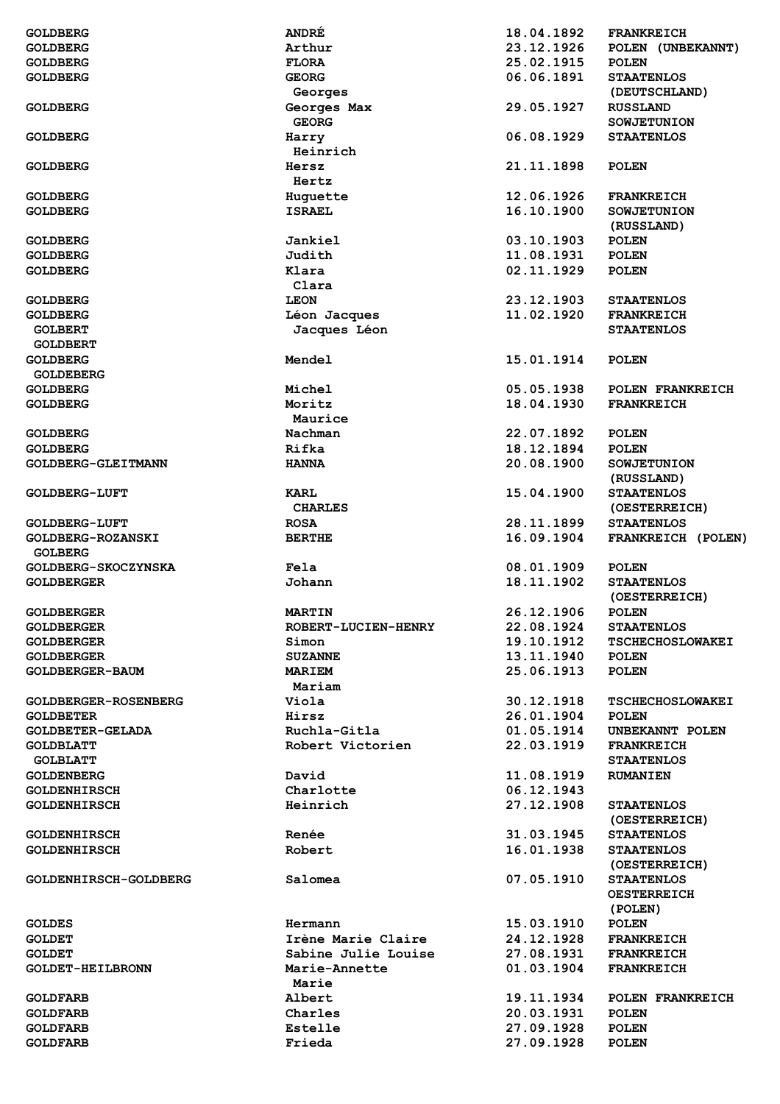| <b>GOLDBERG</b>                    | <b>ANDRE</b>               | 18.04.1892               | <b>FRANKREICH</b>            |
|------------------------------------|----------------------------|--------------------------|------------------------------|
| <b>GOLDBERG</b>                    | Arthur                     | 23.12.1926               | POLEN (UNBEKANNT)            |
| <b>GOLDBERG</b>                    | <b>FLORA</b>               | 25.02.1915               | <b>POLEN</b>                 |
|                                    |                            |                          |                              |
| <b>GOLDBERG</b>                    | <b>GEORG</b>               | 06.06.1891               | <b>STAATENLOS</b>            |
|                                    | Georges                    |                          | (DEUTSCHLAND)                |
| <b>GOLDBERG</b>                    | Georges Max                | 29.05.1927               | <b>RUSSLAND</b>              |
|                                    | <b>GEORG</b>               |                          | <b>SOWJETUNION</b>           |
|                                    |                            |                          |                              |
| <b>GOLDBERG</b>                    | Harry                      | 06.08.1929               | <b>STAATENLOS</b>            |
|                                    | Heinrich                   |                          |                              |
| <b>GOLDBERG</b>                    | Hersz                      | 21.11.1898               | <b>POLEN</b>                 |
|                                    | Hertz                      |                          |                              |
|                                    |                            |                          |                              |
| <b>GOLDBERG</b>                    | Huquette                   | 12.06.1926               | <b>FRANKREICH</b>            |
| <b>GOLDBERG</b>                    | <b>ISRAEL</b>              | 16.10.1900               | <b>SOWJETUNION</b>           |
|                                    |                            |                          | (RUSSLAND)                   |
| <b>GOLDBERG</b>                    | <b>Jankiel</b>             | 03.10.1903               | <b>POLEN</b>                 |
| <b>GOLDBERG</b>                    | Judith                     | 11.08.1931               |                              |
|                                    |                            |                          | <b>POLEN</b>                 |
| <b>GOLDBERG</b>                    | Klara                      | 02.11.1929               | <b>POLEN</b>                 |
|                                    | Clara                      |                          |                              |
| <b>GOLDBERG</b>                    | <b>LEON</b>                | 23.12.1903               | <b>STAATENLOS</b>            |
| <b>GOLDBERG</b>                    | Léon Jacques               | 11.02.1920               | <b>FRANKREICH</b>            |
|                                    |                            |                          |                              |
| <b>GOLBERT</b>                     | Jacques Léon               |                          | <b>STAATENLOS</b>            |
| <b>GOLDBERT</b>                    |                            |                          |                              |
| <b>GOLDBERG</b>                    | Mendel                     | 15.01.1914               | <b>POLEN</b>                 |
| <b>GOLDEBERG</b>                   |                            |                          |                              |
|                                    |                            |                          |                              |
| <b>GOLDBERG</b>                    | Michel                     | 05.05.1938               | POLEN FRANKREICH             |
| <b>GOLDBERG</b>                    | Moritz                     | 18.04.1930               | <b>FRANKREICH</b>            |
|                                    | Maurice                    |                          |                              |
| <b>GOLDBERG</b>                    | Nachman                    | 22.07.1892               | <b>POLEN</b>                 |
| <b>GOLDBERG</b>                    | Rifka                      | 18.12.1894               | <b>POLEN</b>                 |
|                                    |                            |                          |                              |
| GOLDBERG-GLEITMANN                 | <b>HANNA</b>               | 20.08.1900               | <b>SOWJETUNION</b>           |
|                                    |                            |                          | (RUSSLAND)                   |
| <b>GOLDBERG-LUFT</b>               | KARL                       | 15.04.1900               | <b>STAATENLOS</b>            |
|                                    | <b>CHARLES</b>             |                          | (OESTERREICH)                |
|                                    |                            |                          |                              |
| <b>GOLDBERG-LUFT</b>               | <b>ROSA</b>                | 28.11.1899               | <b>STAATENLOS</b>            |
|                                    |                            |                          |                              |
| GOLDBERG-ROZANSKI                  | <b>BERTHE</b>              | 16.09.1904               | FRANKREICH (POLEN)           |
| <b>GOLBERG</b>                     |                            |                          |                              |
|                                    |                            |                          |                              |
| GOLDBERG-SKOCZYNSKA                | Fela                       | 08.01.1909               | <b>POLEN</b>                 |
| <b>GOLDBERGER</b>                  | Johann                     | 18.11.1902               | <b>STAATENLOS</b>            |
|                                    |                            |                          | (OESTERREICH)                |
| <b>GOLDBERGER</b>                  | <b>MARTIN</b>              | 26.12.1906               | <b>POLEN</b>                 |
| <b>GOLDBERGER</b>                  | <b>ROBERT-LUCIEN-HENRY</b> | 22.08.1924               | <b>STAATENLOS</b>            |
|                                    |                            |                          |                              |
| <b>GOLDBERGER</b>                  | Simon                      | 19.10.1912               | <b>TSCHECHOSLOWAKEI</b>      |
| <b>GOLDBERGER</b>                  | <b>SUZANNE</b>             | 13.11.1940               | <b>POLEN</b>                 |
| GOLDBERGER-BAUM                    | <b>MARIEM</b>              | 25.06.1913               | <b>POLEN</b>                 |
|                                    | Mariam                     |                          |                              |
|                                    |                            |                          |                              |
| GOLDBERGER-ROSENBERG               | Viola                      | 30.12.1918               | <b>TSCHECHOSLOWAKEI</b>      |
| <b>GOLDBETER</b>                   | Hirsz                      | 26.01.1904               | <b>POLEN</b>                 |
| <b>GOLDBETER-GELADA</b>            | Ruchla-Gitla               | 01.05.1914               | UNBEKANNT POLEN              |
| <b>GOLDBLATT</b>                   | Robert Victorien           | 22.03.1919               | <b>FRANKREICH</b>            |
|                                    |                            |                          |                              |
| <b>GOLBLATT</b>                    |                            |                          | <b>STAATENLOS</b>            |
| <b>GOLDENBERG</b>                  | David                      | 11.08.1919               | <b>RUMANIEN</b>              |
| <b>GOLDENHIRSCH</b>                | Charlotte                  | 06.12.1943               |                              |
| <b>GOLDENHIRSCH</b>                | Heinrich                   | 27.12.1908               | <b>STAATENLOS</b>            |
|                                    |                            |                          |                              |
|                                    |                            |                          | (OESTERREICH)                |
| <b>GOLDENHIRSCH</b>                | Renée                      | 31.03.1945               | <b>STAATENLOS</b>            |
| <b>GOLDENHIRSCH</b>                | Robert                     | 16.01.1938               | <b>STAATENLOS</b>            |
|                                    |                            |                          | (OESTERREICH)                |
| GOLDENHIRSCH-GOLDBERG              | Salomea                    | 07.05.1910               | <b>STAATENLOS</b>            |
|                                    |                            |                          |                              |
|                                    |                            |                          | <b>OESTERREICH</b>           |
|                                    |                            |                          | (POLEN)                      |
| <b>GOLDES</b>                      | Hermann                    | 15.03.1910               | <b>POLEN</b>                 |
| <b>GOLDET</b>                      | Irène Marie Claire         | 24.12.1928               | <b>FRANKREICH</b>            |
| <b>GOLDET</b>                      | Sabine Julie Louise        | 27.08.1931               | <b>FRANKREICH</b>            |
|                                    |                            |                          |                              |
| <b>GOLDET-HEILBRONN</b>            | Marie-Annette              | 01.03.1904               | <b>FRANKREICH</b>            |
|                                    | Marie                      |                          |                              |
| <b>GOLDFARB</b>                    | Albert                     | 19.11.1934               | POLEN FRANKREICH             |
| <b>GOLDFARB</b>                    | Charles                    | 20.03.1931               | <b>POLEN</b>                 |
|                                    |                            |                          |                              |
| <b>GOLDFARB</b><br><b>GOLDFARB</b> | Estelle<br>Frieda          | 27.09.1928<br>27.09.1928 | <b>POLEN</b><br><b>POLEN</b> |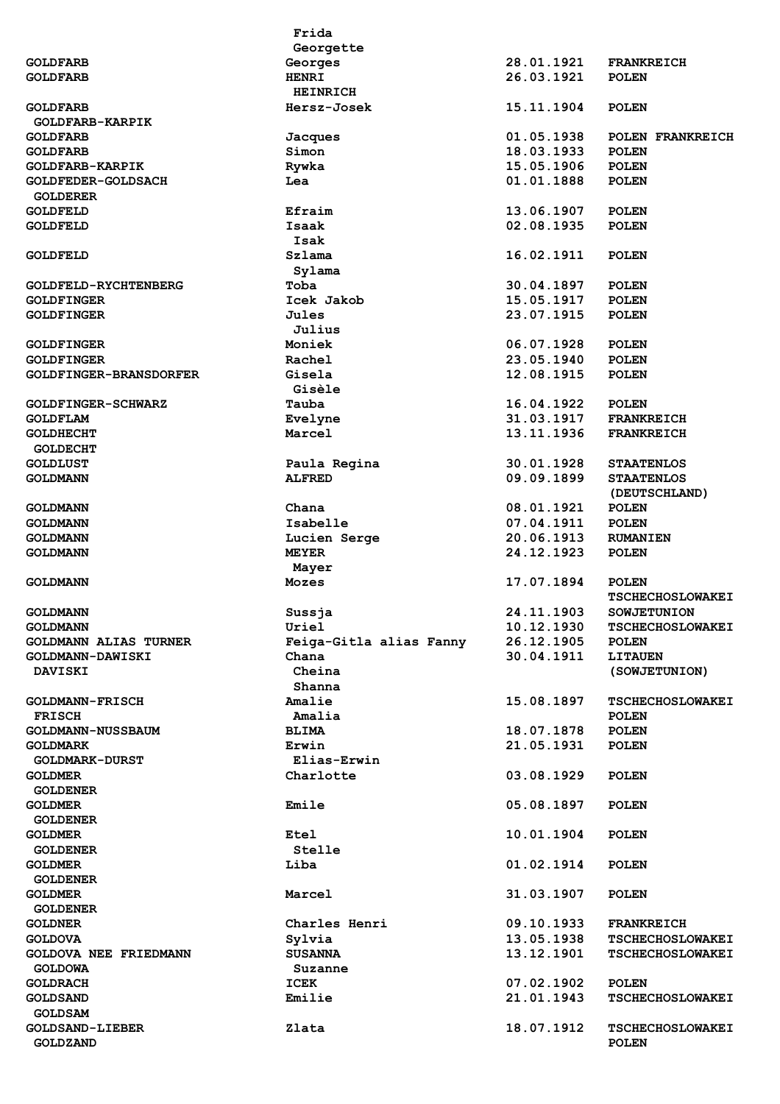|                                   | Frida                   |            |                         |
|-----------------------------------|-------------------------|------------|-------------------------|
|                                   | Georgette               |            |                         |
| <b>GOLDFARB</b>                   | Georges                 | 28.01.1921 | <b>FRANKREICH</b>       |
| <b>GOLDFARB</b>                   | <b>HENRI</b>            | 26.03.1921 | <b>POLEN</b>            |
|                                   | <b>HEINRICH</b>         |            |                         |
| <b>GOLDFARB</b>                   | Hersz-Josek             | 15.11.1904 | <b>POLEN</b>            |
| <b>GOLDFARB-KARPIK</b>            |                         |            |                         |
| <b>GOLDFARB</b>                   | Jacques                 | 01.05.1938 | POLEN FRANKREICH        |
| <b>GOLDFARB</b>                   | Simon                   | 18.03.1933 | <b>POLEN</b>            |
| <b>GOLDFARB-KARPIK</b>            | Rywka                   | 15.05.1906 | <b>POLEN</b>            |
| <b>GOLDFEDER-GOLDSACH</b>         | Lea                     | 01.01.1888 | <b>POLEN</b>            |
| <b>GOLDERER</b>                   | Efraim                  | 13.06.1907 |                         |
| <b>GOLDFELD</b>                   | Isaak                   | 02.08.1935 | <b>POLEN</b>            |
| <b>GOLDFELD</b>                   | Isak                    |            | <b>POLEN</b>            |
| <b>GOLDFELD</b>                   | Szlama                  | 16.02.1911 | <b>POLEN</b>            |
|                                   | Sylama                  |            |                         |
| <b>GOLDFELD-RYCHTENBERG</b>       | Toba                    | 30.04.1897 | <b>POLEN</b>            |
| <b>GOLDFINGER</b>                 | Icek Jakob              | 15.05.1917 | <b>POLEN</b>            |
| <b>GOLDFINGER</b>                 | Jules                   | 23.07.1915 | <b>POLEN</b>            |
|                                   | Julius                  |            |                         |
| <b>GOLDFINGER</b>                 | Moniek                  | 06.07.1928 | <b>POLEN</b>            |
| <b>GOLDFINGER</b>                 | <b>Rachel</b>           | 23.05.1940 | <b>POLEN</b>            |
| <b>GOLDFINGER-BRANSDORFER</b>     | Gisela                  | 12.08.1915 | <b>POLEN</b>            |
|                                   | Gisèle                  |            |                         |
| <b>GOLDFINGER-SCHWARZ</b>         | Tauba                   | 16.04.1922 | <b>POLEN</b>            |
| <b>GOLDFLAM</b>                   | Evelyne                 | 31.03.1917 | <b>FRANKREICH</b>       |
| <b>GOLDHECHT</b>                  | Marcel                  | 13.11.1936 | <b>FRANKREICH</b>       |
| <b>GOLDECHT</b>                   |                         |            |                         |
| <b>GOLDLUST</b>                   | Paula Regina            | 30.01.1928 | <b>STAATENLOS</b>       |
| <b>GOLDMANN</b>                   | <b>ALFRED</b>           | 09.09.1899 | <b>STAATENLOS</b>       |
|                                   |                         |            | (DEUTSCHLAND)           |
| <b>GOLDMANN</b>                   | Chana                   | 08.01.1921 | <b>POLEN</b>            |
| <b>GOLDMANN</b>                   | Isabelle                | 07.04.1911 | <b>POLEN</b>            |
| <b>GOLDMANN</b>                   | Lucien Serge            | 20.06.1913 | <b>RUMANIEN</b>         |
| <b>GOLDMANN</b>                   | <b>MEYER</b>            | 24.12.1923 | <b>POLEN</b>            |
|                                   | Mayer                   |            |                         |
| <b>GOLDMANN</b>                   | <b>Mozes</b>            | 17.07.1894 | <b>POLEN</b>            |
|                                   |                         |            | <b>TSCHECHOSLOWAKEI</b> |
| <b>GOLDMANN</b>                   | Sussja                  | 24.11.1903 | <b>SOWJETUNION</b>      |
| <b>GOLDMANN</b>                   | Uriel                   | 10.12.1930 | <b>TSCHECHOSLOWAKEI</b> |
| <b>GOLDMANN ALIAS TURNER</b>      | Feiga-Gitla alias Fanny | 26.12.1905 | <b>POLEN</b>            |
| GOLDMANN-DAWISKI                  | Chana                   | 30.04.1911 | <b>LITAUEN</b>          |
| <b>DAVISKI</b>                    | Cheina                  |            | (SOWJETUNION)           |
|                                   | Shanna                  |            |                         |
| <b>GOLDMANN-FRISCH</b>            | Amalie                  | 15.08.1897 | <b>TSCHECHOSLOWAKEI</b> |
| <b>FRISCH</b>                     | Amalia                  |            | <b>POLEN</b>            |
| <b>GOLDMANN-NUSSBAUM</b>          | <b>BLIMA</b>            | 18.07.1878 | <b>POLEN</b>            |
| <b>GOLDMARK</b>                   | Erwin                   | 21.05.1931 | <b>POLEN</b>            |
| <b>GOLDMARK-DURST</b>             | Elias-Erwin             |            |                         |
| <b>GOLDMER</b><br><b>GOLDENER</b> | Charlotte               | 03.08.1929 | <b>POLEN</b>            |
| <b>GOLDMER</b>                    | Emile                   | 05.08.1897 | <b>POLEN</b>            |
| <b>GOLDENER</b>                   |                         |            |                         |
| <b>GOLDMER</b>                    | <b>Etel</b>             | 10.01.1904 | <b>POLEN</b>            |
| <b>GOLDENER</b>                   | Stelle                  |            |                         |
| <b>GOLDMER</b>                    | Liba                    | 01.02.1914 | <b>POLEN</b>            |
| <b>GOLDENER</b>                   |                         |            |                         |
| <b>GOLDMER</b>                    | Marcel                  | 31.03.1907 | <b>POLEN</b>            |
| <b>GOLDENER</b>                   |                         |            |                         |
| <b>GOLDNER</b>                    | Charles Henri           | 09.10.1933 | <b>FRANKREICH</b>       |
| <b>GOLDOVA</b>                    | Sylvia                  | 13.05.1938 | <b>TSCHECHOSLOWAKEI</b> |
| GOLDOVA NEE FRIEDMANN             | <b>SUSANNA</b>          | 13.12.1901 | <b>TSCHECHOSLOWAKEI</b> |
| <b>GOLDOWA</b>                    | Suzanne                 |            |                         |
| <b>GOLDRACH</b>                   | <b>ICEK</b>             | 07.02.1902 | <b>POLEN</b>            |
| <b>GOLDSAND</b>                   | Emilie                  | 21.01.1943 | <b>TSCHECHOSLOWAKEI</b> |
| <b>GOLDSAM</b>                    |                         |            |                         |
| <b>GOLDSAND-LIEBER</b>            | Zlata                   | 18.07.1912 | <b>TSCHECHOSLOWAKEI</b> |
| <b>GOLDZAND</b>                   |                         |            | <b>POLEN</b>            |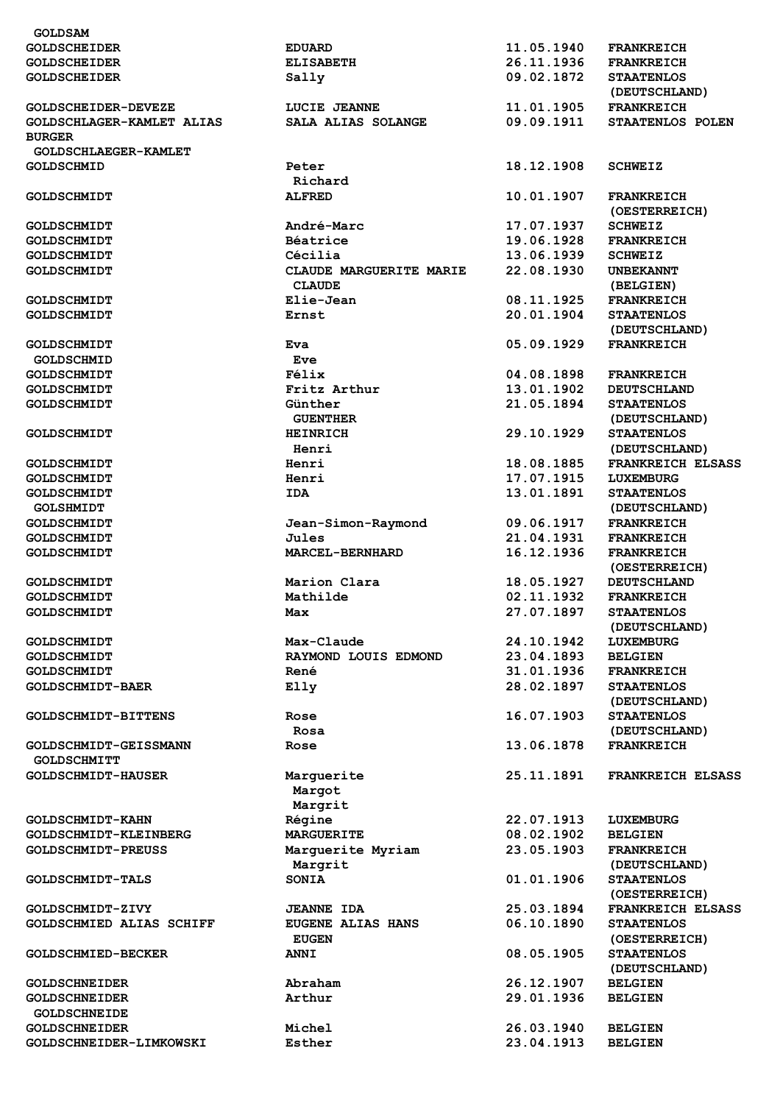| <b>GOLDSAM</b>            |                          |            |                          |
|---------------------------|--------------------------|------------|--------------------------|
| <b>GOLDSCHEIDER</b>       | <b>EDUARD</b>            | 11.05.1940 | <b>FRANKREICH</b>        |
| <b>GOLDSCHEIDER</b>       | <b>ELISABETH</b>         | 26.11.1936 | <b>FRANKREICH</b>        |
| <b>GOLDSCHEIDER</b>       | Sally                    | 09.02.1872 | <b>STAATENLOS</b>        |
|                           |                          |            | (DEUTSCHLAND)            |
| GOLDSCHEIDER-DEVEZE       | LUCIE JEANNE             | 11.01.1905 | <b>FRANKREICH</b>        |
| GOLDSCHLAGER-KAMLET ALIAS | SALA ALIAS SOLANGE       | 09.09.1911 | STAATENLOS POLEN         |
|                           |                          |            |                          |
| <b>BURGER</b>             |                          |            |                          |
| GOLDSCHLAEGER-KAMLET      |                          |            |                          |
| <b>GOLDSCHMID</b>         | Peter                    | 18.12.1908 | <b>SCHWEIZ</b>           |
|                           | Richard                  |            |                          |
| <b>GOLDSCHMIDT</b>        | <b>ALFRED</b>            | 10.01.1907 | <b>FRANKREICH</b>        |
|                           |                          |            | (OESTERREICH)            |
| <b>GOLDSCHMIDT</b>        | André-Marc               | 17.07.1937 | <b>SCHWEIZ</b>           |
| <b>GOLDSCHMIDT</b>        | Béatrice                 | 19.06.1928 | <b>FRANKREICH</b>        |
| <b>GOLDSCHMIDT</b>        | Cécilia                  | 13.06.1939 | <b>SCHWEIZ</b>           |
| <b>GOLDSCHMIDT</b>        | CLAUDE MARGUERITE MARIE  | 22.08.1930 | <b>UNBEKANNT</b>         |
|                           |                          |            |                          |
|                           | <b>CLAUDE</b>            |            | (BELGIEN)                |
| <b>GOLDSCHMIDT</b>        | Elie-Jean                | 08.11.1925 | <b>FRANKREICH</b>        |
| <b>GOLDSCHMIDT</b>        | Ernst                    | 20.01.1904 | <b>STAATENLOS</b>        |
|                           |                          |            | (DEUTSCHLAND)            |
| <b>GOLDSCHMIDT</b>        | Eva                      | 05.09.1929 | <b>FRANKREICH</b>        |
| <b>GOLDSCHMID</b>         | Eve                      |            |                          |
| <b>GOLDSCHMIDT</b>        | Félix                    | 04.08.1898 | <b>FRANKREICH</b>        |
| <b>GOLDSCHMIDT</b>        | Fritz Arthur             | 13.01.1902 | <b>DEUTSCHLAND</b>       |
| <b>GOLDSCHMIDT</b>        | Günther                  | 21.05.1894 | <b>STAATENLOS</b>        |
|                           |                          |            |                          |
|                           | <b>GUENTHER</b>          |            | (DEUTSCHLAND)            |
| <b>GOLDSCHMIDT</b>        | <b>HEINRICH</b>          | 29.10.1929 | <b>STAATENLOS</b>        |
|                           | Henri                    |            | (DEUTSCHLAND)            |
| <b>GOLDSCHMIDT</b>        | Henri                    | 18.08.1885 | <b>FRANKREICH ELSASS</b> |
| <b>GOLDSCHMIDT</b>        | Henri                    | 17.07.1915 | LUXEMBURG                |
| <b>GOLDSCHMIDT</b>        | <b>IDA</b>               | 13.01.1891 | <b>STAATENLOS</b>        |
| <b>GOLSHMIDT</b>          |                          |            | (DEUTSCHLAND)            |
| <b>GOLDSCHMIDT</b>        | Jean-Simon-Raymond       | 09.06.1917 | <b>FRANKREICH</b>        |
| <b>GOLDSCHMIDT</b>        | Jules                    | 21.04.1931 | <b>FRANKREICH</b>        |
|                           |                          |            |                          |
| <b>GOLDSCHMIDT</b>        | <b>MARCEL-BERNHARD</b>   | 16.12.1936 | <b>FRANKREICH</b>        |
|                           |                          |            | (OESTERREICH)            |
| <b>GOLDSCHMIDT</b>        | Marion Clara             | 18.05.1927 | <b>DEUTSCHLAND</b>       |
| <b>GOLDSCHMIDT</b>        | Mathilde                 | 02.11.1932 | <b>FRANKREICH</b>        |
| GOLDSCHMIDT               | Max                      | 27.07.1897 | <b>STAATENLOS</b>        |
|                           |                          |            | (DEUTSCHLAND)            |
| <b>GOLDSCHMIDT</b>        | Max-Claude               | 24.10.1942 | <b>LUXEMBURG</b>         |
| <b>GOLDSCHMIDT</b>        | RAYMOND LOUIS EDMOND     | 23.04.1893 | <b>BELGIEN</b>           |
| <b>GOLDSCHMIDT</b>        | René                     | 31.01.1936 | <b>FRANKREICH</b>        |
|                           |                          | 28.02.1897 |                          |
| <b>GOLDSCHMIDT-BAER</b>   | Elly                     |            | <b>STAATENLOS</b>        |
|                           |                          |            | (DEUTSCHLAND)            |
| GOLDSCHMIDT-BITTENS       | Rose                     | 16.07.1903 | <b>STAATENLOS</b>        |
|                           | Rosa                     |            | (DEUTSCHLAND)            |
| GOLDSCHMIDT-GEISSMANN     | Rose                     | 13.06.1878 | <b>FRANKREICH</b>        |
| <b>GOLDSCHMITT</b>        |                          |            |                          |
| <b>GOLDSCHMIDT-HAUSER</b> | Marguerite               | 25.11.1891 | <b>FRANKREICH ELSASS</b> |
|                           | Margot                   |            |                          |
|                           | Margrit                  |            |                          |
| GOLDSCHMIDT-KAHN          | Régine                   | 22.07.1913 | LUXEMBURG                |
|                           |                          |            |                          |
| GOLDSCHMIDT-KLEINBERG     | <b>MARGUERITE</b>        | 08.02.1902 | <b>BELGIEN</b>           |
| <b>GOLDSCHMIDT-PREUSS</b> | Marguerite Myriam        | 23.05.1903 | <b>FRANKREICH</b>        |
|                           | Margrit                  |            | (DEUTSCHLAND)            |
| <b>GOLDSCHMIDT-TALS</b>   | <b>SONIA</b>             | 01.01.1906 | <b>STAATENLOS</b>        |
|                           |                          |            | (OESTERREICH)            |
| GOLDSCHMIDT-ZIVY          | <b>JEANNE IDA</b>        | 25.03.1894 | FRANKREICH ELSASS        |
| GOLDSCHMIED ALIAS SCHIFF  | <b>EUGENE ALIAS HANS</b> | 06.10.1890 | <b>STAATENLOS</b>        |
|                           | <b>EUGEN</b>             |            | (OESTERREICH)            |
| <b>GOLDSCHMIED-BECKER</b> | <b>ANNI</b>              | 08.05.1905 | <b>STAATENLOS</b>        |
|                           |                          |            |                          |
|                           |                          |            | (DEUTSCHLAND)            |
| <b>GOLDSCHNEIDER</b>      | Abraham                  | 26.12.1907 | <b>BELGIEN</b>           |
| <b>GOLDSCHNEIDER</b>      | Arthur                   | 29.01.1936 | <b>BELGIEN</b>           |
| <b>GOLDSCHNEIDE</b>       |                          |            |                          |
| <b>GOLDSCHNEIDER</b>      | Michel                   | 26.03.1940 | <b>BELGIEN</b>           |
| GOLDSCHNEIDER-LIMKOWSKI   | Esther                   | 23.04.1913 | <b>BELGIEN</b>           |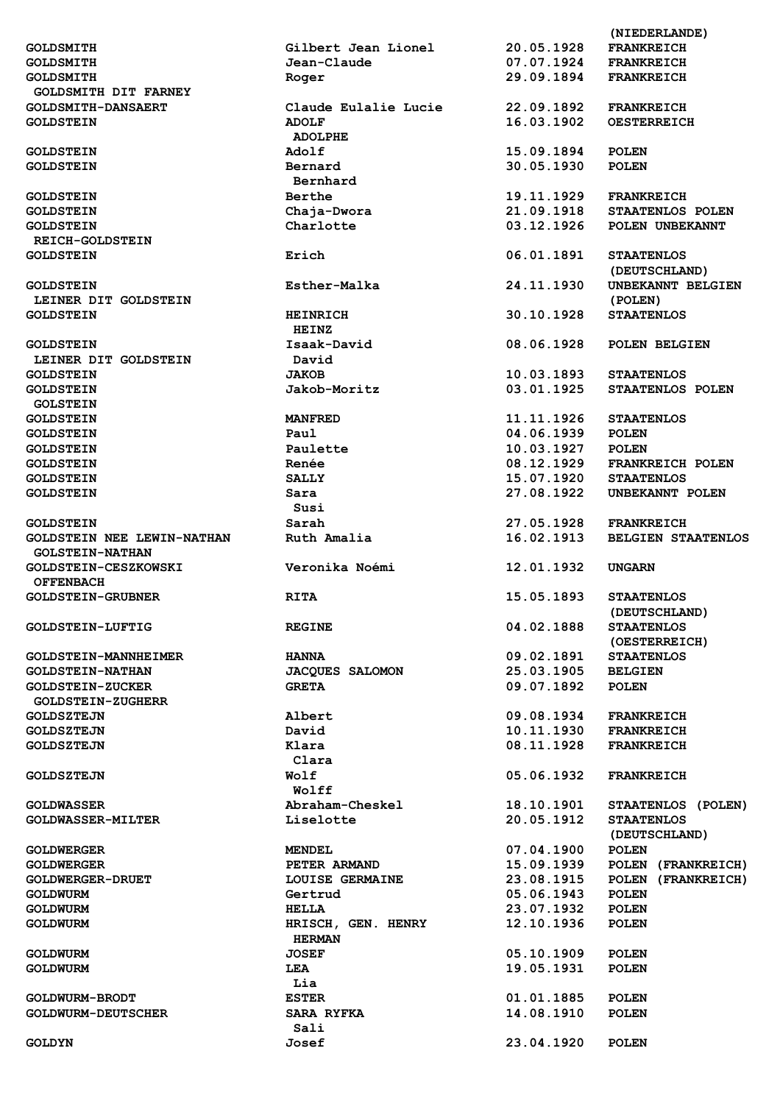|                                   |                          |            | (NIEDERLANDE)             |
|-----------------------------------|--------------------------|------------|---------------------------|
| <b>GOLDSMITH</b>                  | Gilbert Jean Lionel      | 20.05.1928 | <b>FRANKREICH</b>         |
| <b>GOLDSMITH</b>                  | Jean-Claude              | 07.07.1924 | <b>FRANKREICH</b>         |
| <b>GOLDSMITH</b>                  | Roger                    | 29.09.1894 | <b>FRANKREICH</b>         |
| <b>GOLDSMITH DIT FARNEY</b>       |                          |            |                           |
| <b>GOLDSMITH-DANSAERT</b>         | Claude Eulalie Lucie     | 22.09.1892 | <b>FRANKREICH</b>         |
| <b>GOLDSTEIN</b>                  | <b>ADOLF</b>             | 16.03.1902 | <b>OESTERREICH</b>        |
|                                   | <b>ADOLPHE</b>           |            |                           |
| <b>GOLDSTEIN</b>                  | Adolf                    | 15.09.1894 | <b>POLEN</b>              |
| <b>GOLDSTEIN</b>                  | Bernard                  | 30.05.1930 | <b>POLEN</b>              |
|                                   | Bernhard                 |            |                           |
| <b>GOLDSTEIN</b>                  | Berthe                   | 19.11.1929 | <b>FRANKREICH</b>         |
|                                   |                          | 21.09.1918 | STAATENLOS POLEN          |
| <b>GOLDSTEIN</b>                  | Chaja-Dwora<br>Charlotte | 03.12.1926 |                           |
| <b>GOLDSTEIN</b>                  |                          |            | POLEN UNBEKANNT           |
| <b>REICH-GOLDSTEIN</b>            |                          |            |                           |
| <b>GOLDSTEIN</b>                  | Erich                    | 06.01.1891 | <b>STAATENLOS</b>         |
|                                   |                          |            | (DEUTSCHLAND)             |
| <b>GOLDSTEIN</b>                  | Esther-Malka             | 24.11.1930 | UNBEKANNT BELGIEN         |
| LEINER DIT GOLDSTEIN              |                          |            | (POLEN)                   |
| <b>GOLDSTEIN</b>                  | <b>HEINRICH</b>          | 30.10.1928 | <b>STAATENLOS</b>         |
|                                   | HEINZ                    |            |                           |
| <b>GOLDSTEIN</b>                  | Isaak-David              | 08.06.1928 | POLEN BELGIEN             |
| LEINER DIT GOLDSTEIN              | David                    |            |                           |
| <b>GOLDSTEIN</b>                  | <b>JAKOB</b>             | 10.03.1893 | <b>STAATENLOS</b>         |
| <b>GOLDSTEIN</b>                  | Jakob-Moritz             | 03.01.1925 | STAATENLOS POLEN          |
| <b>GOLSTEIN</b>                   |                          |            |                           |
| <b>GOLDSTEIN</b>                  | <b>MANFRED</b>           | 11.11.1926 | <b>STAATENLOS</b>         |
| <b>GOLDSTEIN</b>                  | Paul                     | 04.06.1939 | <b>POLEN</b>              |
| <b>GOLDSTEIN</b>                  | Paulette                 | 10.03.1927 | <b>POLEN</b>              |
| <b>GOLDSTEIN</b>                  | Renée                    | 08.12.1929 | <b>FRANKREICH POLEN</b>   |
| <b>GOLDSTEIN</b>                  | <b>SALLY</b>             | 15.07.1920 | <b>STAATENLOS</b>         |
| <b>GOLDSTEIN</b>                  | Sara                     | 27.08.1922 | UNBEKANNT POLEN           |
|                                   | Susi                     |            |                           |
| <b>GOLDSTEIN</b>                  | Sarah                    | 27.05.1928 | <b>FRANKREICH</b>         |
| <b>GOLDSTEIN NEE LEWIN-NATHAN</b> |                          | 16.02.1913 |                           |
|                                   | Ruth Amalia              |            | <b>BELGIEN STAATENLOS</b> |
| <b>GOLSTEIN-NATHAN</b>            |                          |            |                           |
| GOLDSTEIN-CESZKOWSKI              | Veronika Noémi           | 12.01.1932 | <b>UNGARN</b>             |
| <b>OFFENBACH</b>                  |                          |            |                           |
| <b>GOLDSTEIN-GRUBNER</b>          | <b>RITA</b>              | 15.05.1893 | <b>STAATENLOS</b>         |
|                                   |                          |            | (DEUTSCHLAND)             |
| <b>GOLDSTEIN-LUFTIG</b>           | <b>REGINE</b>            | 04.02.1888 | <b>STAATENLOS</b>         |
|                                   |                          |            | (OESTERREICH)             |
| <b>GOLDSTEIN-MANNHEIMER</b>       | <b>HANNA</b>             | 09.02.1891 | <b>STAATENLOS</b>         |
| <b>GOLDSTEIN-NATHAN</b>           | <b>JACQUES SALOMON</b>   | 25.03.1905 | <b>BELGIEN</b>            |
| <b>GOLDSTEIN-ZUCKER</b>           | <b>GRETA</b>             | 09.07.1892 | <b>POLEN</b>              |
| <b>GOLDSTEIN-ZUGHERR</b>          |                          |            |                           |
| <b>GOLDSZTEJN</b>                 | Albert                   | 09.08.1934 | <b>FRANKREICH</b>         |
| <b>GOLDSZTEJN</b>                 | David                    | 10.11.1930 | <b>FRANKREICH</b>         |
| <b>GOLDSZTEJN</b>                 | Klara                    | 08.11.1928 | <b>FRANKREICH</b>         |
|                                   | Clara                    |            |                           |
| <b>GOLDSZTEJN</b>                 | Wolf                     | 05.06.1932 | <b>FRANKREICH</b>         |
|                                   | Wolff                    |            |                           |
| <b>GOLDWASSER</b>                 | Abraham-Cheskel          | 18.10.1901 | STAATENLOS (POLEN)        |
| <b>GOLDWASSER-MILTER</b>          | Liselotte                | 20.05.1912 | <b>STAATENLOS</b>         |
|                                   |                          |            | (DEUTSCHLAND)             |
| <b>GOLDWERGER</b>                 | <b>MENDEL</b>            | 07.04.1900 | <b>POLEN</b>              |
|                                   |                          |            |                           |
| <b>GOLDWERGER</b>                 | PETER ARMAND             | 15.09.1939 | POLEN (FRANKREICH)        |
| <b>GOLDWERGER-DRUET</b>           | <b>LOUISE GERMAINE</b>   | 23.08.1915 | POLEN (FRANKREICH)        |
| <b>GOLDWURM</b>                   | Gertrud                  | 05.06.1943 | <b>POLEN</b>              |
| <b>GOLDWURM</b>                   | HELLA                    | 23.07.1932 | <b>POLEN</b>              |
| <b>GOLDWURM</b>                   | HRISCH, GEN. HENRY       | 12.10.1936 | <b>POLEN</b>              |
|                                   | <b>HERMAN</b>            |            |                           |
| <b>GOLDWURM</b>                   | <b>JOSEF</b>             | 05.10.1909 | <b>POLEN</b>              |
| <b>GOLDWURM</b>                   | LEA                      | 19.05.1931 | <b>POLEN</b>              |
|                                   | Lia                      |            |                           |
| <b>GOLDWURM-BRODT</b>             | <b>ESTER</b>             | 01.01.1885 | <b>POLEN</b>              |
| <b>GOLDWURM-DEUTSCHER</b>         | <b>SARA RYFKA</b>        | 14.08.1910 | <b>POLEN</b>              |
|                                   | Sali                     |            |                           |
| <b>GOLDYN</b>                     | Josef                    | 23.04.1920 | <b>POLEN</b>              |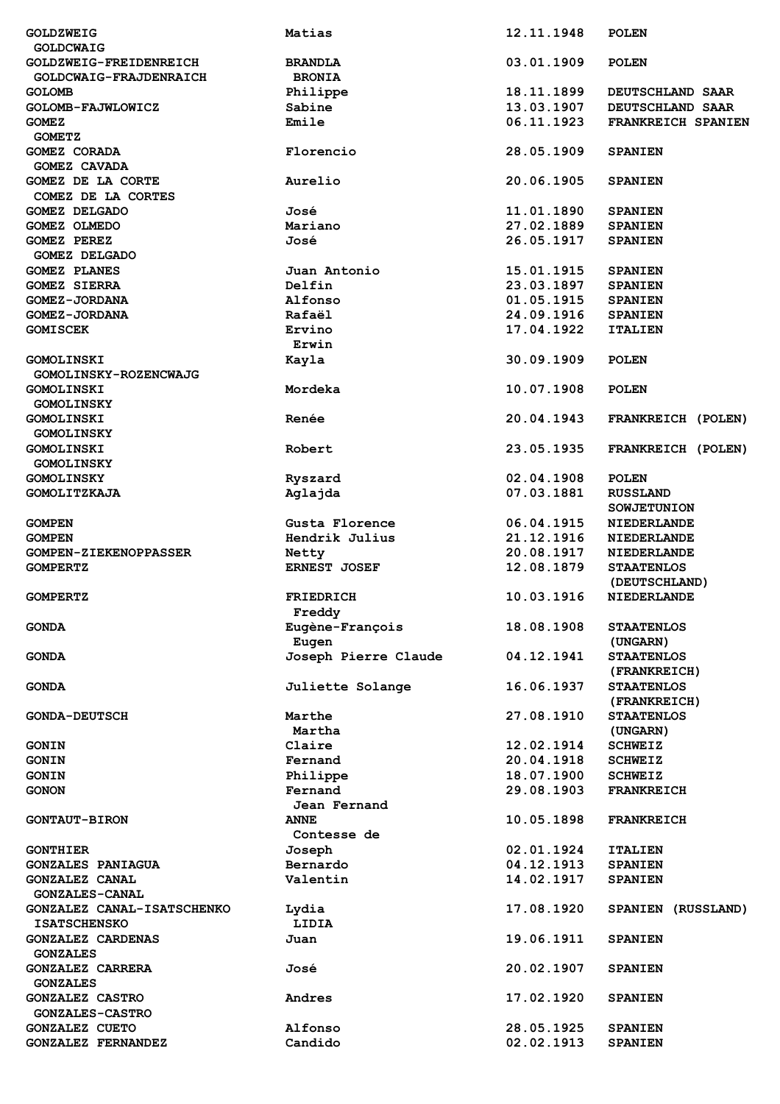| <b>GOLDZWEIG</b>                                   | Matias               | 12.11.1948               | <b>POLEN</b>                      |
|----------------------------------------------------|----------------------|--------------------------|-----------------------------------|
| <b>GOLDCWAIG</b>                                   |                      |                          |                                   |
| GOLDZWEIG-FREIDENREICH                             | <b>BRANDLA</b>       | 03.01.1909               | <b>POLEN</b>                      |
| GOLDCWAIG-FRAJDENRAICH                             | <b>BRONIA</b>        |                          |                                   |
| <b>GOLOMB</b>                                      | Philippe             | 18.11.1899               | DEUTSCHLAND SAAR                  |
| GOLOMB-FAJWLOWICZ                                  | Sabine               | 13.03.1907               | DEUTSCHLAND SAAR                  |
| <b>GOMEZ</b>                                       | Emile                | 06.11.1923               | FRANKREICH SPANIEN                |
| <b>GOMETZ</b>                                      |                      |                          |                                   |
| GOMEZ CORADA                                       | Florencio            | 28.05.1909               | <b>SPANIEN</b>                    |
| <b>GOMEZ CAVADA</b>                                |                      |                          |                                   |
| GOMEZ DE LA CORTE                                  | Aurelio              | 20.06.1905               | <b>SPANIEN</b>                    |
| COMEZ DE LA CORTES                                 |                      |                          |                                   |
| <b>GOMEZ DELGADO</b>                               | José                 | 11.01.1890               | <b>SPANIEN</b>                    |
| GOMEZ OLMEDO                                       | Mariano              | 27.02.1889               | <b>SPANIEN</b>                    |
| GOMEZ PEREZ                                        | José                 | 26.05.1917               | <b>SPANIEN</b>                    |
| <b>GOMEZ DELGADO</b>                               |                      |                          |                                   |
| <b>GOMEZ PLANES</b>                                | Juan Antonio         | 15.01.1915               | <b>SPANIEN</b>                    |
| <b>GOMEZ SIERRA</b>                                | Delfin               | 23.03.1897               | <b>SPANIEN</b>                    |
| <b>GOMEZ-JORDANA</b>                               | Alfonso              | 01.05.1915               | <b>SPANIEN</b>                    |
| <b>GOMEZ-JORDANA</b>                               | Rafaël               | 24.09.1916               | <b>SPANIEN</b>                    |
| <b>GOMISCEK</b>                                    | Ervino               | 17.04.1922               | <b>ITALIEN</b>                    |
|                                                    | Erwin                |                          |                                   |
| <b>GOMOLINSKI</b>                                  | Kayla                | 30.09.1909               | <b>POLEN</b>                      |
|                                                    |                      |                          |                                   |
| <b>GOMOLINSKY-ROZENCWAJG</b>                       |                      |                          |                                   |
| <b>GOMOLINSKI</b>                                  | Mordeka              | 10.07.1908               | <b>POLEN</b>                      |
| <b>GOMOLINSKY</b>                                  |                      |                          |                                   |
| <b>GOMOLINSKI</b>                                  | Renée                | 20.04.1943               | FRANKREICH (POLEN)                |
| <b>GOMOLINSKY</b>                                  |                      |                          |                                   |
| <b>GOMOLINSKI</b>                                  | Robert               | 23.05.1935               | FRANKREICH (POLEN)                |
| <b>GOMOLINSKY</b>                                  |                      |                          |                                   |
| <b>GOMOLINSKY</b>                                  | Ryszard              | 02.04.1908               | <b>POLEN</b>                      |
| GOMOLITZKAJA                                       | Aglajda              | 07.03.1881               | <b>RUSSLAND</b>                   |
|                                                    |                      |                          | <b>SOWJETUNION</b>                |
| <b>GOMPEN</b>                                      | Gusta Florence       | 06.04.1915               | <b>NIEDERLANDE</b>                |
| <b>GOMPEN</b>                                      | Hendrik Julius       | 21.12.1916               | <b>NIEDERLANDE</b>                |
|                                                    |                      |                          |                                   |
| <b>GOMPEN-ZIEKENOPPASSER</b>                       | Netty                | 20.08.1917               | <b>NIEDERLANDE</b>                |
| <b>GOMPERTZ</b>                                    | ERNEST JOSEF         | 12.08.1879               | <b>STAATENLOS</b>                 |
|                                                    |                      |                          | (DEUTSCHLAND)                     |
| <b>GOMPERTZ</b>                                    | <b>FRIEDRICH</b>     | 10.03.1916               | <b>NIEDERLANDE</b>                |
|                                                    | Freddy               |                          |                                   |
| <b>GONDA</b>                                       | Eugène-François      | 18.08.1908               | <b>STAATENLOS</b>                 |
|                                                    | Eugen                |                          | (UNGARN)                          |
| <b>GONDA</b>                                       |                      | 04.12.1941               | <b>STAATENLOS</b>                 |
|                                                    | Joseph Pierre Claude |                          |                                   |
|                                                    |                      |                          | (FRANKREICH)                      |
| <b>GONDA</b>                                       | Juliette Solange     | 16.06.1937               | <b>STAATENLOS</b>                 |
| <b>GONDA-DEUTSCH</b>                               |                      |                          | (FRANKREICH)<br><b>STAATENLOS</b> |
|                                                    | Marthe               | 27.08.1910               |                                   |
|                                                    | Martha               |                          | (UNGARN)                          |
| <b>GONIN</b>                                       | Claire               | 12.02.1914               | <b>SCHWEIZ</b>                    |
| <b>GONIN</b>                                       | Fernand              | 20.04.1918               | <b>SCHWEIZ</b>                    |
| <b>GONIN</b>                                       | Philippe             | 18.07.1900               | <b>SCHWEIZ</b>                    |
| <b>GONON</b>                                       | Fernand              | 29.08.1903               | <b>FRANKREICH</b>                 |
|                                                    | Jean Fernand         |                          |                                   |
| <b>GONTAUT-BIRON</b>                               | <b>ANNE</b>          | 10.05.1898               | <b>FRANKREICH</b>                 |
|                                                    | Contesse de          |                          |                                   |
| <b>GONTHIER</b>                                    | Joseph               | 02.01.1924               | <b>ITALIEN</b>                    |
| <b>GONZALES PANIAGUA</b>                           | Bernardo             | 04.12.1913               | <b>SPANIEN</b>                    |
| <b>GONZALEZ CANAL</b>                              | Valentin             | 14.02.1917               | <b>SPANIEN</b>                    |
| <b>GONZALES-CANAL</b>                              |                      |                          |                                   |
| GONZALEZ CANAL-ISATSCHENKO                         | Lydia                | 17.08.1920               | SPANIEN (RUSSLAND)                |
| <b>ISATSCHENSKO</b>                                | LIDIA                |                          |                                   |
| <b>GONZALEZ CARDENAS</b>                           | Juan                 | 19.06.1911               | <b>SPANIEN</b>                    |
| <b>GONZALES</b>                                    |                      |                          |                                   |
| <b>GONZALEZ CARRERA</b>                            | José                 | 20.02.1907               | <b>SPANIEN</b>                    |
| <b>GONZALES</b>                                    |                      |                          |                                   |
| <b>GONZALEZ CASTRO</b>                             | Andres               | 17.02.1920               | <b>SPANIEN</b>                    |
| <b>GONZALES-CASTRO</b>                             |                      |                          |                                   |
| <b>GONZALEZ CUETO</b><br><b>GONZALEZ FERNANDEZ</b> | Alfonso<br>Candido   | 28.05.1925<br>02.02.1913 | <b>SPANIEN</b><br><b>SPANIEN</b>  |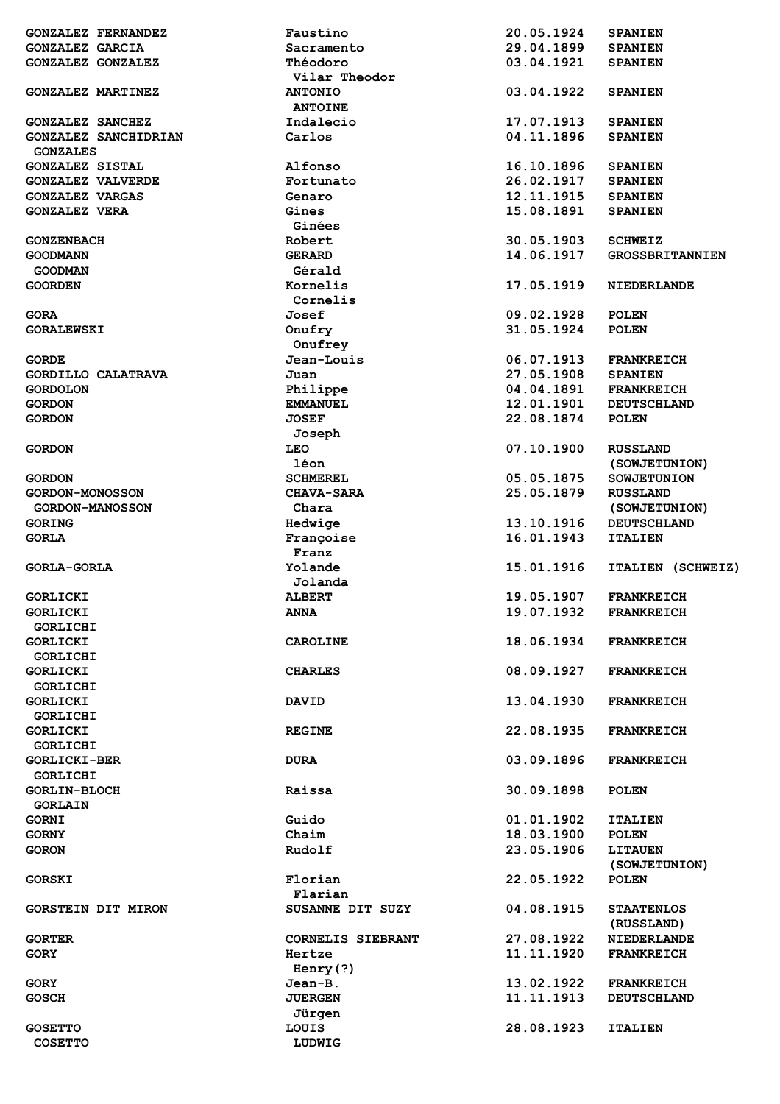| <b>GONZALEZ FERNANDEZ</b> | Faustino          | 20.05.1924 | <b>SPANIEN</b>         |
|---------------------------|-------------------|------------|------------------------|
| <b>GONZALEZ GARCIA</b>    | Sacramento        | 29.04.1899 | <b>SPANIEN</b>         |
| GONZALEZ GONZALEZ         | Théodoro          | 03.04.1921 | <b>SPANIEN</b>         |
|                           | Vilar Theodor     |            |                        |
| <b>GONZALEZ MARTINEZ</b>  | <b>ANTONIO</b>    | 03.04.1922 | <b>SPANIEN</b>         |
|                           | <b>ANTOINE</b>    |            |                        |
| <b>GONZALEZ SANCHEZ</b>   | Indalecio         | 17.07.1913 | <b>SPANIEN</b>         |
| GONZALEZ SANCHIDRIAN      | Carlos            | 04.11.1896 | <b>SPANIEN</b>         |
| <b>GONZALES</b>           |                   |            |                        |
| <b>GONZALEZ SISTAL</b>    | Alfonso           | 16.10.1896 | <b>SPANIEN</b>         |
| <b>GONZALEZ VALVERDE</b>  | Fortunato         | 26.02.1917 | <b>SPANIEN</b>         |
| <b>GONZALEZ VARGAS</b>    | Genaro            | 12.11.1915 | <b>SPANIEN</b>         |
| <b>GONZALEZ VERA</b>      | Gines             | 15.08.1891 | <b>SPANIEN</b>         |
|                           | Ginées            |            |                        |
| <b>GONZENBACH</b>         | Robert            | 30.05.1903 | <b>SCHWEIZ</b>         |
| <b>GOODMANN</b>           | <b>GERARD</b>     | 14.06.1917 | <b>GROSSBRITANNIEN</b> |
| <b>GOODMAN</b>            | Gérald            |            |                        |
| <b>GOORDEN</b>            | Kornelis          | 17.05.1919 | <b>NIEDERLANDE</b>     |
|                           | Cornelis          |            |                        |
| <b>GORA</b>               | Josef             | 09.02.1928 | <b>POLEN</b>           |
| <b>GORALEWSKI</b>         | Onufry            | 31.05.1924 | <b>POLEN</b>           |
|                           | Onufrey           |            |                        |
| <b>GORDE</b>              | Jean-Louis        | 06.07.1913 | <b>FRANKREICH</b>      |
| GORDILLO CALATRAVA        | Juan              | 27.05.1908 | <b>SPANIEN</b>         |
| <b>GORDOLON</b>           | Philippe          | 04.04.1891 | <b>FRANKREICH</b>      |
| <b>GORDON</b>             | <b>EMMANUEL</b>   | 12.01.1901 | <b>DEUTSCHLAND</b>     |
| <b>GORDON</b>             | <b>JOSEF</b>      | 22.08.1874 | <b>POLEN</b>           |
|                           | Joseph            |            |                        |
| <b>GORDON</b>             | <b>LEO</b>        | 07.10.1900 | <b>RUSSLAND</b>        |
|                           | léon              |            | (SOWJETUNION)          |
| <b>GORDON</b>             | <b>SCHMEREL</b>   | 05.05.1875 | <b>SOWJETUNION</b>     |
| <b>GORDON-MONOSSON</b>    | <b>CHAVA-SARA</b> | 25.05.1879 | <b>RUSSLAND</b>        |
| <b>GORDON-MANOSSON</b>    | Chara             |            | (SOWJETUNION)          |
| <b>GORING</b>             | Hedwige           | 13.10.1916 | <b>DEUTSCHLAND</b>     |
| <b>GORLA</b>              | Françoise         | 16.01.1943 | <b>ITALIEN</b>         |
|                           |                   |            |                        |
|                           | Franz             |            |                        |
| <b>GORLA-GORLA</b>        | Yolande           | 15.01.1916 | ITALIEN (SCHWEIZ)      |
|                           | Jolanda           |            |                        |
| <b>GORLICKI</b>           | <b>ALBERT</b>     | 19.05.1907 | <b>FRANKREICH</b>      |
| GORLICKI                  | <b>ANNA</b>       | 19.07.1932 | <b>FRANKREICH</b>      |
| <b>GORLICHI</b>           |                   |            |                        |
| <b>GORLICKI</b>           | <b>CAROLINE</b>   | 18.06.1934 | <b>FRANKREICH</b>      |
| <b>GORLICHI</b>           |                   |            |                        |
| <b>GORLICKI</b>           | <b>CHARLES</b>    | 08.09.1927 | <b>FRANKREICH</b>      |
| GORLICHI                  |                   |            |                        |
| <b>GORLICKI</b>           | <b>DAVID</b>      | 13.04.1930 | <b>FRANKREICH</b>      |
| <b>GORLICHI</b>           |                   |            |                        |
| GORLICKI                  | <b>REGINE</b>     | 22.08.1935 | <b>FRANKREICH</b>      |
| <b>GORLICHI</b>           |                   |            |                        |
| <b>GORLICKI-BER</b>       | <b>DURA</b>       | 03.09.1896 | <b>FRANKREICH</b>      |
| GORLICHI                  |                   |            |                        |
| <b>GORLIN-BLOCH</b>       | Raissa            | 30.09.1898 | <b>POLEN</b>           |
| <b>GORLAIN</b>            |                   |            |                        |
| <b>GORNI</b>              | Guido             | 01.01.1902 | <b>ITALIEN</b>         |
| <b>GORNY</b>              | Chaim             | 18.03.1900 | <b>POLEN</b>           |
| <b>GORON</b>              | Rudolf            | 23.05.1906 | <b>LITAUEN</b>         |
|                           |                   |            | (SOWJETUNION)          |
| <b>GORSKI</b>             | Florian           | 22.05.1922 | <b>POLEN</b>           |
|                           | Flarian           |            |                        |
| <b>GORSTEIN DIT MIRON</b> | SUSANNE DIT SUZY  | 04.08.1915 | <b>STAATENLOS</b>      |
|                           |                   |            | (RUSSLAND)             |
| <b>GORTER</b>             | CORNELIS SIEBRANT | 27.08.1922 | <b>NIEDERLANDE</b>     |
| <b>GORY</b>               | Hertze            | 11.11.1920 | <b>FRANKREICH</b>      |
|                           | Henry $(?)$       |            |                        |
| <b>GORY</b>               | Jean-B.           | 13.02.1922 | <b>FRANKREICH</b>      |
| <b>GOSCH</b>              | <b>JUERGEN</b>    | 11.11.1913 | <b>DEUTSCHLAND</b>     |
| <b>GOSETTO</b>            | Jürgen<br>LOUIS   | 28.08.1923 | <b>ITALIEN</b>         |
| <b>COSETTO</b>            | LUDWIG            |            |                        |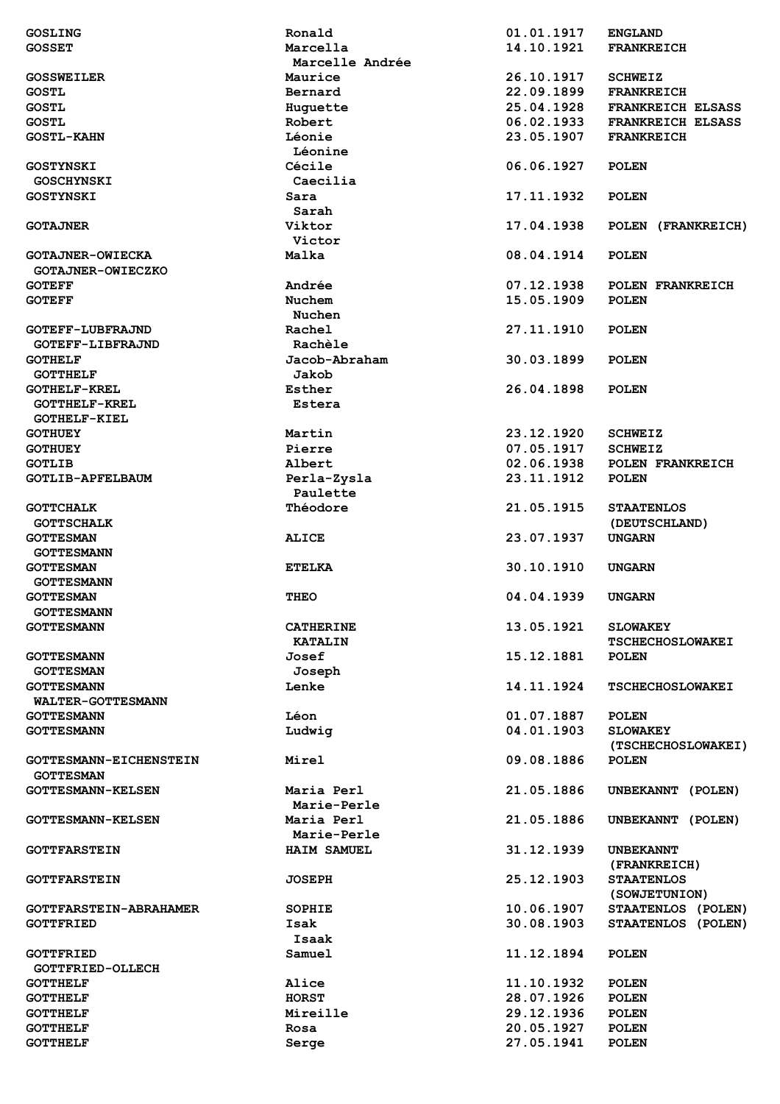| <b>GOSLING</b>                | Ronald             | 01.01.1917               | <b>ENGLAND</b>               |
|-------------------------------|--------------------|--------------------------|------------------------------|
| <b>GOSSET</b>                 | Marcella           | 14.10.1921               | <b>FRANKREICH</b>            |
|                               | Marcelle Andrée    |                          |                              |
| <b>GOSSWEILER</b>             | Maurice            | 26.10.1917               | <b>SCHWEIZ</b>               |
|                               |                    |                          |                              |
| <b>GOSTL</b>                  | Bernard            | 22.09.1899               | <b>FRANKREICH</b>            |
| <b>GOSTL</b>                  | Huguette           | 25.04.1928               | <b>FRANKREICH ELSASS</b>     |
| <b>GOSTL</b>                  | Robert             | 06.02.1933               | <b>FRANKREICH ELSASS</b>     |
| <b>GOSTL-KAHN</b>             | Léonie             | 23.05.1907               | <b>FRANKREICH</b>            |
|                               | Léonine            |                          |                              |
| <b>GOSTYNSKI</b>              | Cécile             | 06.06.1927               | <b>POLEN</b>                 |
| <b>GOSCHYNSKI</b>             | Caecilia           |                          |                              |
| <b>GOSTYNSKI</b>              | Sara               | 17.11.1932               | <b>POLEN</b>                 |
|                               |                    |                          |                              |
|                               | Sarah              |                          |                              |
| <b>GOTAJNER</b>               | Viktor             | 17.04.1938               | POLEN (FRANKREICH)           |
|                               | Victor             |                          |                              |
| <b>GOTAJNER-OWIECKA</b>       | Malka              | 08.04.1914               | <b>POLEN</b>                 |
| GOTAJNER-OWIECZKO             |                    |                          |                              |
| <b>GOTEFF</b>                 | Andrée             | 07.12.1938               | POLEN FRANKREICH             |
| <b>GOTEFF</b>                 | Nuchem             | 15.05.1909               | <b>POLEN</b>                 |
|                               | <b>Nuchen</b>      |                          |                              |
|                               |                    |                          |                              |
| <b>GOTEFF-LUBFRAJND</b>       | Rachel             | 27.11.1910               | <b>POLEN</b>                 |
| GOTEFF-LIBFRAJND              | Rachèle            |                          |                              |
| <b>GOTHELF</b>                | Jacob-Abraham      | 30.03.1899               | <b>POLEN</b>                 |
| <b>GOTTHELF</b>               | Jakob              |                          |                              |
| <b>GOTHELF-KREL</b>           | Esther             | 26.04.1898               | <b>POLEN</b>                 |
| <b>GOTTHELF-KREL</b>          | Estera             |                          |                              |
| <b>GOTHELF-KIEL</b>           |                    |                          |                              |
|                               |                    |                          |                              |
| <b>GOTHUEY</b>                | Martin             | 23.12.1920               | <b>SCHWEIZ</b>               |
| <b>GOTHUEY</b>                | Pierre             | 07.05.1917               | <b>SCHWEIZ</b>               |
| <b>GOTLIB</b>                 | Albert             | 02.06.1938               | POLEN FRANKREICH             |
| <b>GOTLIB-APFELBAUM</b>       | Perla-Zysla        | 23.11.1912               | <b>POLEN</b>                 |
|                               | Paulette           |                          |                              |
| <b>GOTTCHALK</b>              | Théodore           | 21.05.1915               | <b>STAATENLOS</b>            |
| <b>GOTTSCHALK</b>             |                    |                          | (DEUTSCHLAND)                |
|                               |                    |                          |                              |
| <b>GOTTESMAN</b>              | <b>ALICE</b>       | 23.07.1937               | <b>UNGARN</b>                |
| <b>GOTTESMANN</b>             |                    |                          |                              |
| <b>GOTTESMAN</b>              | <b>ETELKA</b>      | 30.10.1910               | <b>UNGARN</b>                |
| <b>GOTTESMANN</b>             |                    |                          |                              |
| <b>GOTTESMAN</b>              | <b>THEO</b>        | 04.04.1939               | <b>UNGARN</b>                |
| <b>GOTTESMANN</b>             |                    |                          |                              |
|                               |                    |                          |                              |
| <b>GOTTESMANN</b>             | <b>CATHERINE</b>   | 13.05.1921               | <b>SLOWAKEY</b>              |
|                               | <b>KATALIN</b>     |                          | <b>TSCHECHOSLOWAKEI</b>      |
| <b>GOTTESMANN</b>             | Josef              | 15.12.1881               | <b>POLEN</b>                 |
| <b>GOTTESMAN</b>              | Joseph             |                          |                              |
| <b>GOTTESMANN</b>             | Lenke              | 14.11.1924               | <b>TSCHECHOSLOWAKEI</b>      |
| WALTER-GOTTESMANN             |                    |                          |                              |
| <b>GOTTESMANN</b>             | Léon               | 01.07.1887               | <b>POLEN</b>                 |
|                               |                    | 04.01.1903               |                              |
| <b>GOTTESMANN</b>             | Ludwig             |                          | <b>SLOWAKEY</b>              |
|                               |                    |                          | (TSCHECHOSLOWAKEI)           |
| <b>GOTTESMANN-EICHENSTEIN</b> | Mirel              | 09.08.1886               | <b>POLEN</b>                 |
| <b>GOTTESMAN</b>              |                    |                          |                              |
| <b>GOTTESMANN-KELSEN</b>      | Maria Perl         | 21.05.1886               | UNBEKANNT (POLEN)            |
|                               | Marie-Perle        |                          |                              |
| <b>GOTTESMANN-KELSEN</b>      | Maria Perl         | 21.05.1886               | UNBEKANNT (POLEN)            |
|                               |                    |                          |                              |
|                               | Marie-Perle        |                          |                              |
| <b>GOTTFARSTEIN</b>           | <b>HAIM SAMUEL</b> | 31.12.1939               | <b>UNBEKANNT</b>             |
|                               |                    |                          | (FRANKREICH)                 |
| <b>GOTTFARSTEIN</b>           | <b>JOSEPH</b>      | 25.12.1903               | <b>STAATENLOS</b>            |
|                               |                    |                          | (SOWJETUNION)                |
| <b>GOTTFARSTEIN-ABRAHAMER</b> | <b>SOPHIE</b>      | 10.06.1907               | STAATENLOS (POLEN)           |
| <b>GOTTFRIED</b>              | Isak               | 30.08.1903               | STAATENLOS (POLEN)           |
|                               |                    |                          |                              |
|                               | Isaak              |                          |                              |
| <b>GOTTFRIED</b>              | Samuel             | 11.12.1894               | <b>POLEN</b>                 |
| <b>GOTTFRIED-OLLECH</b>       |                    |                          |                              |
| <b>GOTTHELF</b>               | Alice              | 11.10.1932               | <b>POLEN</b>                 |
| <b>GOTTHELF</b>               | <b>HORST</b>       | 28.07.1926               | <b>POLEN</b>                 |
| <b>GOTTHELF</b>               | Mireille           | 29.12.1936               | <b>POLEN</b>                 |
|                               |                    |                          |                              |
| <b>GOTTHELF</b>               | Rosa               | 20.05.1927<br>27.05.1941 | <b>POLEN</b><br><b>POLEN</b> |
| <b>GOTTHELF</b>               | Serge              |                          |                              |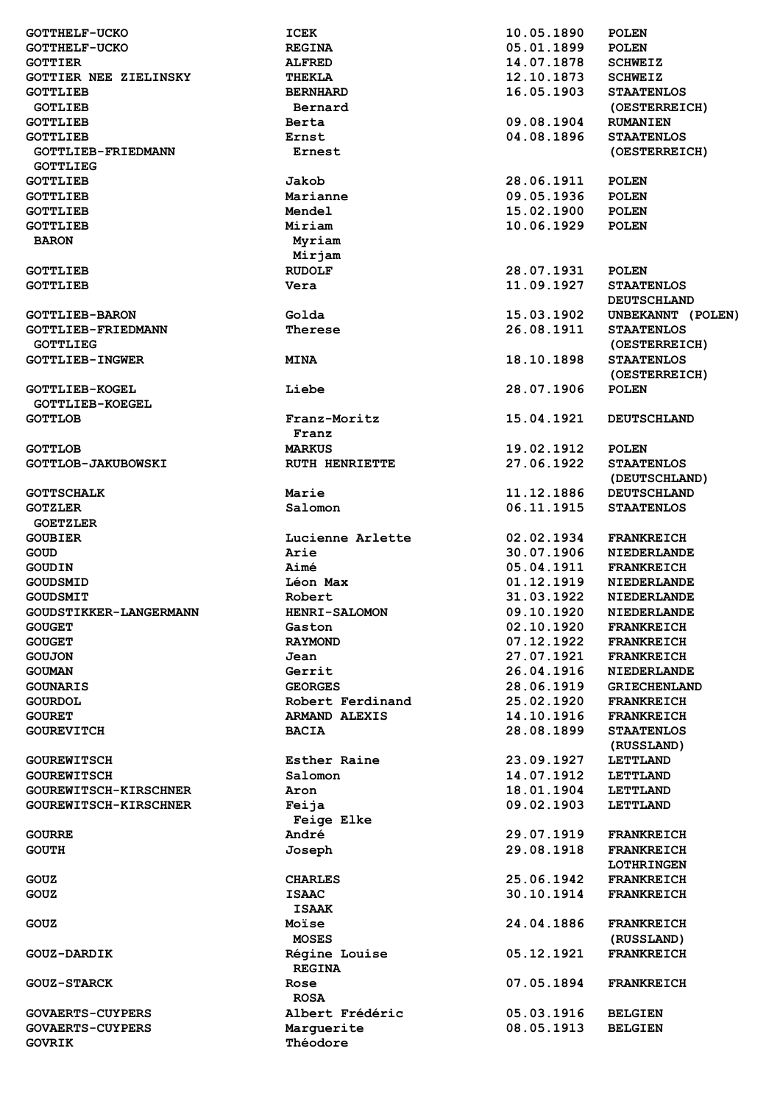| <b>GOTTHELF-UCKO</b>                     | <b>ICEK</b>            | 10.05.1890 | <b>POLEN</b>        |
|------------------------------------------|------------------------|------------|---------------------|
| <b>GOTTHELF-UCKO</b>                     | <b>REGINA</b>          | 05.01.1899 | <b>POLEN</b>        |
| <b>GOTTIER</b>                           | <b>ALFRED</b>          | 14.07.1878 | <b>SCHWEIZ</b>      |
| <b>GOTTIER NEE ZIELINSKY</b>             | THEKLA                 | 12.10.1873 | <b>SCHWEIZ</b>      |
| <b>GOTTLIEB</b>                          | <b>BERNHARD</b>        | 16.05.1903 | <b>STAATENLOS</b>   |
| <b>GOTLIEB</b>                           | Bernard                |            | (OESTERREICH)       |
| <b>GOTTLIEB</b>                          | Berta                  | 09.08.1904 | <b>RUMANIEN</b>     |
| <b>GOTTLIEB</b>                          | Ernst                  | 04.08.1896 | <b>STAATENLOS</b>   |
| <b>GOTTLIEB-FRIEDMANN</b>                | Ernest                 |            | (OESTERREICH)       |
| <b>GOTTLIEG</b>                          |                        |            |                     |
|                                          |                        |            |                     |
| <b>GOTTLIEB</b>                          | Jakob                  | 28.06.1911 | <b>POLEN</b>        |
| <b>GOTTLIEB</b>                          | Marianne               | 09.05.1936 | <b>POLEN</b>        |
| <b>GOTTLIEB</b>                          | Mendel                 | 15.02.1900 | <b>POLEN</b>        |
| <b>GOTTLIEB</b>                          | Miriam                 | 10.06.1929 | <b>POLEN</b>        |
| <b>BARON</b>                             | Myriam                 |            |                     |
|                                          | Mirjam                 |            |                     |
| <b>GOTTLIEB</b>                          | <b>RUDOLF</b>          | 28.07.1931 | <b>POLEN</b>        |
| <b>GOTTLIEB</b>                          | Vera                   | 11.09.1927 | <b>STAATENLOS</b>   |
|                                          |                        |            | <b>DEUTSCHLAND</b>  |
| <b>GOTTLIEB-BARON</b>                    | Golda                  | 15.03.1902 | UNBEKANNT (POLEN)   |
| <b>GOTTLIEB-FRIEDMANN</b>                | Therese                | 26.08.1911 | <b>STAATENLOS</b>   |
| <b>GOTTLIEG</b>                          |                        |            | (OESTERREICH)       |
| <b>GOTTLIEB-INGWER</b>                   | <b>MINA</b>            | 18.10.1898 | <b>STAATENLOS</b>   |
|                                          |                        |            | (OESTERREICH)       |
| <b>GOTTLIEB-KOGEL</b>                    | Liebe                  | 28.07.1906 | <b>POLEN</b>        |
| <b>GOTTLIEB-KOEGEL</b>                   |                        |            |                     |
|                                          |                        |            |                     |
| <b>GOTTLOB</b>                           | Franz-Moritz           | 15.04.1921 | <b>DEUTSCHLAND</b>  |
|                                          | Franz                  |            |                     |
| <b>GOTTLOB</b>                           | <b>MARKUS</b>          | 19.02.1912 | <b>POLEN</b>        |
| <b>GOTTLOB-JAKUBOWSKI</b>                | <b>RUTH HENRIETTE</b>  | 27.06.1922 | <b>STAATENLOS</b>   |
|                                          |                        |            | (DEUTSCHLAND)       |
| <b>GOTTSCHALK</b>                        | Marie                  | 11.12.1886 | <b>DEUTSCHLAND</b>  |
| <b>GOTZLER</b>                           | Salomon                | 06.11.1915 | <b>STAATENLOS</b>   |
| <b>GOETZLER</b>                          |                        |            |                     |
| <b>GOUBIER</b>                           | Lucienne Arlette       | 02.02.1934 | <b>FRANKREICH</b>   |
| <b>GOUD</b>                              | Arie                   |            |                     |
|                                          |                        | 30.07.1906 | <b>NIEDERLANDE</b>  |
| <b>GOUDIN</b>                            | Aimé                   | 05.04.1911 | <b>FRANKREICH</b>   |
| <b>GOUDSMID</b>                          | Léon Max               | 01.12.1919 | <b>NIEDERLANDE</b>  |
| <b>GOUDSMIT</b>                          | Robert                 | 31.03.1922 | <b>NIEDERLANDE</b>  |
| GOUDSTIKKER-LANGERMANN                   |                        |            |                     |
|                                          | <b>HENRI-SALOMON</b>   | 09.10.1920 | NIEDERLANDE         |
| <b>GOUGET</b>                            | Gaston                 | 02.10.1920 | <b>FRANKREICH</b>   |
| <b>GOUGET</b>                            | <b>RAYMOND</b>         | 07.12.1922 | <b>FRANKREICH</b>   |
| <b>GOUJON</b>                            | Jean                   | 27.07.1921 | <b>FRANKREICH</b>   |
| <b>GOUMAN</b>                            | Gerrit                 | 26.04.1916 | <b>NIEDERLANDE</b>  |
| <b>GOUNARIS</b>                          | <b>GEORGES</b>         | 28.06.1919 | <b>GRIECHENLAND</b> |
| <b>GOURDOL</b>                           | Robert Ferdinand       | 25.02.1920 | <b>FRANKREICH</b>   |
| <b>GOURET</b>                            | <b>ARMAND ALEXIS</b>   | 14.10.1916 | <b>FRANKREICH</b>   |
| <b>GOUREVITCH</b>                        | <b>BACIA</b>           | 28.08.1899 | <b>STAATENLOS</b>   |
|                                          |                        |            | (RUSSLAND)          |
| <b>GOUREWITSCH</b>                       | Esther Raine           | 23.09.1927 | <b>LETTLAND</b>     |
| <b>GOUREWITSCH</b>                       | Salomon                | 14.07.1912 | <b>LETTLAND</b>     |
| GOUREWITSCH-KIRSCHNER                    | Aron                   | 18.01.1904 | <b>LETTLAND</b>     |
| GOUREWITSCH-KIRSCHNER                    | Feija                  | 09.02.1903 | <b>LETTLAND</b>     |
|                                          | Feige Elke             |            |                     |
| <b>GOURRE</b>                            | André                  | 29.07.1919 | <b>FRANKREICH</b>   |
| <b>GOUTH</b>                             | Joseph                 | 29.08.1918 | <b>FRANKREICH</b>   |
|                                          |                        |            | <b>LOTHRINGEN</b>   |
| GOUZ                                     | <b>CHARLES</b>         | 25.06.1942 | <b>FRANKREICH</b>   |
|                                          | <b>ISAAC</b>           |            |                     |
| GOUZ                                     |                        | 30.10.1914 | <b>FRANKREICH</b>   |
|                                          | <b>ISAAK</b>           |            |                     |
| GOUZ                                     | Moïse                  | 24.04.1886 | <b>FRANKREICH</b>   |
|                                          | <b>MOSES</b>           |            | (RUSSLAND)          |
| <b>GOUZ-DARDIK</b>                       | Régine Louise          | 05.12.1921 | <b>FRANKREICH</b>   |
|                                          | <b>REGINA</b>          |            |                     |
| <b>GOUZ-STARCK</b>                       | Rose                   | 07.05.1894 | <b>FRANKREICH</b>   |
|                                          | <b>ROSA</b>            |            |                     |
| <b>GOVAERTS-CUYPERS</b>                  | Albert Frédéric        | 05.03.1916 | <b>BELGIEN</b>      |
| <b>GOVAERTS-CUYPERS</b><br><b>GOVRIK</b> | Marguerite<br>Théodore | 08.05.1913 | <b>BELGIEN</b>      |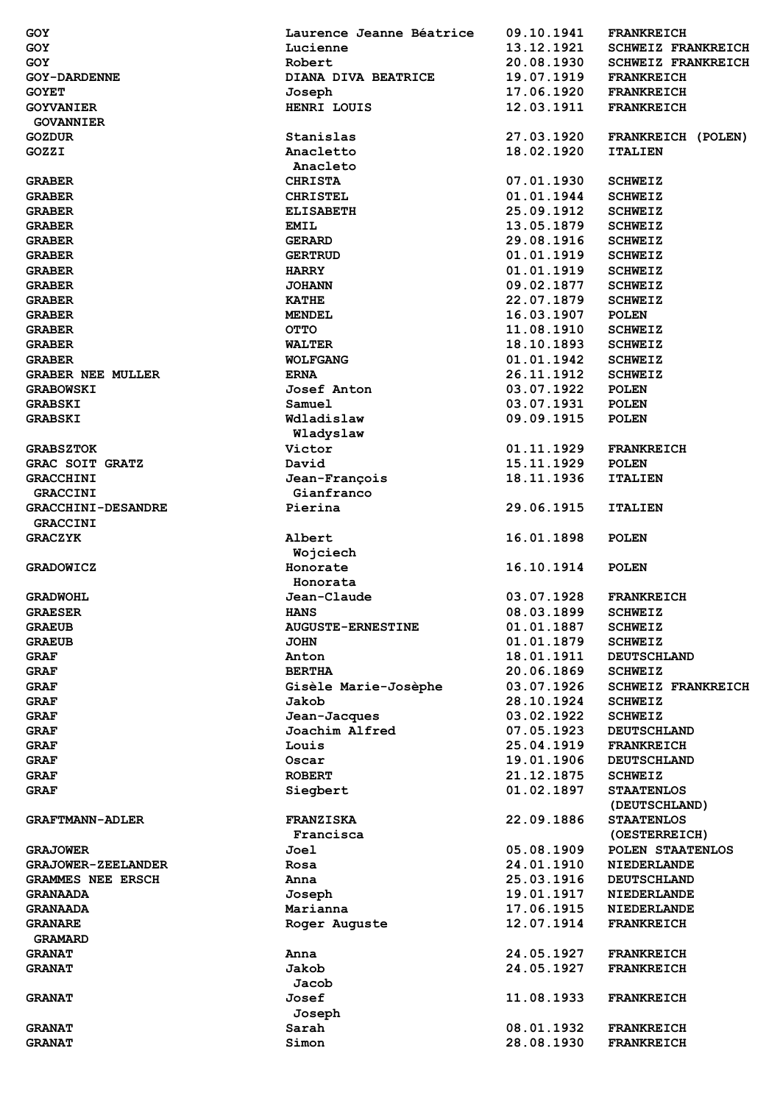| GOY                            | Laurence Jeanne Béatrice | 09.10.1941               | <b>FRANKREICH</b>                      |
|--------------------------------|--------------------------|--------------------------|----------------------------------------|
| <b>GOY</b>                     | Lucienne                 | 13.12.1921               | <b>SCHWEIZ FRANKREICH</b>              |
| GOY                            | Robert                   | 20.08.1930               | <b>SCHWEIZ FRANKREICH</b>              |
| <b>GOY-DARDENNE</b>            | DIANA DIVA BEATRICE      | 19.07.1919               | <b>FRANKREICH</b>                      |
|                                |                          |                          |                                        |
| <b>GOYET</b>                   | Joseph                   | 17.06.1920               | <b>FRANKREICH</b>                      |
| <b>GOYVANIER</b>               | HENRI LOUIS              | 12.03.1911               | <b>FRANKREICH</b>                      |
| <b>GOVANNIER</b>               |                          |                          |                                        |
| <b>GOZDUR</b>                  | Stanislas                | 27.03.1920               | FRANKREICH (POLEN)                     |
| GOZZI                          | Anacletto                | 18.02.1920               | <b>ITALIEN</b>                         |
|                                | Anacleto                 |                          |                                        |
| <b>GRABER</b>                  | <b>CHRISTA</b>           | 07.01.1930               | <b>SCHWEIZ</b>                         |
| <b>GRABER</b>                  | <b>CHRISTEL</b>          | 01.01.1944               | <b>SCHWEIZ</b>                         |
| <b>GRABER</b>                  | <b>ELISABETH</b>         | 25.09.1912               | <b>SCHWEIZ</b>                         |
| <b>GRABER</b>                  | <b>EMIL</b>              | 13.05.1879               | <b>SCHWEIZ</b>                         |
|                                |                          |                          |                                        |
| <b>GRABER</b>                  | <b>GERARD</b>            | 29.08.1916               | <b>SCHWEIZ</b>                         |
| <b>GRABER</b>                  | <b>GERTRUD</b>           | 01.01.1919               | <b>SCHWEIZ</b>                         |
| <b>GRABER</b>                  | <b>HARRY</b>             | 01.01.1919               | <b>SCHWEIZ</b>                         |
| <b>GRABER</b>                  | <b>JOHANN</b>            | 09.02.1877               | <b>SCHWEIZ</b>                         |
| <b>GRABER</b>                  | <b>KATHE</b>             | 22.07.1879               | <b>SCHWEIZ</b>                         |
| <b>GRABER</b>                  | <b>MENDEL</b>            | 16.03.1907               | <b>POLEN</b>                           |
| <b>GRABER</b>                  | <b>OTTO</b>              | 11.08.1910               | <b>SCHWEIZ</b>                         |
| <b>GRABER</b>                  | <b>WALTER</b>            | 18.10.1893               | <b>SCHWEIZ</b>                         |
| <b>GRABER</b>                  | <b>WOLFGANG</b>          | 01.01.1942               | <b>SCHWEIZ</b>                         |
| <b>GRABER NEE MULLER</b>       | <b>ERNA</b>              | 26.11.1912               | <b>SCHWEIZ</b>                         |
| <b>GRABOWSKI</b>               | Josef Anton              | 03.07.1922               | <b>POLEN</b>                           |
|                                |                          |                          |                                        |
| <b>GRABSKI</b>                 | Samuel                   | 03.07.1931               | <b>POLEN</b>                           |
| <b>GRABSKI</b>                 | Wdladislaw               | 09.09.1915               | <b>POLEN</b>                           |
|                                | Wladyslaw                |                          |                                        |
| <b>GRABSZTOK</b>               | Victor                   | 01.11.1929               | <b>FRANKREICH</b>                      |
| <b>GRAC SOIT GRATZ</b>         | David                    | 15.11.1929               | <b>POLEN</b>                           |
| <b>GRACCHINI</b>               | Jean-François            | 18.11.1936               | <b>ITALIEN</b>                         |
| <b>GRACCINI</b>                | Gianfranco               |                          |                                        |
| <b>GRACCHINI-DESANDRE</b>      | Pierina                  | 29.06.1915               | <b>ITALIEN</b>                         |
| <b>GRACCINI</b>                |                          |                          |                                        |
| <b>GRACZYK</b>                 | Albert                   | 16.01.1898               | <b>POLEN</b>                           |
|                                |                          |                          |                                        |
|                                | Wojciech                 |                          |                                        |
| <b>GRADOWICZ</b>               | Honorate                 | 16.10.1914               | <b>POLEN</b>                           |
|                                | Honorata                 |                          |                                        |
| <b>GRADWOHL</b>                | Jean-Claude              | 03.07.1928               | <b>FRANKREICH</b>                      |
| <b>GRAESER</b>                 | <b>HANS</b>              | 08.03.1899               | <b>SCHWEIZ</b>                         |
| <b>GRAEUB</b>                  | <b>AUGUSTE-ERNESTINE</b> | 01.01.1887               | <b>SCHWEIZ</b>                         |
| <b>GRAEUB</b>                  | <b>JOHN</b>              | 01.01.1879               | <b>SCHWEIZ</b>                         |
| <b>GRAF</b>                    | Anton                    | 18.01.1911               | <b>DEUTSCHLAND</b>                     |
| <b>GRAF</b>                    | <b>BERTHA</b>            | 20.06.1869               | <b>SCHWEIZ</b>                         |
| <b>GRAF</b>                    | Gisèle Marie-Josèphe     | 03.07.1926               | <b>SCHWEIZ FRANKREICH</b>              |
| <b>GRAF</b>                    | Jakob                    | 28.10.1924               | <b>SCHWEIZ</b>                         |
|                                |                          |                          |                                        |
| <b>GRAF</b>                    | Jean-Jacques             | 03.02.1922               | <b>SCHWEIZ</b>                         |
| <b>GRAF</b>                    | Joachim Alfred           | 07.05.1923               | <b>DEUTSCHLAND</b>                     |
| <b>GRAF</b>                    | Louis                    | 25.04.1919               | <b>FRANKREICH</b>                      |
| <b>GRAF</b>                    | Oscar                    | 19.01.1906               | <b>DEUTSCHLAND</b>                     |
| <b>GRAF</b>                    | <b>ROBERT</b>            | 21.12.1875               | <b>SCHWEIZ</b>                         |
| <b>GRAF</b>                    | Siegbert                 | 01.02.1897               | <b>STAATENLOS</b><br>(DEUTSCHLAND)     |
| <b>GRAFTMANN-ADLER</b>         | <b>FRANZISKA</b>         | 22.09.1886               | <b>STAATENLOS</b>                      |
|                                | Francisca                |                          | (OESTERREICH)                          |
| <b>GRAJOWER</b>                | Joel                     | 05.08.1909               | POLEN STAATENLOS                       |
| <b>GRAJOWER-ZEELANDER</b>      | Rosa                     | 24.01.1910               | <b>NIEDERLANDE</b>                     |
| <b>GRAMMES NEE ERSCH</b>       | Anna                     | 25.03.1916               | <b>DEUTSCHLAND</b>                     |
|                                |                          |                          |                                        |
| <b>GRANAADA</b>                | Joseph                   | 19.01.1917               | <b>NIEDERLANDE</b>                     |
| <b>GRANAADA</b>                | Marianna                 | 17.06.1915               | <b>NIEDERLANDE</b>                     |
| <b>GRANARE</b>                 | Roger Auguste            | 12.07.1914               | <b>FRANKREICH</b>                      |
| <b>GRAMARD</b>                 |                          |                          |                                        |
| <b>GRANAT</b>                  | Anna                     | 24.05.1927               | <b>FRANKREICH</b>                      |
| <b>GRANAT</b>                  | Jakob                    | 24.05.1927               | <b>FRANKREICH</b>                      |
|                                | Jacob                    |                          |                                        |
| <b>GRANAT</b>                  | Josef                    | 11.08.1933               | <b>FRANKREICH</b>                      |
|                                | Joseph                   |                          |                                        |
|                                |                          |                          |                                        |
|                                |                          |                          |                                        |
| <b>GRANAT</b><br><b>GRANAT</b> | Sarah<br>Simon           | 08.01.1932<br>28.08.1930 | <b>FRANKREICH</b><br><b>FRANKREICH</b> |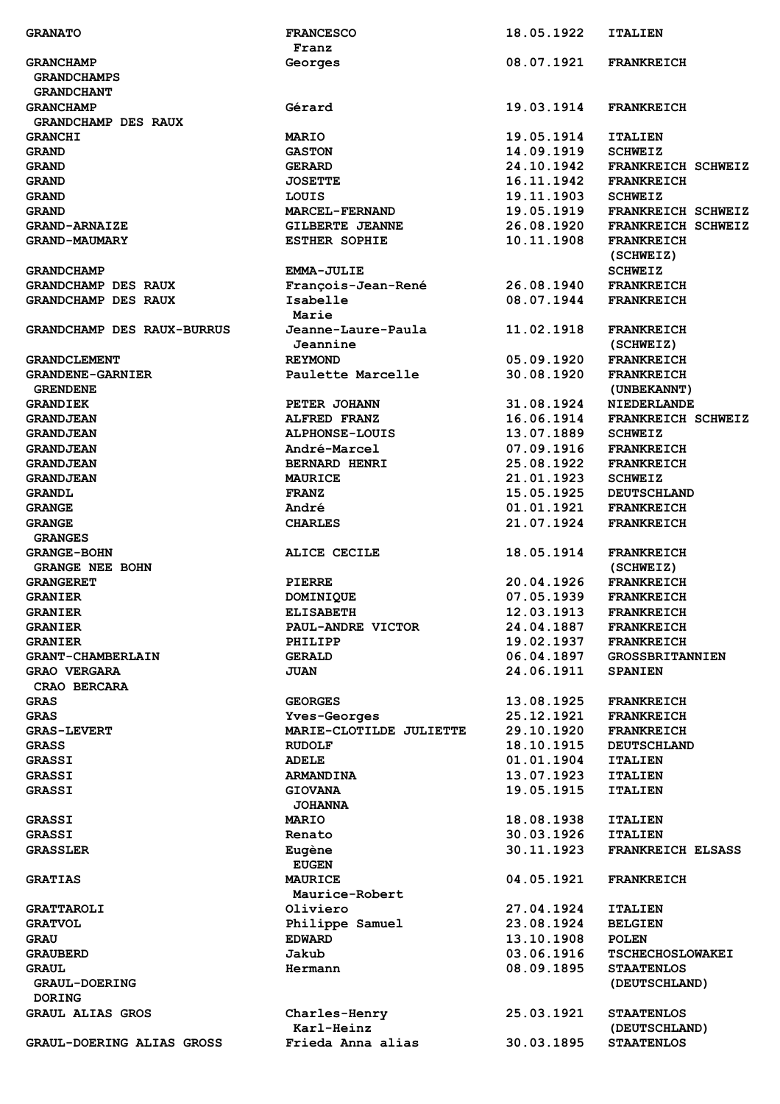| <b>GRANATO</b>                    | <b>FRANCESCO</b>        | 18.05.1922 | <b>ITALIEN</b>           |
|-----------------------------------|-------------------------|------------|--------------------------|
|                                   | Franz                   |            |                          |
| <b>GRANCHAMP</b>                  | Georges                 | 08.07.1921 | <b>FRANKREICH</b>        |
| <b>GRANDCHAMPS</b>                |                         |            |                          |
| <b>GRANDCHANT</b>                 |                         |            |                          |
| <b>GRANCHAMP</b>                  | Gérard                  | 19.03.1914 | <b>FRANKREICH</b>        |
| <b>GRANDCHAMP DES RAUX</b>        |                         |            |                          |
| <b>GRANCHI</b>                    | <b>MARIO</b>            | 19.05.1914 | <b>ITALIEN</b>           |
| <b>GRAND</b>                      | <b>GASTON</b>           | 14.09.1919 | <b>SCHWEIZ</b>           |
|                                   |                         | 24.10.1942 |                          |
| <b>GRAND</b>                      | <b>GERARD</b>           |            | FRANKREICH SCHWEIZ       |
| <b>GRAND</b>                      | <b>JOSETTE</b>          | 16.11.1942 | <b>FRANKREICH</b>        |
| <b>GRAND</b>                      | LOUIS                   | 19.11.1903 | <b>SCHWEIZ</b>           |
| <b>GRAND</b>                      | <b>MARCEL-FERNAND</b>   | 19.05.1919 | FRANKREICH SCHWEIZ       |
| <b>GRAND-ARNAIZE</b>              | <b>GILBERTE JEANNE</b>  | 26.08.1920 | FRANKREICH SCHWEIZ       |
| <b>GRAND-MAUMARY</b>              | <b>ESTHER SOPHIE</b>    | 10.11.1908 | <b>FRANKREICH</b>        |
|                                   |                         |            | (SCHWEIZ)                |
| <b>GRANDCHAMP</b>                 | <b>EMMA-JULIE</b>       |            | <b>SCHWEIZ</b>           |
| <b>GRANDCHAMP DES RAUX</b>        | François-Jean-René      | 26.08.1940 | <b>FRANKREICH</b>        |
| <b>GRANDCHAMP DES RAUX</b>        | Isabelle                | 08.07.1944 | <b>FRANKREICH</b>        |
|                                   | Marie                   |            |                          |
| <b>GRANDCHAMP DES RAUX-BURRUS</b> | Jeanne-Laure-Paula      | 11.02.1918 | <b>FRANKREICH</b>        |
|                                   |                         |            |                          |
|                                   | Jeannine                |            | (SCHWEIZ)                |
| <b>GRANDCLEMENT</b>               | <b>REYMOND</b>          | 05.09.1920 | <b>FRANKREICH</b>        |
| <b>GRANDENE-GARNIER</b>           | Paulette Marcelle       | 30.08.1920 | <b>FRANKREICH</b>        |
| <b>GRENDENE</b>                   |                         |            | (UNBEKANNT)              |
| <b>GRANDIEK</b>                   | PETER JOHANN            | 31.08.1924 | <b>NIEDERLANDE</b>       |
| <b>GRANDJEAN</b>                  | <b>ALFRED FRANZ</b>     | 16.06.1914 | FRANKREICH SCHWEIZ       |
| <b>GRANDJEAN</b>                  | <b>ALPHONSE-LOUIS</b>   | 13.07.1889 | <b>SCHWEIZ</b>           |
| <b>GRANDJEAN</b>                  | André-Marcel            | 07.09.1916 | <b>FRANKREICH</b>        |
| <b>GRANDJEAN</b>                  | <b>BERNARD HENRI</b>    | 25.08.1922 | <b>FRANKREICH</b>        |
| <b>GRANDJEAN</b>                  | <b>MAURICE</b>          | 21.01.1923 | <b>SCHWEIZ</b>           |
|                                   |                         |            |                          |
| <b>GRANDL</b>                     | <b>FRANZ</b>            | 15.05.1925 | <b>DEUTSCHLAND</b>       |
| <b>GRANGE</b>                     | André                   | 01.01.1921 | <b>FRANKREICH</b>        |
| <b>GRANGE</b>                     | <b>CHARLES</b>          | 21.07.1924 | <b>FRANKREICH</b>        |
| <b>GRANGES</b>                    |                         |            |                          |
| <b>GRANGE-BOHN</b>                | ALICE CECILE            | 18.05.1914 | <b>FRANKREICH</b>        |
| <b>GRANGE NEE BOHN</b>            |                         |            | (SCHWEIZ)                |
| <b>GRANGERET</b>                  | <b>PIERRE</b>           | 20.04.1926 | <b>FRANKREICH</b>        |
| <b>GRANIER</b>                    | <b>DOMINIOUE</b>        | 07.05.1939 | <b>FRANKREICH</b>        |
| <b>GRANIER</b>                    | <b>ELISABETH</b>        | 12.03.1913 | FRANKREICH               |
| <b>GRANIER</b>                    | PAUL-ANDRE VICTOR       | 24.04.1887 | <b>FRANKREICH</b>        |
| <b>GRANIER</b>                    | PHILIPP                 | 19.02.1937 | <b>FRANKREICH</b>        |
| <b>GRANT-CHAMBERLAIN</b>          | <b>GERALD</b>           | 06.04.1897 | <b>GROSSBRITANNIEN</b>   |
|                                   |                         |            |                          |
| <b>GRAO VERGARA</b>               | <b>JUAN</b>             | 24.06.1911 | <b>SPANIEN</b>           |
| CRAO BERCARA                      |                         |            |                          |
| <b>GRAS</b>                       | <b>GEORGES</b>          | 13.08.1925 | <b>FRANKREICH</b>        |
| <b>GRAS</b>                       | Yves-Georges            | 25.12.1921 | <b>FRANKREICH</b>        |
| <b>GRAS-LEVERT</b>                | MARIE-CLOTILDE JULIETTE | 29.10.1920 | <b>FRANKREICH</b>        |
| <b>GRASS</b>                      | <b>RUDOLF</b>           | 18.10.1915 | <b>DEUTSCHLAND</b>       |
| <b>GRASSI</b>                     | <b>ADELE</b>            | 01.01.1904 | <b>ITALIEN</b>           |
| <b>GRASSI</b>                     | <b>ARMANDINA</b>        | 13.07.1923 | <b>ITALIEN</b>           |
| <b>GRASSI</b>                     | <b>GIOVANA</b>          | 19.05.1915 | <b>ITALIEN</b>           |
|                                   | <b>JOHANNA</b>          |            |                          |
|                                   |                         |            |                          |
| <b>GRASSI</b>                     | <b>MARIO</b>            | 18.08.1938 | <b>ITALIEN</b>           |
| <b>GRASSI</b>                     | Renato                  | 30.03.1926 | <b>ITALIEN</b>           |
| <b>GRASSLER</b>                   | Eugène                  | 30.11.1923 | <b>FRANKREICH ELSASS</b> |
|                                   | <b>EUGEN</b>            |            |                          |
| <b>GRATIAS</b>                    | <b>MAURICE</b>          | 04.05.1921 | <b>FRANKREICH</b>        |
|                                   | Maurice-Robert          |            |                          |
| <b>GRATTAROLI</b>                 | Oliviero                | 27.04.1924 | <b>ITALIEN</b>           |
| <b>GRATVOL</b>                    | Philippe Samuel         | 23.08.1924 | <b>BELGIEN</b>           |
| <b>GRAU</b>                       | <b>EDWARD</b>           | 13.10.1908 | <b>POLEN</b>             |
| <b>GRAUBERD</b>                   | Jakub                   | 03.06.1916 | <b>TSCHECHOSLOWAKEI</b>  |
| <b>GRAUL</b>                      |                         | 08.09.1895 |                          |
|                                   |                         |            | <b>STAATENLOS</b>        |
| <b>GRAUL-DOERING</b>              | Hermann                 |            |                          |
|                                   |                         |            | (DEUTSCHLAND)            |
| <b>DORING</b>                     |                         |            |                          |
| <b>GRAUL ALIAS GROS</b>           | Charles-Henry           | 25.03.1921 | <b>STAATENLOS</b>        |
|                                   | Karl-Heinz              |            | (DEUTSCHLAND)            |
| <b>GRAUL-DOERING ALIAS GROSS</b>  | Frieda Anna alias       | 30.03.1895 | <b>STAATENLOS</b>        |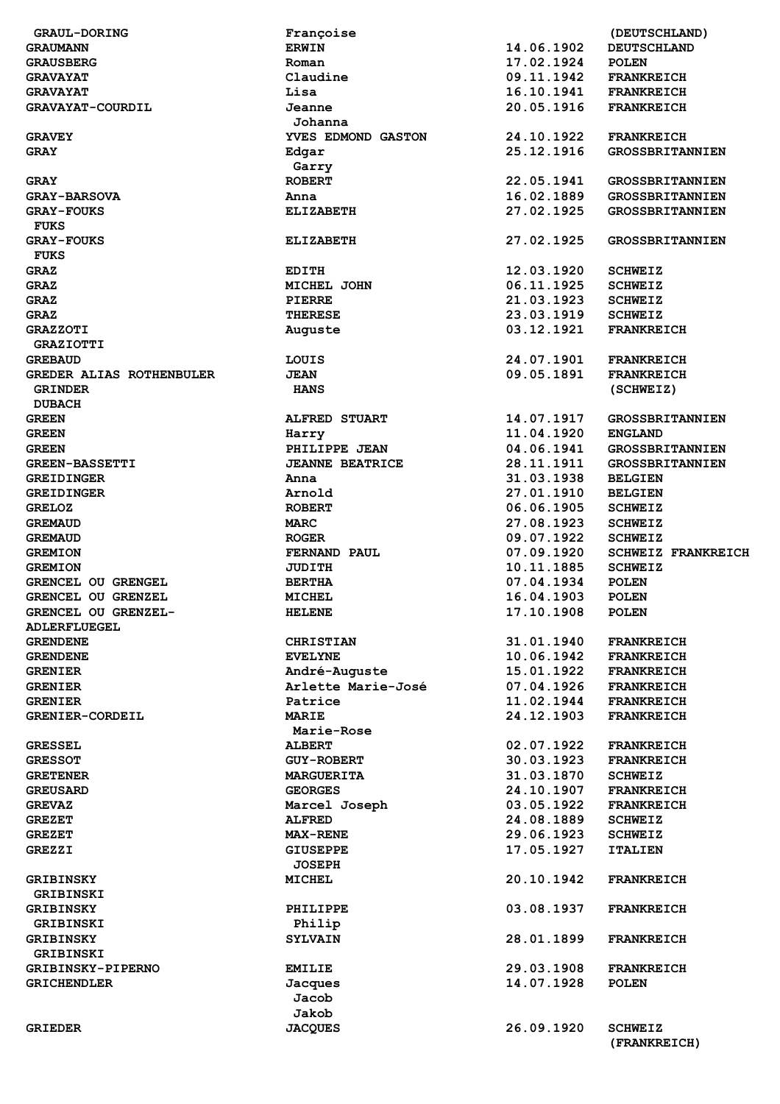| <b>GRAUL-DORING</b>             | Françoise              |            | (DEUTSCHLAND)                  |
|---------------------------------|------------------------|------------|--------------------------------|
| <b>GRAUMANN</b>                 | <b>ERWIN</b>           | 14.06.1902 | <b>DEUTSCHLAND</b>             |
| <b>GRAUSBERG</b>                | Roman                  | 17.02.1924 | <b>POLEN</b>                   |
| <b>GRAVAYAT</b>                 | Claudine               | 09.11.1942 | <b>FRANKREICH</b>              |
| <b>GRAVAYAT</b>                 | Lisa                   | 16.10.1941 | <b>FRANKREICH</b>              |
| GRAVAYAT-COURDIL                | Jeanne                 | 20.05.1916 | <b>FRANKREICH</b>              |
|                                 |                        |            |                                |
|                                 | Johanna                |            |                                |
| <b>GRAVEY</b>                   | YVES EDMOND GASTON     | 24.10.1922 | <b>FRANKREICH</b>              |
| <b>GRAY</b>                     | Edgar                  | 25.12.1916 | <b>GROSSBRITANNIEN</b>         |
|                                 | Garry                  |            |                                |
| <b>GRAY</b>                     | <b>ROBERT</b>          | 22.05.1941 | <b>GROSSBRITANNIEN</b>         |
| <b>GRAY-BARSOVA</b>             | Anna                   | 16.02.1889 | <b>GROSSBRITANNIEN</b>         |
| <b>GRAY-FOUKS</b>               | <b>ELIZABETH</b>       | 27.02.1925 | <b>GROSSBRITANNIEN</b>         |
| <b>FUKS</b>                     |                        |            |                                |
| <b>GRAY-FOUKS</b>               | <b>ELIZABETH</b>       | 27.02.1925 | <b>GROSSBRITANNIEN</b>         |
| <b>FUKS</b>                     |                        |            |                                |
|                                 |                        |            |                                |
| <b>GRAZ</b>                     | <b>EDITH</b>           | 12.03.1920 | <b>SCHWEIZ</b>                 |
| <b>GRAZ</b>                     | MICHEL JOHN            | 06.11.1925 | <b>SCHWEIZ</b>                 |
| <b>GRAZ</b>                     | <b>PIERRE</b>          | 21.03.1923 | <b>SCHWEIZ</b>                 |
| <b>GRAZ</b>                     | THERESE                | 23.03.1919 | <b>SCHWEIZ</b>                 |
| <b>GRAZZOTI</b>                 | Auguste                | 03.12.1921 | <b>FRANKREICH</b>              |
| <b>GRAZIOTTI</b>                |                        |            |                                |
| <b>GREBAUD</b>                  | LOUIS                  | 24.07.1901 | <b>FRANKREICH</b>              |
| <b>GREDER ALIAS ROTHENBULER</b> | <b>JEAN</b>            | 09.05.1891 | <b>FRANKREICH</b>              |
| <b>GRINDER</b>                  | <b>HANS</b>            |            | (SCHWEIZ)                      |
| <b>DUBACH</b>                   |                        |            |                                |
|                                 |                        |            |                                |
| <b>GREEN</b>                    | <b>ALFRED STUART</b>   | 14.07.1917 | <b>GROSSBRITANNIEN</b>         |
| <b>GREEN</b>                    | Harry                  | 11.04.1920 | <b>ENGLAND</b>                 |
| <b>GREEN</b>                    | PHILIPPE JEAN          | 04.06.1941 | <b>GROSSBRITANNIEN</b>         |
| <b>GREEN-BASSETTI</b>           | <b>JEANNE BEATRICE</b> | 28.11.1911 | <b>GROSSBRITANNIEN</b>         |
| <b>GREIDINGER</b>               | Anna                   | 31.03.1938 | <b>BELGIEN</b>                 |
| <b>GREIDINGER</b>               | Arnold                 | 27.01.1910 | <b>BELGIEN</b>                 |
| <b>GRELOZ</b>                   | <b>ROBERT</b>          | 06.06.1905 | <b>SCHWEIZ</b>                 |
| <b>GREMAUD</b>                  | <b>MARC</b>            | 27.08.1923 | <b>SCHWEIZ</b>                 |
| <b>GREMAUD</b>                  | <b>ROGER</b>           | 09.07.1922 | <b>SCHWEIZ</b>                 |
|                                 |                        | 07.09.1920 |                                |
| <b>GREMION</b>                  | FERNAND PAUL           |            | <b>SCHWEIZ FRANKREICH</b>      |
| <b>GREMION</b>                  | <b>JUDITH</b>          | 10.11.1885 | <b>SCHWEIZ</b>                 |
| GRENCEL OU GRENGEL              | <b>BERTHA</b>          | 07.04.1934 | <b>POLEN</b>                   |
| GRENCEL OU GRENZEL              | <b>MICHEL</b>          | 16.04.1903 | <b>POLEN</b>                   |
| GRENCEL OU GRENZEL-             | <b>HELENE</b>          | 17.10.1908 | <b>POLEN</b>                   |
| ADLERFLUEGEL                    |                        |            |                                |
| <b>GRENDENE</b>                 | <b>CHRISTIAN</b>       | 31.01.1940 | <b>FRANKREICH</b>              |
| <b>GRENDENE</b>                 | <b>EVELYNE</b>         | 10.06.1942 | <b>FRANKREICH</b>              |
| <b>GRENIER</b>                  | André-Auguste          | 15.01.1922 | <b>FRANKREICH</b>              |
| <b>GRENIER</b>                  | Arlette Marie-José     | 07.04.1926 | <b>FRANKREICH</b>              |
| <b>GRENIER</b>                  | Patrice                | 11.02.1944 |                                |
|                                 |                        |            | <b>FRANKREICH</b>              |
| <b>GRENIER-CORDEIL</b>          | <b>MARIE</b>           | 24.12.1903 | <b>FRANKREICH</b>              |
|                                 | Marie-Rose             |            |                                |
| <b>GRESSEL</b>                  | <b>ALBERT</b>          | 02.07.1922 | <b>FRANKREICH</b>              |
| <b>GRESSOT</b>                  | <b>GUY-ROBERT</b>      | 30.03.1923 | <b>FRANKREICH</b>              |
| <b>GRETENER</b>                 | <b>MARGUERITA</b>      | 31.03.1870 | <b>SCHWEIZ</b>                 |
| <b>GREUSARD</b>                 | <b>GEORGES</b>         | 24.10.1907 | <b>FRANKREICH</b>              |
| <b>GREVAZ</b>                   | Marcel Joseph          | 03.05.1922 | <b>FRANKREICH</b>              |
| <b>GREZET</b>                   | <b>ALFRED</b>          | 24.08.1889 | <b>SCHWEIZ</b>                 |
| <b>GREZET</b>                   | <b>MAX-RENE</b>        | 29.06.1923 | <b>SCHWEIZ</b>                 |
|                                 |                        | 17.05.1927 |                                |
| <b>GREZZI</b>                   | GIUSEPPE               |            | <b>ITALIEN</b>                 |
|                                 | <b>JOSEPH</b>          |            |                                |
| <b>GRIBINSKY</b>                | MICHEL                 | 20.10.1942 | <b>FRANKREICH</b>              |
| GRIBINSKI                       |                        |            |                                |
| <b>GRIBINSKY</b>                | PHILIPPE               | 03.08.1937 | <b>FRANKREICH</b>              |
|                                 |                        |            |                                |
| <b>GRIBINSKI</b>                | Philip                 |            |                                |
| <b>GRIBINSKY</b>                | <b>SYLVAIN</b>         | 28.01.1899 | <b>FRANKREICH</b>              |
| GRIBINSKI                       |                        |            |                                |
|                                 |                        |            |                                |
| <b>GRIBINSKY-PIPERNO</b>        | <b>EMILIE</b>          | 29.03.1908 | <b>FRANKREICH</b>              |
| <b>GRICHENDLER</b>              | Jacques                | 14.07.1928 | <b>POLEN</b>                   |
|                                 | Jacob                  |            |                                |
|                                 | Jakob                  |            |                                |
| <b>GRIEDER</b>                  | <b>JACQUES</b>         | 26.09.1920 | <b>SCHWEIZ</b><br>(FRANKREICH) |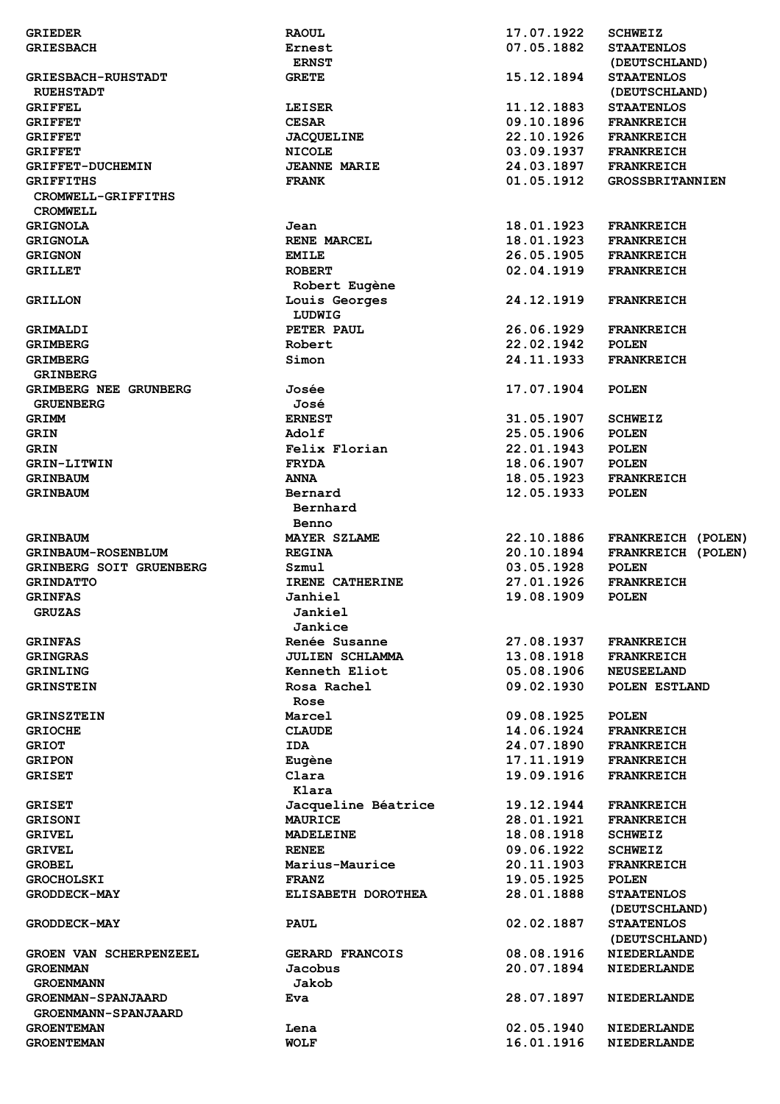| <b>GRIEDER</b>                                   | <b>RAOUL</b>           | 17.07.1922 | <b>SCHWEIZ</b>                     |
|--------------------------------------------------|------------------------|------------|------------------------------------|
| <b>GRIESBACH</b>                                 | Ernest                 | 07.05.1882 | <b>STAATENLOS</b>                  |
|                                                  | <b>ERNST</b>           |            | (DEUTSCHLAND)                      |
| <b>GRIESBACH-RUHSTADT</b>                        | <b>GRETE</b>           | 15.12.1894 | <b>STAATENLOS</b>                  |
| <b>RUEHSTADT</b>                                 |                        |            | (DEUTSCHLAND)                      |
| <b>GRIFFEL</b>                                   | LEISER                 | 11.12.1883 | <b>STAATENLOS</b>                  |
| <b>GRIFFET</b>                                   | <b>CESAR</b>           | 09.10.1896 | <b>FRANKREICH</b>                  |
| <b>GRIFFET</b>                                   | <b>JACQUELINE</b>      | 22.10.1926 | <b>FRANKREICH</b>                  |
|                                                  |                        |            |                                    |
| <b>GRIFFET</b>                                   | <b>NICOLE</b>          | 03.09.1937 | <b>FRANKREICH</b>                  |
| <b>GRIFFET-DUCHEMIN</b>                          | <b>JEANNE MARIE</b>    | 24.03.1897 | <b>FRANKREICH</b>                  |
| <b>GRIFFITHS</b><br>CROMWELL-GRIFFITHS           | <b>FRANK</b>           | 01.05.1912 | <b>GROSSBRITANNIEN</b>             |
| <b>CROMWELL</b>                                  |                        |            |                                    |
| <b>GRIGNOLA</b>                                  | Jean                   | 18.01.1923 | <b>FRANKREICH</b>                  |
| <b>GRIGNOLA</b>                                  | <b>RENE MARCEL</b>     | 18.01.1923 | <b>FRANKREICH</b>                  |
| <b>GRIGNON</b>                                   | <b>EMILE</b>           | 26.05.1905 | <b>FRANKREICH</b>                  |
| <b>GRILLET</b>                                   | <b>ROBERT</b>          | 02.04.1919 | <b>FRANKREICH</b>                  |
|                                                  | Robert Eugène          |            |                                    |
| <b>GRILLON</b>                                   | Louis Georges          | 24.12.1919 | <b>FRANKREICH</b>                  |
|                                                  | LUDWIG                 |            |                                    |
| GRIMALDI                                         | PETER PAUL             | 26.06.1929 | <b>FRANKREICH</b>                  |
| <b>GRIMBERG</b>                                  | Robert                 | 22.02.1942 | <b>POLEN</b>                       |
| <b>GRIMBERG</b><br><b>GRINBERG</b>               | Simon                  | 24.11.1933 | <b>FRANKREICH</b>                  |
| GRIMBERG NEE GRUNBERG                            | Josée                  | 17.07.1904 | <b>POLEN</b>                       |
|                                                  |                        |            |                                    |
| <b>GRUENBERG</b>                                 | José                   |            |                                    |
| GRIMM                                            | <b>ERNEST</b>          | 31.05.1907 | <b>SCHWEIZ</b>                     |
| <b>GRIN</b>                                      | Adolf                  | 25.05.1906 | <b>POLEN</b>                       |
| <b>GRIN</b>                                      | Felix Florian          | 22.01.1943 | <b>POLEN</b>                       |
| <b>GRIN-LITWIN</b>                               | <b>FRYDA</b>           | 18.06.1907 | <b>POLEN</b>                       |
| <b>GRINBAUM</b>                                  | <b>ANNA</b>            | 18.05.1923 | <b>FRANKREICH</b>                  |
| <b>GRINBAUM</b>                                  | Bernard<br>Bernhard    | 12.05.1933 | <b>POLEN</b>                       |
|                                                  | Benno                  |            |                                    |
|                                                  | <b>MAYER SZLAME</b>    | 22.10.1886 |                                    |
| <b>GRINBAUM</b>                                  |                        |            | FRANKREICH (POLEN)                 |
| <b>GRINBAUM-ROSENBLUM</b>                        | <b>REGINA</b>          | 20.10.1894 | FRANKREICH (POLEN)                 |
| GRINBERG SOIT GRUENBERG                          | Szmul                  | 03.05.1928 | <b>POLEN</b>                       |
| <b>GRINDATTO</b>                                 | IRENE CATHERINE        | 27.01.1926 | <b>FRANKREICH</b>                  |
| <b>GRINFAS</b>                                   | Janhiel                | 19.08.1909 | <b>POLEN</b>                       |
| <b>GRUZAS</b>                                    | Jankiel<br>Jankice     |            |                                    |
| <b>GRINFAS</b>                                   | Renée Susanne          | 27.08.1937 | <b>FRANKREICH</b>                  |
| <b>GRINGRAS</b>                                  | <b>JULIEN SCHLAMMA</b> | 13.08.1918 | <b>FRANKREICH</b>                  |
| <b>GRINLING</b>                                  | Kenneth Eliot          | 05.08.1906 | <b>NEUSEELAND</b>                  |
| <b>GRINSTEIN</b>                                 | Rosa Rachel            | 09.02.1930 | POLEN ESTLAND                      |
|                                                  | Rose                   |            |                                    |
| <b>GRINSZTEIN</b>                                | Marcel                 | 09.08.1925 | <b>POLEN</b>                       |
| <b>GRIOCHE</b>                                   | <b>CLAUDE</b>          | 14.06.1924 | <b>FRANKREICH</b>                  |
| <b>GRIOT</b>                                     | <b>IDA</b>             | 24.07.1890 | <b>FRANKREICH</b>                  |
| <b>GRIPON</b>                                    | Eugène                 | 17.11.1919 | <b>FRANKREICH</b>                  |
| <b>GRISET</b>                                    | Clara                  | 19.09.1916 | <b>FRANKREICH</b>                  |
|                                                  | Klara                  |            |                                    |
| <b>GRISET</b>                                    | Jacqueline Béatrice    | 19.12.1944 | <b>FRANKREICH</b>                  |
| <b>GRISONI</b>                                   | <b>MAURICE</b>         | 28.01.1921 | <b>FRANKREICH</b>                  |
| <b>GRIVEL</b>                                    | <b>MADELEINE</b>       | 18.08.1918 | <b>SCHWEIZ</b>                     |
| <b>GRIVEL</b>                                    | <b>RENEE</b>           | 09.06.1922 | <b>SCHWEIZ</b>                     |
| <b>GROBEL</b>                                    | Marius-Maurice         | 20.11.1903 | <b>FRANKREICH</b>                  |
| <b>GROCHOLSKI</b>                                | <b>FRANZ</b>           | 19.05.1925 | <b>POLEN</b>                       |
| <b>GRODDECK-MAY</b>                              | ELISABETH DOROTHEA     | 28.01.1888 | <b>STAATENLOS</b>                  |
|                                                  |                        |            | (DEUTSCHLAND)                      |
| <b>GRODDECK-MAY</b>                              | <b>PAUL</b>            | 02.02.1887 | <b>STAATENLOS</b><br>(DEUTSCHLAND) |
| GROEN VAN SCHERPENZEEL                           | GERARD FRANCOIS        | 08.08.1916 | <b>NIEDERLANDE</b>                 |
|                                                  |                        |            |                                    |
| <b>GROENMAN</b>                                  | Jacobus                | 20.07.1894 | <b>NIEDERLANDE</b>                 |
| <b>GROENMANN</b>                                 | Jakob                  |            |                                    |
| <b>GROENMAN-SPANJAARD</b><br>GROENMANN-SPANJAARD | Eva                    | 28.07.1897 | <b>NIEDERLANDE</b>                 |
| <b>GROENTEMAN</b>                                | Lena                   | 02.05.1940 | <b>NIEDERLANDE</b>                 |
| <b>GROENTEMAN</b>                                | <b>WOLF</b>            | 16.01.1916 | <b>NIEDERLANDE</b>                 |
|                                                  |                        |            |                                    |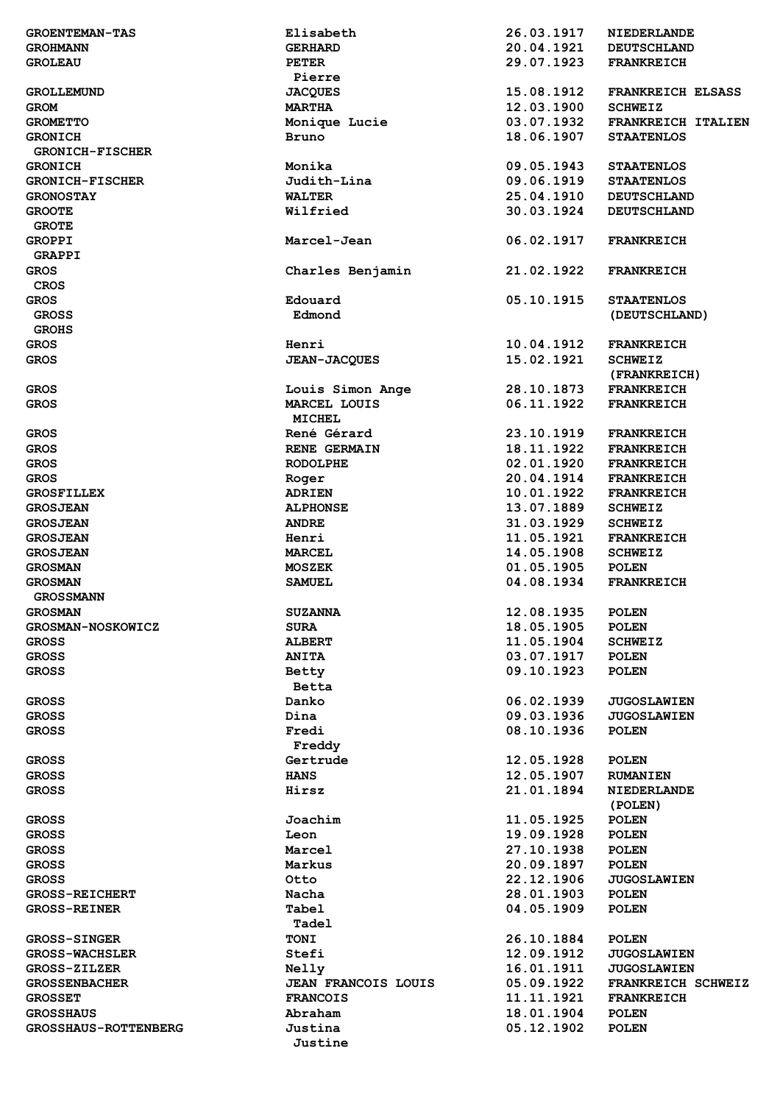|                             | Elisabeth              |            |                          |
|-----------------------------|------------------------|------------|--------------------------|
| <b>GROENTEMAN-TAS</b>       |                        | 26.03.1917 | <b>NIEDERLANDE</b>       |
| <b>GROHMANN</b>             | <b>GERHARD</b>         | 20.04.1921 | <b>DEUTSCHLAND</b>       |
| <b>GROLEAU</b>              | <b>PETER</b><br>Pierre | 29.07.1923 | <b>FRANKREICH</b>        |
| <b>GROLLEMUND</b>           | <b>JACQUES</b>         | 15.08.1912 | <b>FRANKREICH ELSASS</b> |
| <b>GROM</b>                 | <b>MARTHA</b>          | 12.03.1900 | <b>SCHWEIZ</b>           |
|                             | Monique Lucie          | 03.07.1932 | FRANKREICH ITALIEN       |
| <b>GROMETTO</b>             |                        |            |                          |
| <b>GRONICH</b>              | Bruno                  | 18.06.1907 | <b>STAATENLOS</b>        |
| <b>GRONICH-FISCHER</b>      |                        |            |                          |
| <b>GRONICH</b>              | Monika                 | 09.05.1943 | <b>STAATENLOS</b>        |
| <b>GRONICH-FISCHER</b>      | Judith-Lina            | 09.06.1919 | <b>STAATENLOS</b>        |
| <b>GRONOSTAY</b>            | <b>WALTER</b>          | 25.04.1910 | <b>DEUTSCHLAND</b>       |
| <b>GROOTE</b>               | Wilfried               | 30.03.1924 | <b>DEUTSCHLAND</b>       |
| <b>GROTE</b>                |                        |            |                          |
| <b>GROPPI</b>               | Marcel-Jean            | 06.02.1917 | <b>FRANKREICH</b>        |
| <b>GRAPPI</b>               |                        |            |                          |
| <b>GROS</b>                 | Charles Benjamin       | 21.02.1922 | <b>FRANKREICH</b>        |
| <b>CROS</b>                 |                        |            |                          |
| <b>GROS</b>                 | Edouard                | 05.10.1915 | <b>STAATENLOS</b>        |
|                             |                        |            |                          |
| <b>GROSS</b>                | Edmond                 |            | (DEUTSCHLAND)            |
| <b>GROHS</b>                |                        |            |                          |
| <b>GROS</b>                 | Henri                  | 10.04.1912 | <b>FRANKREICH</b>        |
| <b>GROS</b>                 | <b>JEAN-JACQUES</b>    | 15.02.1921 | <b>SCHWEIZ</b>           |
|                             |                        |            | (FRANKREICH)             |
| <b>GROS</b>                 | Louis Simon Ange       | 28.10.1873 | <b>FRANKREICH</b>        |
| <b>GROS</b>                 | MARCEL LOUIS           | 06.11.1922 | <b>FRANKREICH</b>        |
|                             | <b>MICHEL</b>          |            |                          |
| <b>GROS</b>                 | René Gérard            | 23.10.1919 | <b>FRANKREICH</b>        |
| <b>GROS</b>                 | RENE GERMAIN           | 18.11.1922 | <b>FRANKREICH</b>        |
|                             |                        |            |                          |
| <b>GROS</b>                 | <b>RODOLPHE</b>        | 02.01.1920 | <b>FRANKREICH</b>        |
| <b>GROS</b>                 | Roger                  | 20.04.1914 | <b>FRANKREICH</b>        |
| <b>GROSFILLEX</b>           | <b>ADRIEN</b>          | 10.01.1922 | <b>FRANKREICH</b>        |
| <b>GROSJEAN</b>             | <b>ALPHONSE</b>        | 13.07.1889 | <b>SCHWEIZ</b>           |
| <b>GROSJEAN</b>             | <b>ANDRE</b>           | 31.03.1929 | <b>SCHWEIZ</b>           |
| <b>GROSJEAN</b>             | Henri                  | 11.05.1921 | <b>FRANKREICH</b>        |
| <b>GROSJEAN</b>             | <b>MARCEL</b>          | 14.05.1908 | <b>SCHWEIZ</b>           |
| <b>GROSMAN</b>              | <b>MOSZEK</b>          | 01.05.1905 | <b>POLEN</b>             |
| <b>GROSMAN</b>              | <b>SAMUEL</b>          | 04.08.1934 | <b>FRANKREICH</b>        |
| <b>GROSSMANN</b>            |                        |            |                          |
|                             |                        |            |                          |
| <b>GROSMAN</b>              | <b>SUZANNA</b>         | 12.08.1935 | <b>POLEN</b>             |
| <b>GROSMAN-NOSKOWICZ</b>    | <b>SURA</b>            | 18.05.1905 | <b>POLEN</b>             |
| <b>GROSS</b>                | <b>ALBERT</b>          | 11.05.1904 | <b>SCHWEIZ</b>           |
| <b>GROSS</b>                | <b>ANITA</b>           | 03.07.1917 | <b>POLEN</b>             |
| <b>GROSS</b>                | Betty                  | 09.10.1923 | <b>POLEN</b>             |
|                             | <b>Betta</b>           |            |                          |
| <b>GROSS</b>                | Danko                  | 06.02.1939 | <b>JUGOSLAWIEN</b>       |
| <b>GROSS</b>                | Dina                   | 09.03.1936 | <b>JUGOSLAWIEN</b>       |
| <b>GROSS</b>                | Fredi                  | 08.10.1936 | <b>POLEN</b>             |
|                             | Freddy                 |            |                          |
| <b>GROSS</b>                | Gertrude               | 12.05.1928 | <b>POLEN</b>             |
| <b>GROSS</b>                | <b>HANS</b>            | 12.05.1907 | <b>RUMANIEN</b>          |
| <b>GROSS</b>                | Hirsz                  | 21.01.1894 | <b>NIEDERLANDE</b>       |
|                             |                        |            |                          |
|                             |                        |            | (POLEN)                  |
| <b>GROSS</b>                | Joachim                | 11.05.1925 | <b>POLEN</b>             |
| <b>GROSS</b>                | Leon                   | 19.09.1928 | <b>POLEN</b>             |
| <b>GROSS</b>                | Marcel                 | 27.10.1938 | <b>POLEN</b>             |
| <b>GROSS</b>                | Markus                 | 20.09.1897 | <b>POLEN</b>             |
| <b>GROSS</b>                | Otto                   | 22.12.1906 | <b>JUGOSLAWIEN</b>       |
| <b>GROSS-REICHERT</b>       | Nacha                  | 28.01.1903 | <b>POLEN</b>             |
| <b>GROSS-REINER</b>         | Tabel                  | 04.05.1909 | <b>POLEN</b>             |
|                             | Tadel                  |            |                          |
| <b>GROSS-SINGER</b>         | <b>TONI</b>            | 26.10.1884 | <b>POLEN</b>             |
| <b>GROSS-WACHSLER</b>       | Stefi                  | 12.09.1912 | <b>JUGOSLAWIEN</b>       |
|                             |                        | 16.01.1911 | <b>JUGOSLAWIEN</b>       |
| <b>GROSS-ZILZER</b>         | Nelly                  |            |                          |
| <b>GROSSENBACHER</b>        | JEAN FRANCOIS LOUIS    | 05.09.1922 | FRANKREICH SCHWEIZ       |
| <b>GROSSET</b>              | <b>FRANCOIS</b>        | 11.11.1921 | <b>FRANKREICH</b>        |
| <b>GROSSHAUS</b>            | Abraham                | 18.01.1904 | <b>POLEN</b>             |
| <b>GROSSHAUS-ROTTENBERG</b> | Justina                | 05.12.1902 | <b>POLEN</b>             |
|                             | Justine                |            |                          |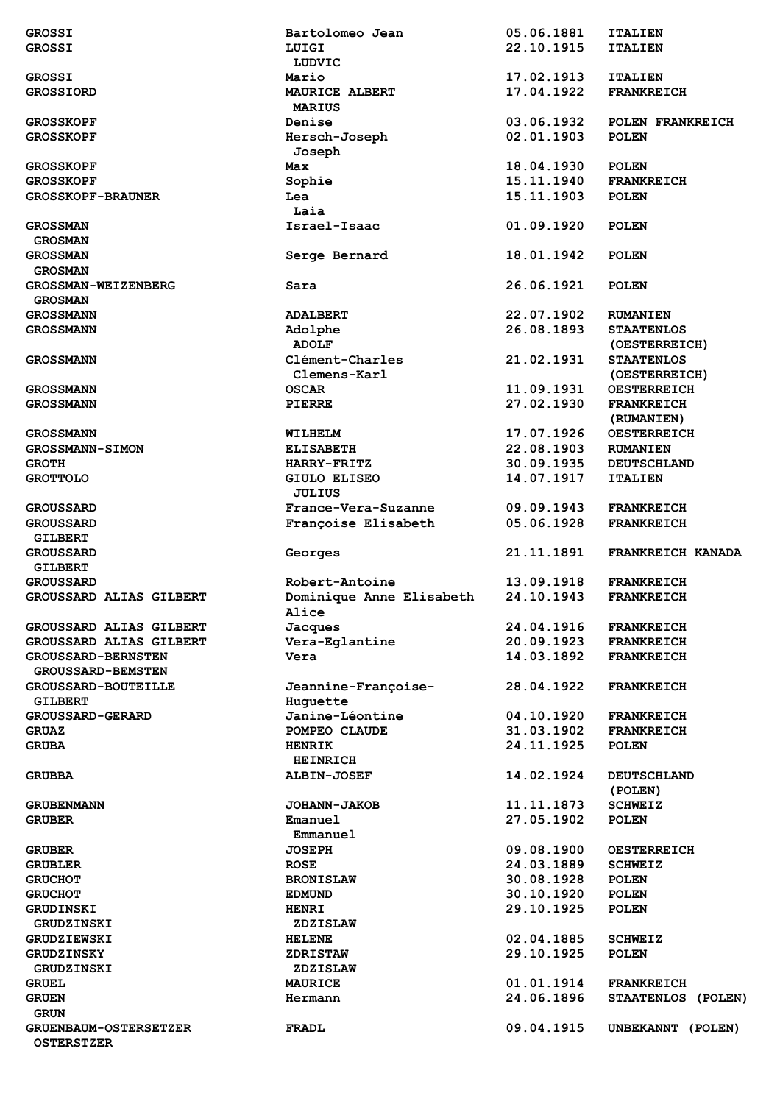| <b>GROSSI</b>                                     | Bartolomeo Jean          | 05.06.1881               | <b>ITALIEN</b>     |
|---------------------------------------------------|--------------------------|--------------------------|--------------------|
| <b>GROSSI</b>                                     | LUIGI                    | 22.10.1915               | <b>ITALIEN</b>     |
|                                                   | LUDVIC                   |                          |                    |
| <b>GROSSI</b>                                     | Mario                    | 17.02.1913               | <b>ITALIEN</b>     |
| <b>GROSSIORD</b>                                  | MAURICE ALBERT           | 17.04.1922               | <b>FRANKREICH</b>  |
|                                                   | <b>MARIUS</b>            |                          |                    |
| <b>GROSSKOPF</b>                                  | Denise                   | 03.06.1932               | POLEN FRANKREICH   |
|                                                   | Hersch-Joseph            | 02.01.1903               | <b>POLEN</b>       |
| <b>GROSSKOPF</b>                                  |                          |                          |                    |
|                                                   | Joseph                   |                          |                    |
| <b>GROSSKOPF</b>                                  | Max                      | 18.04.1930               | <b>POLEN</b>       |
| <b>GROSSKOPF</b>                                  | Sophie                   | 15.11.1940               | <b>FRANKREICH</b>  |
| <b>GROSSKOPF-BRAUNER</b>                          | Lea                      | 15.11.1903               | <b>POLEN</b>       |
|                                                   | Laia                     |                          |                    |
| <b>GROSSMAN</b>                                   | Israel-Isaac             | 01.09.1920               | <b>POLEN</b>       |
| <b>GROSMAN</b>                                    |                          |                          |                    |
| <b>GROSSMAN</b>                                   | Serge Bernard            | 18.01.1942               | <b>POLEN</b>       |
| <b>GROSMAN</b>                                    |                          |                          |                    |
| <b>GROSSMAN-WEIZENBERG</b>                        | Sara                     | 26.06.1921               | <b>POLEN</b>       |
| <b>GROSMAN</b>                                    |                          |                          |                    |
| <b>GROSSMANN</b>                                  | <b>ADALBERT</b>          | 22.07.1902               | <b>RUMANIEN</b>    |
| <b>GROSSMANN</b>                                  | Adolphe                  | 26.08.1893               | <b>STAATENLOS</b>  |
|                                                   | <b>ADOLF</b>             |                          | (OESTERREICH)      |
| <b>GROSSMANN</b>                                  | Clément-Charles          | 21.02.1931               | <b>STAATENLOS</b>  |
|                                                   |                          |                          |                    |
|                                                   | Clemens-Karl             |                          | (OESTERREICH)      |
| <b>GROSSMANN</b>                                  | <b>OSCAR</b>             | 11.09.1931               | <b>OESTERREICH</b> |
| <b>GROSSMANN</b>                                  | <b>PIERRE</b>            | 27.02.1930               | <b>FRANKREICH</b>  |
|                                                   |                          |                          | (RUMANIEN)         |
| <b>GROSSMANN</b>                                  | WILHELM                  | 17.07.1926               | <b>OESTERREICH</b> |
| <b>GROSSMANN-SIMON</b>                            | <b>ELISABETH</b>         | 22.08.1903               | <b>RUMANIEN</b>    |
| <b>GROTH</b>                                      | <b>HARRY-FRITZ</b>       | 30.09.1935               | <b>DEUTSCHLAND</b> |
| <b>GROTTOLO</b>                                   | GIULO ELISEO             | 14.07.1917               | <b>ITALIEN</b>     |
|                                                   | <b>JULIUS</b>            |                          |                    |
| <b>GROUSSARD</b>                                  | France-Vera-Suzanne      | 09.09.1943               | <b>FRANKREICH</b>  |
| <b>GROUSSARD</b>                                  | Françoise Elisabeth      | 05.06.1928               | <b>FRANKREICH</b>  |
| <b>GILBERT</b>                                    |                          |                          |                    |
| <b>GROUSSARD</b>                                  | Georges                  | 21.11.1891               | FRANKREICH KANADA  |
| <b>GILBERT</b>                                    |                          |                          |                    |
|                                                   |                          |                          |                    |
|                                                   |                          |                          |                    |
| <b>GROUSSARD</b>                                  | Robert-Antoine           | 13.09.1918               | <b>FRANKREICH</b>  |
| GROUSSARD ALIAS GILBERT                           | Dominique Anne Elisabeth | 24.10.1943               | <b>FRANKREICH</b>  |
|                                                   | <b>Alice</b>             |                          |                    |
| GROUSSARD ALIAS GILBERT                           | Jacques                  | 24.04.1916               | <b>FRANKREICH</b>  |
| <b>GROUSSARD ALIAS GILBERT</b>                    | Vera-Eglantine           | 20.09.1923               | <b>FRANKREICH</b>  |
| <b>GROUSSARD-BERNSTEN</b>                         | Vera                     | 14.03.1892               | <b>FRANKREICH</b>  |
| <b>GROUSSARD-BEMSTEN</b>                          |                          |                          |                    |
| <b>GROUSSARD-BOUTEILLE</b>                        | Jeannine-Francoise-      | 28.04.1922               | <b>FRANKREICH</b>  |
| <b>GILBERT</b>                                    | Huquette                 |                          |                    |
| <b>GROUSSARD-GERARD</b>                           | Janine-Léontine          | 04.10.1920               | <b>FRANKREICH</b>  |
| <b>GRUAZ</b>                                      | POMPEO CLAUDE            |                          | <b>FRANKREICH</b>  |
| <b>GRUBA</b>                                      | <b>HENRIK</b>            | 31.03.1902<br>24.11.1925 | <b>POLEN</b>       |
|                                                   |                          |                          |                    |
|                                                   | <b>HEINRICH</b>          |                          |                    |
| <b>GRUBBA</b>                                     | <b>ALBIN-JOSEF</b>       | 14.02.1924               | <b>DEUTSCHLAND</b> |
|                                                   |                          |                          | (POLEN)            |
| <b>GRUBENMANN</b>                                 | <b>JOHANN-JAKOB</b>      | 11.11.1873               | <b>SCHWEIZ</b>     |
| <b>GRUBER</b>                                     | Emanuel                  | 27.05.1902               | <b>POLEN</b>       |
|                                                   | Emmanuel                 |                          |                    |
| <b>GRUBER</b>                                     | <b>JOSEPH</b>            | 09.08.1900               | <b>OESTERREICH</b> |
| <b>GRUBLER</b>                                    | <b>ROSE</b>              | 24.03.1889               | <b>SCHWEIZ</b>     |
| <b>GRUCHOT</b>                                    | <b>BRONISLAW</b>         | 30.08.1928               | <b>POLEN</b>       |
| <b>GRUCHOT</b>                                    | <b>EDMUND</b>            | 30.10.1920               | <b>POLEN</b>       |
| <b>GRUDINSKI</b>                                  | <b>HENRI</b>             | 29.10.1925               | <b>POLEN</b>       |
| <b>GRUDZINSKI</b>                                 | <b>ZDZISLAW</b>          |                          |                    |
| <b>GRUDZIEWSKI</b>                                | <b>HELENE</b>            | 02.04.1885               | <b>SCHWEIZ</b>     |
|                                                   |                          |                          |                    |
| <b>GRUDZINSKY</b>                                 | <b>ZDRISTAW</b>          | 29.10.1925               | <b>POLEN</b>       |
| GRUDZINSKI                                        | <b>ZDZISLAW</b>          |                          |                    |
| <b>GRUEL</b>                                      | <b>MAURICE</b>           | 01.01.1914               | <b>FRANKREICH</b>  |
| <b>GRUEN</b>                                      | Hermann                  | 24.06.1896               | STAATENLOS (POLEN) |
| <b>GRUN</b>                                       |                          |                          |                    |
| <b>GRUENBAUM-OSTERSETZER</b><br><b>OSTERSTZER</b> | FRADL                    | 09.04.1915               | UNBEKANNT (POLEN)  |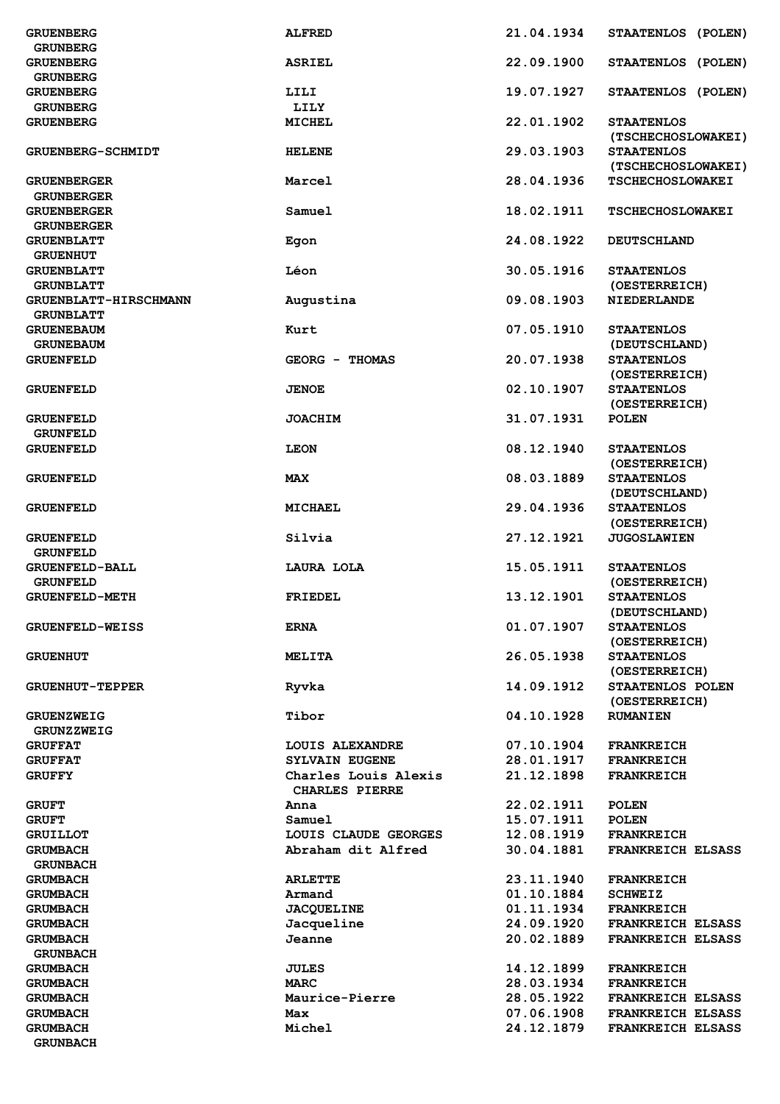| <b>GRUENBERG</b>         | <b>ALFRED</b>         | 21.04.1934 | STAATENLOS (POLEN)                      |
|--------------------------|-----------------------|------------|-----------------------------------------|
| <b>GRUNBERG</b>          |                       |            |                                         |
| <b>GRUENBERG</b>         | <b>ASRIEL</b>         | 22.09.1900 | STAATENLOS (POLEN)                      |
| <b>GRUNBERG</b>          |                       |            |                                         |
| <b>GRUENBERG</b>         | LILI                  | 19.07.1927 | STAATENLOS (POLEN)                      |
| <b>GRUNBERG</b>          | LILY                  |            |                                         |
| <b>GRUENBERG</b>         | <b>MICHEL</b>         | 22.01.1902 | <b>STAATENLOS</b>                       |
| <b>GRUENBERG-SCHMIDT</b> | <b>HELENE</b>         | 29.03.1903 | (TSCHECHOSLOWAKEI)<br><b>STAATENLOS</b> |
|                          |                       |            | (TSCHECHOSLOWAKEI)                      |
| <b>GRUENBERGER</b>       | Marcel                | 28.04.1936 | <b>TSCHECHOSLOWAKEI</b>                 |
| <b>GRUNBERGER</b>        |                       |            |                                         |
| <b>GRUENBERGER</b>       | Samuel                | 18.02.1911 | <b>TSCHECHOSLOWAKEI</b>                 |
| <b>GRUNBERGER</b>        |                       |            |                                         |
| <b>GRUENBLATT</b>        | Egon                  | 24.08.1922 | <b>DEUTSCHLAND</b>                      |
| <b>GRUENHUT</b>          |                       |            |                                         |
| <b>GRUENBLATT</b>        | Léon                  | 30.05.1916 | <b>STAATENLOS</b>                       |
| <b>GRUNBLATT</b>         |                       |            | (OESTERREICH)                           |
| GRUENBLATT-HIRSCHMANN    | Augustina             | 09.08.1903 | <b>NIEDERLANDE</b>                      |
| <b>GRUNBLATT</b>         |                       |            |                                         |
| <b>GRUENEBAUM</b>        | Kurt                  | 07.05.1910 | <b>STAATENLOS</b>                       |
| <b>GRUNEBAUM</b>         |                       |            | (DEUTSCHLAND)                           |
| <b>GRUENFELD</b>         | GEORG - THOMAS        | 20.07.1938 | <b>STAATENLOS</b>                       |
|                          |                       |            | (OESTERREICH)                           |
| <b>GRUENFELD</b>         | <b>JENOE</b>          | 02.10.1907 | <b>STAATENLOS</b>                       |
|                          |                       |            | (OESTERREICH)                           |
| <b>GRUENFELD</b>         | <b>JOACHIM</b>        | 31.07.1931 | <b>POLEN</b>                            |
| <b>GRUNFELD</b>          |                       |            |                                         |
| <b>GRUENFELD</b>         | <b>LEON</b>           | 08.12.1940 | <b>STAATENLOS</b>                       |
|                          |                       |            | (OESTERREICH)                           |
| <b>GRUENFELD</b>         | <b>MAX</b>            | 08.03.1889 | <b>STAATENLOS</b>                       |
|                          |                       |            | (DEUTSCHLAND)                           |
| <b>GRUENFELD</b>         | <b>MICHAEL</b>        | 29.04.1936 | <b>STAATENLOS</b>                       |
|                          |                       |            | (OESTERREICH)                           |
| <b>GRUENFELD</b>         | Silvia                | 27.12.1921 | <b>JUGOSLAWIEN</b>                      |
| <b>GRUNFELD</b>          |                       |            |                                         |
| <b>GRUENFELD-BALL</b>    | LAURA LOLA            | 15.05.1911 | <b>STAATENLOS</b>                       |
| <b>GRUNFELD</b>          |                       |            | (OESTERREICH)                           |
| <b>GRUENFELD-METH</b>    | <b>FRIEDEL</b>        | 13.12.1901 | <b>STAATENLOS</b>                       |
|                          |                       | 01.07.1907 | (DEUTSCHLAND)                           |
| <b>GRUENFELD-WEISS</b>   | <b>ERNA</b>           |            | <b>STAATENLOS</b>                       |
|                          | <b>MELITA</b>         | 26.05.1938 | (OESTERREICH)<br><b>STAATENLOS</b>      |
| <b>GRUENHUT</b>          |                       |            | (OESTERREICH)                           |
| <b>GRUENHUT-TEPPER</b>   | Ryvka                 | 14.09.1912 | STAATENLOS POLEN                        |
|                          |                       |            | (OESTERREICH)                           |
| <b>GRUENZWEIG</b>        | Tibor                 | 04.10.1928 | <b>RUMANIEN</b>                         |
| <b>GRUNZZWEIG</b>        |                       |            |                                         |
| <b>GRUFFAT</b>           | LOUIS ALEXANDRE       | 07.10.1904 | <b>FRANKREICH</b>                       |
| <b>GRUFFAT</b>           | <b>SYLVAIN EUGENE</b> | 28.01.1917 | <b>FRANKREICH</b>                       |
| <b>GRUFFY</b>            | Charles Louis Alexis  | 21.12.1898 | <b>FRANKREICH</b>                       |
|                          | <b>CHARLES PIERRE</b> |            |                                         |
| <b>GRUFT</b>             | Anna                  | 22.02.1911 | <b>POLEN</b>                            |
| <b>GRUFT</b>             | Samuel                | 15.07.1911 | <b>POLEN</b>                            |
| <b>GRUILLOT</b>          | LOUIS CLAUDE GEORGES  | 12.08.1919 | <b>FRANKREICH</b>                       |
| <b>GRUMBACH</b>          | Abraham dit Alfred    | 30.04.1881 | <b>FRANKREICH ELSASS</b>                |
| <b>GRUNBACH</b>          |                       |            |                                         |
| <b>GRUMBACH</b>          | <b>ARLETTE</b>        | 23.11.1940 | <b>FRANKREICH</b>                       |
| <b>GRUMBACH</b>          | Armand                | 01.10.1884 | <b>SCHWEIZ</b>                          |
| <b>GRUMBACH</b>          | <b>JACQUELINE</b>     | 01.11.1934 | <b>FRANKREICH</b>                       |
| <b>GRUMBACH</b>          | Jacqueline            | 24.09.1920 | <b>FRANKREICH ELSASS</b>                |
| <b>GRUMBACH</b>          | Jeanne                | 20.02.1889 | <b>FRANKREICH ELSASS</b>                |
| <b>GRUNBACH</b>          |                       |            |                                         |
| <b>GRUMBACH</b>          | <b>JULES</b>          | 14.12.1899 | <b>FRANKREICH</b>                       |
| <b>GRUMBACH</b>          | <b>MARC</b>           | 28.03.1934 | <b>FRANKREICH</b>                       |
| <b>GRUMBACH</b>          | Maurice-Pierre        | 28.05.1922 | <b>FRANKREICH ELSASS</b>                |
| <b>GRUMBACH</b>          | Max                   | 07.06.1908 | <b>FRANKREICH ELSASS</b>                |
| <b>GRUMBACH</b>          | Michel                | 24.12.1879 | <b>FRANKREICH ELSASS</b>                |
| <b>GRUNBACH</b>          |                       |            |                                         |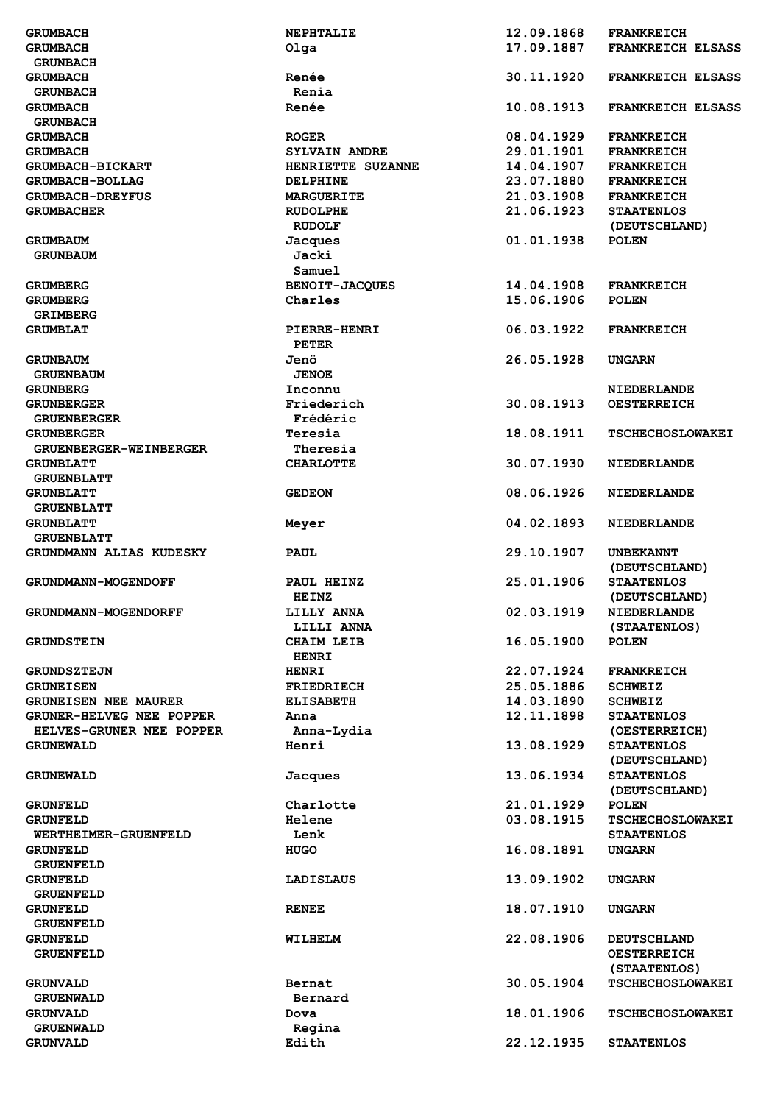| <b>GRUMBACH</b>                      | <b>NEPHTALIE</b>                  | 12.09.1868 | <b>FRANKREICH</b>                        |
|--------------------------------------|-----------------------------------|------------|------------------------------------------|
| <b>GRUMBACH</b>                      | $O_{\text{lqa}}$                  | 17.09.1887 | <b>FRANKREICH ELSASS</b>                 |
| <b>GRUNBACH</b>                      |                                   |            |                                          |
| <b>GRUMBACH</b><br><b>GRUNBACH</b>   | Renée<br>Renia                    | 30.11.1920 | <b>FRANKREICH ELSASS</b>                 |
| <b>GRUMBACH</b>                      | Renée                             | 10.08.1913 | <b>FRANKREICH ELSASS</b>                 |
| <b>GRUNBACH</b>                      |                                   |            |                                          |
| <b>GRUMBACH</b>                      | <b>ROGER</b>                      | 08.04.1929 | <b>FRANKREICH</b>                        |
| <b>GRUMBACH</b>                      | <b>SYLVAIN ANDRE</b>              | 29.01.1901 | <b>FRANKREICH</b>                        |
| <b>GRUMBACH-BICKART</b>              | HENRIETTE SUZANNE                 | 14.04.1907 | <b>FRANKREICH</b>                        |
| <b>GRUMBACH-BOLLAG</b>               | <b>DELPHINE</b>                   | 23.07.1880 | <b>FRANKREICH</b>                        |
| <b>GRUMBACH-DREYFUS</b>              | <b>MARGUERITE</b>                 | 21.03.1908 | <b>FRANKREICH</b>                        |
| <b>GRUMBACHER</b>                    | <b>RUDOLPHE</b>                   | 21.06.1923 | <b>STAATENLOS</b>                        |
| <b>GRUMBAUM</b>                      | <b>RUDOLF</b><br>Jacques          | 01.01.1938 | (DEUTSCHLAND)<br><b>POLEN</b>            |
| <b>GRUNBAUM</b>                      | Jacki                             |            |                                          |
|                                      | Samuel                            |            |                                          |
| <b>GRUMBERG</b>                      | <b>BENOIT-JACQUES</b>             | 14.04.1908 | <b>FRANKREICH</b>                        |
| <b>GRUMBERG</b>                      | Charles                           | 15.06.1906 | <b>POLEN</b>                             |
| <b>GRIMBERG</b>                      |                                   |            |                                          |
| <b>GRUMBLAT</b>                      | <b>PIERRE-HENRI</b>               | 06.03.1922 | <b>FRANKREICH</b>                        |
|                                      | <b>PETER</b>                      |            |                                          |
| <b>GRUNBAUM</b>                      | Jenö                              | 26.05.1928 | <b>UNGARN</b>                            |
| <b>GRUENBAUM</b>                     | <b>JENOE</b>                      |            |                                          |
| <b>GRUNBERG</b><br><b>GRUNBERGER</b> | Inconnu<br>Friederich             | 30.08.1913 | NIEDERLANDE<br><b>OESTERREICH</b>        |
| <b>GRUENBERGER</b>                   | Frédéric                          |            |                                          |
| <b>GRUNBERGER</b>                    | Teresia                           | 18.08.1911 | <b>TSCHECHOSLOWAKEI</b>                  |
| GRUENBERGER-WEINBERGER               | Theresia                          |            |                                          |
| <b>GRUNBLATT</b>                     | <b>CHARLOTTE</b>                  | 30.07.1930 | NIEDERLANDE                              |
| <b>GRUENBLATT</b>                    |                                   |            |                                          |
| <b>GRUNBLATT</b>                     | <b>GEDEON</b>                     | 08.06.1926 | <b>NIEDERLANDE</b>                       |
| <b>GRUENBLATT</b>                    |                                   |            |                                          |
| <b>GRUNBLATT</b>                     | Meyer                             | 04.02.1893 | NIEDERLANDE                              |
| <b>GRUENBLATT</b>                    |                                   |            |                                          |
| GRUNDMANN ALIAS KUDESKY              | <b>PAUL</b>                       | 29.10.1907 | <b>UNBEKANNT</b><br>(DEUTSCHLAND)        |
| <b>GRUNDMANN-MOGENDOFF</b>           | PAUL HEINZ                        | 25.01.1906 | <b>STAATENLOS</b>                        |
|                                      |                                   |            |                                          |
|                                      |                                   |            |                                          |
| <b>GRUNDMANN-MOGENDORFF</b>          | <b>HEINZ</b><br><b>LILLY ANNA</b> | 02.03.1919 | (DEUTSCHLAND)<br>NIEDERLANDE             |
|                                      | LILLI ANNA                        |            | (STAATENLOS)                             |
| <b>GRUNDSTEIN</b>                    | <b>CHAIM LEIB</b>                 | 16.05.1900 | <b>POLEN</b>                             |
|                                      | <b>HENRI</b>                      |            |                                          |
| <b>GRUNDSZTEJN</b>                   | <b>HENRI</b>                      | 22.07.1924 | <b>FRANKREICH</b>                        |
| <b>GRUNEISEN</b>                     | <b>FRIEDRIECH</b>                 | 25.05.1886 | <b>SCHWEIZ</b>                           |
| <b>GRUNEISEN NEE MAURER</b>          | <b>ELISABETH</b>                  | 14.03.1890 | <b>SCHWEIZ</b>                           |
| <b>GRUNER-HELVEG NEE POPPER</b>      | Anna                              | 12.11.1898 | <b>STAATENLOS</b>                        |
| HELVES-GRUNER NEE POPPER             | Anna-Lydia                        |            | (OESTERREICH)                            |
| <b>GRUNEWALD</b>                     | Henri                             | 13.08.1929 | <b>STAATENLOS</b>                        |
|                                      |                                   |            | (DEUTSCHLAND)                            |
| <b>GRUNEWALD</b>                     | Jacques                           | 13.06.1934 | <b>STAATENLOS</b>                        |
| <b>GRUNFELD</b>                      | Charlotte                         | 21.01.1929 | (DEUTSCHLAND)<br><b>POLEN</b>            |
| <b>GRUNFELD</b>                      | <b>Helene</b>                     | 03.08.1915 | <b>TSCHECHOSLOWAKEI</b>                  |
| WERTHEIMER-GRUENFELD                 | Lenk                              |            | <b>STAATENLOS</b>                        |
| <b>GRUNFELD</b>                      | <b>HUGO</b>                       | 16.08.1891 | <b>UNGARN</b>                            |
| <b>GRUENFELD</b>                     |                                   |            |                                          |
| <b>GRUNFELD</b>                      | LADISLAUS                         | 13.09.1902 | <b>UNGARN</b>                            |
| <b>GRUENFELD</b>                     |                                   |            |                                          |
| <b>GRUNFELD</b>                      | <b>RENEE</b>                      | 18.07.1910 | <b>UNGARN</b>                            |
| <b>GRUENFELD</b>                     | WILHELM                           |            |                                          |
| <b>GRUNFELD</b><br><b>GRUENFELD</b>  |                                   | 22.08.1906 | <b>DEUTSCHLAND</b><br><b>OESTERREICH</b> |
|                                      |                                   |            | (STAATENLOS)                             |
| <b>GRUNVALD</b>                      | Bernat                            | 30.05.1904 | <b>TSCHECHOSLOWAKEI</b>                  |
| <b>GRUENWALD</b>                     | Bernard                           |            |                                          |
| <b>GRUNVALD</b>                      | Dova                              | 18.01.1906 | <b>TSCHECHOSLOWAKEI</b>                  |
| <b>GRUENWALD</b><br><b>GRUNVALD</b>  | Regina<br>Edith                   | 22.12.1935 | <b>STAATENLOS</b>                        |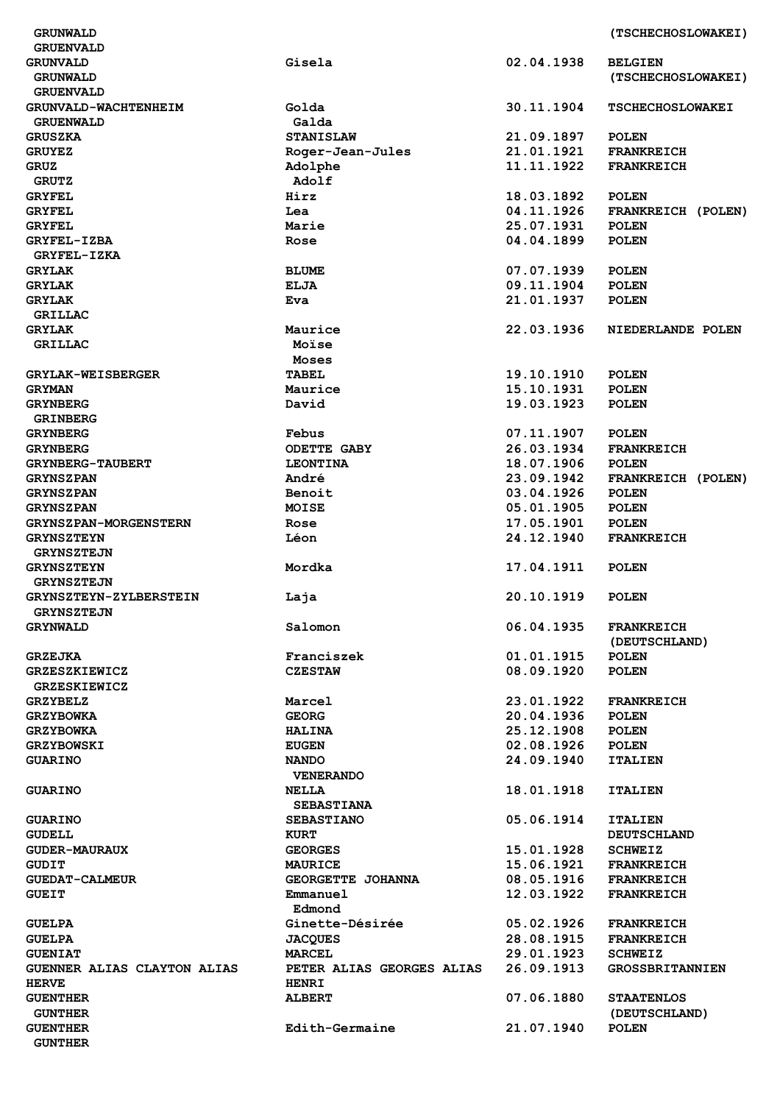**GRUNWALD (TSCHECHOSLOWAKEI)** 

| <b>GRUENVALD</b>             |                           |            |                         |
|------------------------------|---------------------------|------------|-------------------------|
| <b>GRUNVALD</b>              | Gisela                    | 02.04.1938 | <b>BELGIEN</b>          |
|                              |                           |            |                         |
| <b>GRUNWALD</b>              |                           |            | (TSCHECHOSLOWAKEI)      |
| <b>GRUENVALD</b>             |                           |            |                         |
| <b>GRUNVALD-WACHTENHEIM</b>  | Golda                     | 30.11.1904 | <b>TSCHECHOSLOWAKEI</b> |
| <b>GRUENWALD</b>             | Galda                     |            |                         |
|                              |                           | 21.09.1897 |                         |
| <b>GRUSZKA</b>               | <b>STANISLAW</b>          |            | <b>POLEN</b>            |
| <b>GRUYEZ</b>                | Roger-Jean-Jules          | 21.01.1921 | <b>FRANKREICH</b>       |
| <b>GRUZ</b>                  | Adolphe                   | 11.11.1922 | <b>FRANKREICH</b>       |
| <b>GRUTZ</b>                 | Adolf                     |            |                         |
|                              |                           |            |                         |
| <b>GRYFEL</b>                | Hirz                      | 18.03.1892 | <b>POLEN</b>            |
| <b>GRYFEL</b>                | Lea                       | 04.11.1926 | FRANKREICH (POLEN)      |
| <b>GRYFEL</b>                | Marie                     | 25.07.1931 | <b>POLEN</b>            |
| <b>GRYFEL-IZBA</b>           | Rose                      | 04.04.1899 | <b>POLEN</b>            |
|                              |                           |            |                         |
| <b>GRYFEL-IZKA</b>           |                           |            |                         |
| <b>GRYLAK</b>                | <b>BLUME</b>              | 07.07.1939 | <b>POLEN</b>            |
| <b>GRYLAK</b>                | <b>ELJA</b>               | 09.11.1904 | <b>POLEN</b>            |
|                              |                           |            |                         |
| <b>GRYLAK</b>                | Eva                       | 21.01.1937 | <b>POLEN</b>            |
| <b>GRILLAC</b>               |                           |            |                         |
| <b>GRYLAK</b>                | Maurice                   | 22.03.1936 | NIEDERLANDE POLEN       |
| <b>GRILLAC</b>               | Moïse                     |            |                         |
|                              |                           |            |                         |
|                              | Moses                     |            |                         |
| <b>GRYLAK-WEISBERGER</b>     | <b>TABEL</b>              | 19.10.1910 | <b>POLEN</b>            |
| <b>GRYMAN</b>                | Maurice                   | 15.10.1931 | <b>POLEN</b>            |
| <b>GRYNBERG</b>              | David                     | 19.03.1923 | <b>POLEN</b>            |
|                              |                           |            |                         |
| <b>GRINBERG</b>              |                           |            |                         |
| <b>GRYNBERG</b>              | Febus                     | 07.11.1907 | <b>POLEN</b>            |
| <b>GRYNBERG</b>              | <b>ODETTE GABY</b>        | 26.03.1934 | <b>FRANKREICH</b>       |
|                              |                           |            |                         |
| <b>GRYNBERG-TAUBERT</b>      | <b>LEONTINA</b>           | 18.07.1906 | <b>POLEN</b>            |
| <b>GRYNSZPAN</b>             | André                     | 23.09.1942 | FRANKREICH (POLEN)      |
| <b>GRYNSZPAN</b>             | Benoit                    | 03.04.1926 | <b>POLEN</b>            |
| <b>GRYNSZPAN</b>             | <b>MOISE</b>              | 05.01.1905 | <b>POLEN</b>            |
|                              |                           |            |                         |
| <b>GRYNSZPAN-MORGENSTERN</b> | Rose                      | 17.05.1901 | <b>POLEN</b>            |
| <b>GRYNSZTEYN</b>            | Léon                      | 24.12.1940 | <b>FRANKREICH</b>       |
| <b>GRYNSZTEJN</b>            |                           |            |                         |
|                              |                           |            |                         |
| <b>GRYNSZTEYN</b>            | Mordka                    | 17.04.1911 | <b>POLEN</b>            |
| <b>GRYNSZTEJN</b>            |                           |            |                         |
| GRYNSZTEYN-ZYLBERSTEIN       | Laja                      | 20.10.1919 | <b>POLEN</b>            |
| <b>GRYNSZTEJN</b>            |                           |            |                         |
|                              |                           |            |                         |
| GRYNWALD                     | Salomon                   | 06.04.1935 | <b>FRANKREICH</b>       |
|                              |                           |            | (DEUTSCHLAND)           |
| <b>GRZEJKA</b>               | Franciszek                | 01.01.1915 | <b>POLEN</b>            |
| GRZESZKIEWICZ                | <b>CZESTAW</b>            | 08.09.1920 | <b>POLEN</b>            |
|                              |                           |            |                         |
| <b>GRZESKIEWICZ</b>          |                           |            |                         |
| <b>GRZYBELZ</b>              | Marcel                    | 23.01.1922 | <b>FRANKREICH</b>       |
| <b>GRZYBOWKA</b>             | <b>GEORG</b>              | 20.04.1936 | <b>POLEN</b>            |
|                              |                           |            |                         |
| <b>GRZYBOWKA</b>             | <b>HALINA</b>             | 25.12.1908 | <b>POLEN</b>            |
| <b>GRZYBOWSKI</b>            | <b>EUGEN</b>              | 02.08.1926 | <b>POLEN</b>            |
| <b>GUARINO</b>               | <b>NANDO</b>              | 24.09.1940 | <b>ITALIEN</b>          |
|                              | <b>VENERANDO</b>          |            |                         |
|                              |                           |            |                         |
| <b>GUARINO</b>               | <b>NELLA</b>              | 18.01.1918 | <b>ITALIEN</b>          |
|                              | <b>SEBASTIANA</b>         |            |                         |
| <b>GUARINO</b>               | <b>SEBASTIANO</b>         | 05.06.1914 | <b>ITALIEN</b>          |
| <b>GUDELL</b>                | <b>KURT</b>               |            | <b>DEUTSCHLAND</b>      |
|                              |                           |            |                         |
| <b>GUDER-MAURAUX</b>         | <b>GEORGES</b>            | 15.01.1928 | <b>SCHWEIZ</b>          |
| <b>GUDIT</b>                 | <b>MAURICE</b>            | 15.06.1921 | <b>FRANKREICH</b>       |
| <b>GUEDAT-CALMEUR</b>        | GEORGETTE JOHANNA         | 08.05.1916 | <b>FRANKREICH</b>       |
|                              |                           |            |                         |
| <b>GUEIT</b>                 | Emmanuel                  | 12.03.1922 | <b>FRANKREICH</b>       |
|                              | Edmond                    |            |                         |
| <b>GUELPA</b>                | Ginette-Désirée           | 05.02.1926 | <b>FRANKREICH</b>       |
| <b>GUELPA</b>                | <b>JACQUES</b>            | 28.08.1915 | <b>FRANKREICH</b>       |
|                              |                           |            |                         |
| <b>GUENIAT</b>               | <b>MARCEL</b>             | 29.01.1923 | <b>SCHWEIZ</b>          |
| GUENNER ALIAS CLAYTON ALIAS  | PETER ALIAS GEORGES ALIAS | 26.09.1913 | <b>GROSSBRITANNIEN</b>  |
| <b>HERVE</b>                 | <b>HENRI</b>              |            |                         |
| <b>GUENTHER</b>              | <b>ALBERT</b>             | 07.06.1880 | <b>STAATENLOS</b>       |
|                              |                           |            |                         |
| <b>GUNTHER</b>               |                           |            | (DEUTSCHLAND)           |
| <b>GUENTHER</b>              | Edith-Germaine            | 21.07.1940 | <b>POLEN</b>            |
| <b>GUNTHER</b>               |                           |            |                         |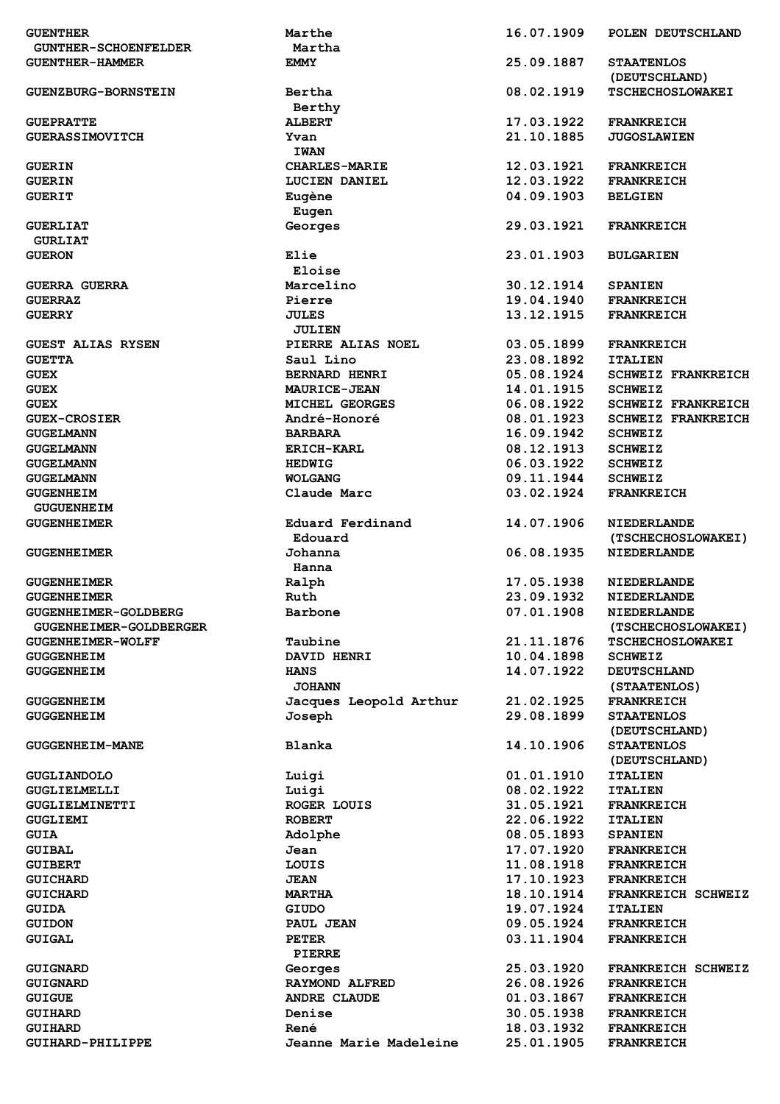| <b>GUENTHER</b>             | Marthe                        | 16.07.1909 | POLEN DEUTSCHLAND                        |
|-----------------------------|-------------------------------|------------|------------------------------------------|
| <b>GUNTHER-SCHOENFELDER</b> | Martha                        |            |                                          |
| <b>GUENTHER-HAMMER</b>      | <b>EMMY</b>                   | 25.09.1887 | <b>STAATENLOS</b><br>(DEUTSCHLAND)       |
| <b>GUENZBURG-BORNSTEIN</b>  | Bertha<br>Berthy              | 08.02.1919 | <b>TSCHECHOSLOWAKEI</b>                  |
| <b>GUEPRATTE</b>            | <b>ALBERT</b>                 | 17.03.1922 | <b>FRANKREICH</b>                        |
| <b>GUERASSIMOVITCH</b>      | Yvan                          | 21.10.1885 | <b>JUGOSLAWIEN</b>                       |
|                             | <b>IWAN</b>                   |            |                                          |
| <b>GUERIN</b>               | <b>CHARLES-MARIE</b>          | 12.03.1921 | <b>FRANKREICH</b>                        |
| <b>GUERIN</b>               | LUCIEN DANIEL                 | 12.03.1922 | <b>FRANKREICH</b>                        |
| <b>GUERIT</b>               | Eugène<br>Eugen               | 04.09.1903 | <b>BELGIEN</b>                           |
| <b>GUERLIAT</b>             | Georges                       | 29.03.1921 | <b>FRANKREICH</b>                        |
| <b>GURLIAT</b>              |                               |            |                                          |
| <b>GUERON</b>               | Elie                          | 23.01.1903 | <b>BULGARIEN</b>                         |
|                             | Eloise                        |            |                                          |
| <b>GUERRA GUERRA</b>        | Marcelino                     | 30.12.1914 | <b>SPANIEN</b>                           |
|                             |                               | 19.04.1940 | <b>FRANKREICH</b>                        |
| <b>GUERRAZ</b>              | Pierre                        | 13.12.1915 |                                          |
| <b>GUERRY</b>               | <b>JULES</b><br><b>JULIEN</b> |            | <b>FRANKREICH</b>                        |
| <b>GUEST ALIAS RYSEN</b>    | PIERRE ALIAS NOEL             | 03.05.1899 | <b>FRANKREICH</b>                        |
| <b>GUETTA</b>               | Saul Lino                     | 23.08.1892 | <b>ITALIEN</b>                           |
| <b>GUEX</b>                 | <b>BERNARD HENRI</b>          | 05.08.1924 | <b>SCHWEIZ FRANKREICH</b>                |
| <b>GUEX</b>                 | <b>MAURICE-JEAN</b>           | 14.01.1915 | <b>SCHWEIZ</b>                           |
| <b>GUEX</b>                 | MICHEL GEORGES                | 06.08.1922 | <b>SCHWEIZ FRANKREICH</b>                |
| <b>GUEX-CROSIER</b>         | André-Honoré                  | 08.01.1923 | <b>SCHWEIZ FRANKREICH</b>                |
| <b>GUGELMANN</b>            | <b>BARBARA</b>                | 16.09.1942 | <b>SCHWEIZ</b>                           |
| <b>GUGELMANN</b>            | <b>ERICH-KARL</b>             | 08.12.1913 | <b>SCHWEIZ</b>                           |
| <b>GUGELMANN</b>            | <b>HEDWIG</b>                 | 06.03.1922 | <b>SCHWEIZ</b>                           |
| <b>GUGELMANN</b>            | <b>WOLGANG</b>                | 09.11.1944 | <b>SCHWEIZ</b>                           |
| <b>GUGENHEIM</b>            | Claude Marc                   | 03.02.1924 | <b>FRANKREICH</b>                        |
|                             |                               |            |                                          |
| <b>GUGUENHEIM</b>           |                               |            |                                          |
| <b>GUGENHEIMER</b>          | Eduard Ferdinand<br>Edouard   | 14.07.1906 | <b>NIEDERLANDE</b><br>(TSCHECHOSLOWAKEI) |
| <b>GUGENHEIMER</b>          | Johanna                       | 06.08.1935 | <b>NIEDERLANDE</b>                       |
|                             | Hanna                         |            |                                          |
| <b>GUGENHEIMER</b>          | Ralph                         | 17.05.1938 | <b>NIEDERLANDE</b>                       |
| <b>GUGENHEIMER</b>          | Ruth                          | 23.09.1932 | <b>NIEDERLANDE</b>                       |
| GUGENHEIMER-GOLDBERG        | Barbone                       | 07.01.1908 | NIEDERLANDE                              |
| GUGENHEIMER-GOLDBERGER      |                               |            | (TSCHECHOSLOWAKEI)                       |
| <b>GUGENHEIMER-WOLFF</b>    | Taubine                       | 21.11.1876 | <b>TSCHECHOSLOWAKEI</b>                  |
| <b>GUGGENHEIM</b>           | DAVID HENRI                   | 10.04.1898 | <b>SCHWEIZ</b>                           |
| <b>GUGGENHEIM</b>           | <b>HANS</b>                   | 14.07.1922 | <b>DEUTSCHLAND</b>                       |
|                             | <b>JOHANN</b>                 |            | (STAATENLOS)                             |
|                             |                               |            |                                          |
| <b>GUGGENHEIM</b>           | Jacques Leopold Arthur        | 21.02.1925 | <b>FRANKREICH</b>                        |
| <b>GUGGENHEIM</b>           | Joseph                        | 29.08.1899 | <b>STAATENLOS</b><br>(DEUTSCHLAND)       |
| <b>GUGGENHEIM-MANE</b>      | Blanka                        | 14.10.1906 | <b>STAATENLOS</b>                        |
|                             |                               |            | (DEUTSCHLAND)                            |
| <b>GUGLIANDOLO</b>          | Luigi                         | 01.01.1910 | <b>ITALIEN</b>                           |
| GUGLIELMELLI                | Luigi                         | 08.02.1922 | <b>ITALIEN</b>                           |
|                             | <b>ROGER LOUIS</b>            | 31.05.1921 |                                          |
| GUGLIELMINETTI              |                               |            | <b>FRANKREICH</b>                        |
| GUGLIEMI                    | <b>ROBERT</b>                 | 22.06.1922 | <b>ITALIEN</b>                           |
| <b>GUIA</b>                 | Adolphe                       | 08.05.1893 | <b>SPANIEN</b>                           |
| <b>GUIBAL</b>               | Jean                          | 17.07.1920 | <b>FRANKREICH</b>                        |
| <b>GUIBERT</b>              | LOUIS                         | 11.08.1918 | <b>FRANKREICH</b>                        |
| <b>GUICHARD</b>             | <b>JEAN</b>                   | 17.10.1923 | <b>FRANKREICH</b>                        |
| <b>GUICHARD</b>             | <b>MARTHA</b>                 | 18.10.1914 | FRANKREICH SCHWEIZ                       |
| <b>GUIDA</b>                | <b>GIUDO</b>                  | 19.07.1924 | <b>ITALIEN</b>                           |
| <b>GUIDON</b>               | PAUL JEAN                     | 09.05.1924 | <b>FRANKREICH</b>                        |
| <b>GUIGAL</b>               | <b>PETER</b>                  | 03.11.1904 | <b>FRANKREICH</b>                        |
|                             | PIERRE                        |            |                                          |
| GUIGNARD                    | Georges                       | 25.03.1920 | FRANKREICH SCHWEIZ                       |
| <b>GUIGNARD</b>             | <b>RAYMOND ALFRED</b>         | 26.08.1926 | <b>FRANKREICH</b>                        |
| <b>GUIGUE</b>               | <b>ANDRE CLAUDE</b>           | 01.03.1867 | <b>FRANKREICH</b>                        |
| <b>GUIHARD</b>              | Denise                        | 30.05.1938 | <b>FRANKREICH</b>                        |
| <b>GUIHARD</b>              | René                          | 18.03.1932 | <b>FRANKREICH</b>                        |
| GUIHARD-PHILIPPE            | <b>Jeanne Marie Madeleine</b> | 25.01.1905 | <b>FRANKREICH</b>                        |
|                             |                               |            |                                          |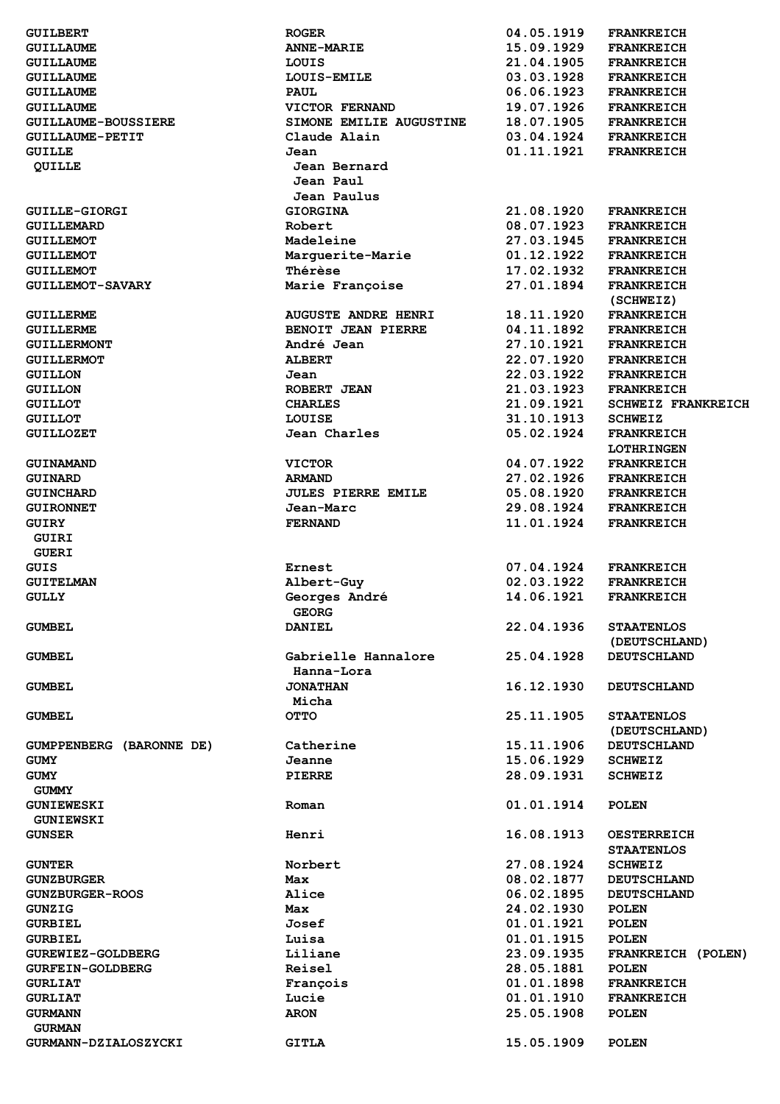| <b>GUILBERT</b>                             | <b>ROGER</b>                | 04.05.1919               | <b>FRANKREICH</b>                      |
|---------------------------------------------|-----------------------------|--------------------------|----------------------------------------|
| <b>GUILLAUME</b>                            | <b>ANNE-MARIE</b>           | 15.09.1929               | <b>FRANKREICH</b>                      |
| <b>GUILLAUME</b>                            | LOUIS                       | 21.04.1905               | <b>FRANKREICH</b>                      |
| <b>GUILLAUME</b>                            | LOUIS-EMILE                 | 03.03.1928               | <b>FRANKREICH</b>                      |
| <b>GUILLAUME</b>                            | <b>PAUL</b>                 | 06.06.1923               | <b>FRANKREICH</b>                      |
| <b>GUILLAUME</b>                            | VICTOR FERNAND              | 19.07.1926               | <b>FRANKREICH</b>                      |
| <b>GUILLAUME-BOUSSIERE</b>                  | SIMONE EMILIE AUGUSTINE     | 18.07.1905               | <b>FRANKREICH</b>                      |
| <b>GUILLAUME-PETIT</b>                      | Claude Alain                | 03.04.1924               | <b>FRANKREICH</b>                      |
| <b>GUILLE</b>                               | Jean                        | 01.11.1921               | <b>FRANKREICH</b>                      |
| QUILLE                                      | Jean Bernard                |                          |                                        |
|                                             | Jean Paul                   |                          |                                        |
|                                             | Jean Paulus                 |                          |                                        |
| <b>GUILLE-GIORGI</b>                        | <b>GIORGINA</b>             | 21.08.1920               | <b>FRANKREICH</b>                      |
| <b>GUILLEMARD</b>                           | Robert                      | 08.07.1923               | <b>FRANKREICH</b>                      |
| <b>GUILLEMOT</b>                            | Madeleine                   | 27.03.1945<br>01.12.1922 | <b>FRANKREICH</b>                      |
| <b>GUILLEMOT</b>                            | Marguerite-Marie<br>Thérèse | 17.02.1932               | <b>FRANKREICH</b>                      |
| <b>GUILLEMOT</b><br><b>GUILLEMOT-SAVARY</b> | Marie Françoise             | 27.01.1894               | <b>FRANKREICH</b><br><b>FRANKREICH</b> |
|                                             |                             |                          | (SCHWEIZ)                              |
| <b>GUILLERME</b>                            | <b>AUGUSTE ANDRE HENRI</b>  | 18.11.1920               | <b>FRANKREICH</b>                      |
| <b>GUILLERME</b>                            | BENOIT JEAN PIERRE          | 04.11.1892               | <b>FRANKREICH</b>                      |
| <b>GUILLERMONT</b>                          | André Jean                  | 27.10.1921               | <b>FRANKREICH</b>                      |
| <b>GUILLERMOT</b>                           | <b>ALBERT</b>               | 22.07.1920               | <b>FRANKREICH</b>                      |
| <b>GUILLON</b>                              | Jean                        | 22.03.1922               | <b>FRANKREICH</b>                      |
| <b>GUILLON</b>                              | ROBERT JEAN                 | 21.03.1923               | <b>FRANKREICH</b>                      |
| <b>GUILLOT</b>                              | <b>CHARLES</b>              | 21.09.1921               | <b>SCHWEIZ FRANKREICH</b>              |
| <b>GUILLOT</b>                              | LOUISE                      | 31.10.1913               | <b>SCHWEIZ</b>                         |
| <b>GUILLOZET</b>                            | Jean Charles                | 05.02.1924               | <b>FRANKREICH</b>                      |
|                                             |                             |                          | <b>LOTHRINGEN</b>                      |
| <b>GUINAMAND</b>                            | <b>VICTOR</b>               | 04.07.1922               | <b>FRANKREICH</b>                      |
| <b>GUINARD</b>                              | <b>ARMAND</b>               | 27.02.1926               | <b>FRANKREICH</b>                      |
| <b>GUINCHARD</b>                            | <b>JULES PIERRE EMILE</b>   | 05.08.1920               | <b>FRANKREICH</b>                      |
| <b>GUIRONNET</b>                            | Jean-Marc                   | 29.08.1924               | <b>FRANKREICH</b>                      |
| <b>GUIRY</b>                                | <b>FERNAND</b>              | 11.01.1924               | <b>FRANKREICH</b>                      |
| GUIRI                                       |                             |                          |                                        |
| <b>GUERI</b>                                |                             |                          |                                        |
| GUIS                                        | Ernest                      | 07.04.1924               | <b>FRANKREICH</b>                      |
| <b>GUITELMAN</b>                            | Albert-Guy                  | 02.03.1922               | <b>FRANKREICH</b>                      |
| <b>GULLY</b>                                | Georges André               | 14.06.1921               | <b>FRANKREICH</b>                      |
|                                             | <b>GEORG</b>                |                          |                                        |
| <b>GUMBEL</b>                               | <b>DANIEL</b>               | 22.04.1936               | <b>STAATENLOS</b>                      |
|                                             |                             |                          | (DEUTSCHLAND)                          |
| <b>GUMBEL</b>                               | Gabrielle Hannalore         | 25.04.1928               | <b>DEUTSCHLAND</b>                     |
|                                             | Hanna-Lora                  |                          |                                        |
| <b>GUMBEL</b>                               | <b>JONATHAN</b>             | 16.12.1930               | <b>DEUTSCHLAND</b>                     |
|                                             | Micha                       |                          |                                        |
| GUMBEL                                      | <b>OTTO</b>                 | 25.11.1905               | <b>STAATENLOS</b>                      |
|                                             |                             |                          | (DEUTSCHLAND)                          |
| GUMPPENBERG (BARONNE DE)                    | Catherine                   | 15.11.1906               | <b>DEUTSCHLAND</b>                     |
| GUMY                                        | Jeanne                      | 15.06.1929               | <b>SCHWEIZ</b>                         |
| GUMY                                        | PIERRE                      | 28.09.1931               | <b>SCHWEIZ</b>                         |
| <b>GUMMY</b>                                |                             |                          |                                        |
| <b>GUNIEWESKI</b>                           | Roman                       | 01.01.1914               | <b>POLEN</b>                           |
| <b>GUNIEWSKI</b>                            |                             |                          |                                        |
| <b>GUNSER</b>                               | Henri                       | 16.08.1913               | <b>OESTERREICH</b>                     |
|                                             |                             |                          | <b>STAATENLOS</b>                      |
| <b>GUNTER</b>                               | Norbert                     | 27.08.1924<br>08.02.1877 | <b>SCHWEIZ</b><br><b>DEUTSCHLAND</b>   |
| <b>GUNZBURGER</b>                           | Max<br>Alice                | 06.02.1895               | <b>DEUTSCHLAND</b>                     |
| <b>GUNZBURGER-ROOS</b>                      |                             | 24.02.1930               |                                        |
| <b>GUNZIG</b><br><b>GURBIEL</b>             | Max<br>Josef                | 01.01.1921               | <b>POLEN</b><br><b>POLEN</b>           |
| <b>GURBIEL</b>                              | Luisa                       | 01.01.1915               | <b>POLEN</b>                           |
| GUREWIEZ-GOLDBERG                           | Liliane                     | 23.09.1935               | FRANKREICH (POLEN)                     |
| <b>GURFEIN-GOLDBERG</b>                     | Reisel                      | 28.05.1881               | <b>POLEN</b>                           |
| <b>GURLIAT</b>                              | François                    | 01.01.1898               | <b>FRANKREICH</b>                      |
| <b>GURLIAT</b>                              | Lucie                       | 01.01.1910               | <b>FRANKREICH</b>                      |
| <b>GURMANN</b>                              | <b>ARON</b>                 | 25.05.1908               | <b>POLEN</b>                           |
| <b>GURMAN</b>                               |                             |                          |                                        |
| GURMANN-DZIALOSZYCKI                        | <b>GITLA</b>                | 15.05.1909               | <b>POLEN</b>                           |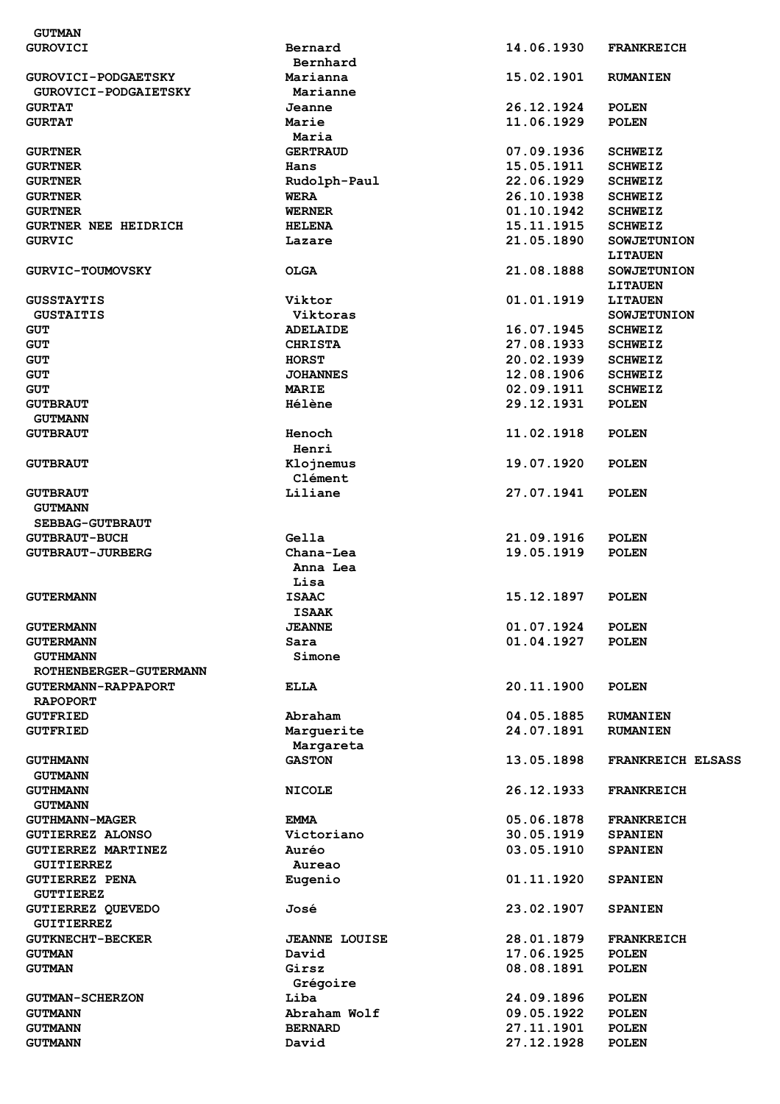| <b>GUTMAN</b>               |                      |            |                          |
|-----------------------------|----------------------|------------|--------------------------|
| <b>GUROVICI</b>             | Bernard              | 14.06.1930 | <b>FRANKREICH</b>        |
|                             | Bernhard             |            |                          |
| <b>GUROVICI-PODGAETSKY</b>  | Marianna             | 15.02.1901 | <b>RUMANIEN</b>          |
| <b>GUROVICI-PODGAIETSKY</b> | Marianne             |            |                          |
| <b>GURTAT</b>               | Jeanne               | 26.12.1924 | <b>POLEN</b>             |
| <b>GURTAT</b>               | Marie                | 11.06.1929 | <b>POLEN</b>             |
|                             | Maria                |            |                          |
|                             | <b>GERTRAUD</b>      | 07.09.1936 | <b>SCHWEIZ</b>           |
| <b>GURTNER</b>              |                      |            |                          |
| <b>GURTNER</b>              | Hans                 | 15.05.1911 | <b>SCHWEIZ</b>           |
| <b>GURTNER</b>              | Rudolph-Paul         | 22.06.1929 | <b>SCHWEIZ</b>           |
| <b>GURTNER</b>              | <b>WERA</b>          | 26.10.1938 | <b>SCHWEIZ</b>           |
| <b>GURTNER</b>              | <b>WERNER</b>        | 01.10.1942 | <b>SCHWEIZ</b>           |
| <b>GURTNER NEE HEIDRICH</b> | <b>HELENA</b>        | 15.11.1915 | <b>SCHWEIZ</b>           |
| <b>GURVIC</b>               | Lazare               | 21.05.1890 | <b>SOWJETUNION</b>       |
|                             |                      |            | <b>LITAUEN</b>           |
| <b>GURVIC-TOUMOVSKY</b>     | <b>OLGA</b>          | 21.08.1888 | <b>SOWJETUNION</b>       |
|                             |                      |            | <b>LITAUEN</b>           |
| <b>GUSSTAYTIS</b>           | Viktor               | 01.01.1919 | <b>LITAUEN</b>           |
| <b>GUSTAITIS</b>            | Viktoras             |            | <b>SOWJETUNION</b>       |
| <b>GUT</b>                  | <b>ADELAIDE</b>      | 16.07.1945 | <b>SCHWEIZ</b>           |
|                             |                      |            |                          |
| <b>GUT</b>                  | <b>CHRISTA</b>       | 27.08.1933 | <b>SCHWEIZ</b>           |
| <b>GUT</b>                  | <b>HORST</b>         | 20.02.1939 | <b>SCHWEIZ</b>           |
| <b>GUT</b>                  | <b>JOHANNES</b>      | 12.08.1906 | <b>SCHWEIZ</b>           |
| <b>GUT</b>                  | <b>MARIE</b>         | 02.09.1911 | <b>SCHWEIZ</b>           |
| <b>GUTBRAUT</b>             | <b>Hélène</b>        | 29.12.1931 | <b>POLEN</b>             |
| <b>GUTMANN</b>              |                      |            |                          |
| <b>GUTBRAUT</b>             | Henoch               | 11.02.1918 | <b>POLEN</b>             |
|                             | Henri                |            |                          |
| <b>GUTBRAUT</b>             | Klojnemus            | 19.07.1920 | <b>POLEN</b>             |
|                             | Clément              |            |                          |
|                             | Liliane              | 27.07.1941 |                          |
| <b>GUTBRAUT</b>             |                      |            | <b>POLEN</b>             |
| <b>GUTMANN</b>              |                      |            |                          |
| <b>SEBBAG-GUTBRAUT</b>      |                      |            |                          |
| <b>GUTBRAUT-BUCH</b>        | Gella                | 21.09.1916 | <b>POLEN</b>             |
| <b>GUTBRAUT-JURBERG</b>     | Chana-Lea            | 19.05.1919 | <b>POLEN</b>             |
|                             | Anna Lea             |            |                          |
|                             | Lisa                 |            |                          |
| <b>GUTERMANN</b>            | <b>ISAAC</b>         | 15.12.1897 | <b>POLEN</b>             |
|                             | ISAAK                |            |                          |
| <b>GUTERMANN</b>            | <b>JEANNE</b>        | 01.07.1924 | <b>POLEN</b>             |
| <b>GUTERMANN</b>            | Sara                 | 01.04.1927 | <b>POLEN</b>             |
| <b>GUTHMANN</b>             | Simone               |            |                          |
|                             |                      |            |                          |
| ROTHENBERGER-GUTERMANN      |                      |            |                          |
| <b>GUTERMANN-RAPPAPORT</b>  | ELLA                 | 20.11.1900 | <b>POLEN</b>             |
| <b>RAPOPORT</b>             |                      |            |                          |
| <b>GUTFRIED</b>             | Abraham              | 04.05.1885 | <b>RUMANIEN</b>          |
| <b>GUTFRIED</b>             | Marguerite           | 24.07.1891 | <b>RUMANIEN</b>          |
|                             | Margareta            |            |                          |
| <b>GUTHMANN</b>             | <b>GASTON</b>        | 13.05.1898 | <b>FRANKREICH ELSASS</b> |
| <b>GUTMANN</b>              |                      |            |                          |
| <b>GUTHMANN</b>             | <b>NICOLE</b>        | 26.12.1933 | <b>FRANKREICH</b>        |
| <b>GUTMANN</b>              |                      |            |                          |
|                             | <b>EMMA</b>          | 05.06.1878 | <b>FRANKREICH</b>        |
| <b>GUTHMANN-MAGER</b>       |                      |            |                          |
| <b>GUTIERREZ ALONSO</b>     | Victoriano           | 30.05.1919 | <b>SPANIEN</b>           |
| <b>GUTIERREZ MARTINEZ</b>   | Auréo                | 03.05.1910 | <b>SPANIEN</b>           |
| <b>GUITIERREZ</b>           | Aureao               |            |                          |
| <b>GUTIERREZ PENA</b>       | Eugenio              | 01.11.1920 | <b>SPANIEN</b>           |
| <b>GUTTIEREZ</b>            |                      |            |                          |
| <b>GUTIERREZ QUEVEDO</b>    | José                 | 23.02.1907 | <b>SPANIEN</b>           |
| <b>GUITIERREZ</b>           |                      |            |                          |
| <b>GUTKNECHT-BECKER</b>     | <b>JEANNE LOUISE</b> | 28.01.1879 | <b>FRANKREICH</b>        |
| <b>GUTMAN</b>               | David                | 17.06.1925 | <b>POLEN</b>             |
|                             | Girsz                |            | <b>POLEN</b>             |
| <b>GUTMAN</b>               |                      | 08.08.1891 |                          |
|                             | Grégoire             |            |                          |
| <b>GUTMAN-SCHERZON</b>      | Liba                 | 24.09.1896 | <b>POLEN</b>             |
| <b>GUTMANN</b>              | Abraham Wolf         | 09.05.1922 | <b>POLEN</b>             |
| <b>GUTMANN</b>              | <b>BERNARD</b>       | 27.11.1901 | <b>POLEN</b>             |
| <b>GUTMANN</b>              | David                | 27.12.1928 | <b>POLEN</b>             |